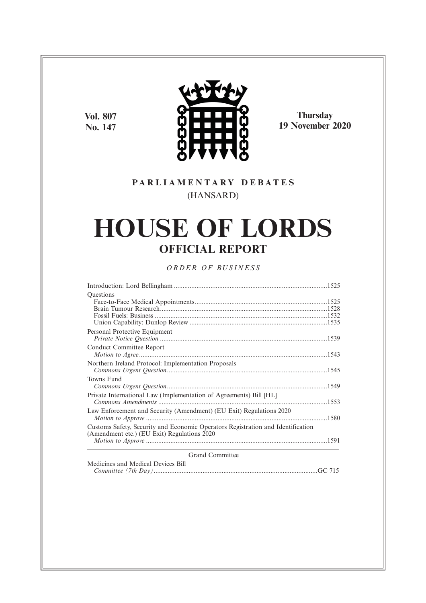**Vol. 807 No. 147**



**Thursday 19 November 2020**

## **P A R L I A M E N T A R Y D E B A T E S** (HANSARD)

# **HOUSE OF LORDS OFFICIAL REPORT**

### *O R D E R O F BU S I N E S S*

| Questions                                                                       |  |
|---------------------------------------------------------------------------------|--|
|                                                                                 |  |
|                                                                                 |  |
|                                                                                 |  |
|                                                                                 |  |
| Personal Protective Equipment                                                   |  |
|                                                                                 |  |
| Conduct Committee Report                                                        |  |
|                                                                                 |  |
|                                                                                 |  |
| Northern Ireland Protocol: Implementation Proposals                             |  |
|                                                                                 |  |
| Towns Fund                                                                      |  |
|                                                                                 |  |
| Private International Law (Implementation of Agreements) Bill [HL]              |  |
|                                                                                 |  |
| Law Enforcement and Security (Amendment) (EU Exit) Regulations 2020             |  |
|                                                                                 |  |
| Customs Safety, Security and Economic Operators Registration and Identification |  |
|                                                                                 |  |
| (Amendment etc.) (EU Exit) Regulations 2020                                     |  |
|                                                                                 |  |
| <b>Grand Committee</b>                                                          |  |
| Medicines and Medical Devices Bill                                              |  |
|                                                                                 |  |
|                                                                                 |  |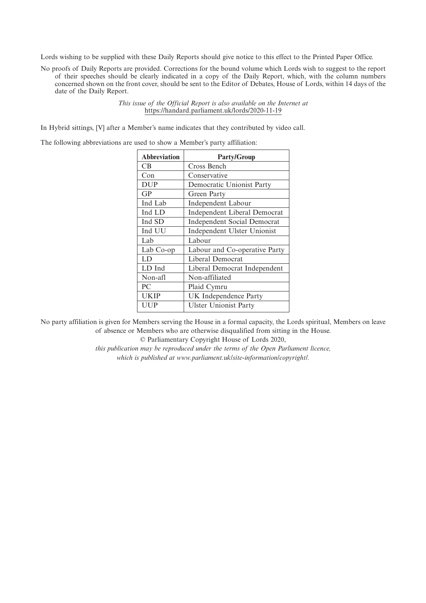Lords wishing to be supplied with these Daily Reports should give notice to this effect to the Printed Paper Office.

No proofs of Daily Reports are provided. Corrections for the bound volume which Lords wish to suggest to the report of their speeches should be clearly indicated in a copy of the Daily Report, which, with the column numbers concerned shown on the front cover, should be sent to the Editor of Debates, House of Lords, within 14 days of the date of the Daily Report.

> *This issue of the Official Report is also available on the Internet at* https://handard.parliament.uk/lords/2020-11-19

In Hybrid sittings, [V] after a Member's name indicates that they contributed by video call.

The following abbreviations are used to show a Member's party affiliation:

| <b>Abbreviation</b> | <b>Party/Group</b>                 |
|---------------------|------------------------------------|
| CB                  | Cross Bench                        |
| Con                 | Conservative                       |
| <b>DUP</b>          | Democratic Unionist Party          |
| GP                  | Green Party                        |
| Ind Lab             | <b>Independent Labour</b>          |
| Ind LD              | Independent Liberal Democrat       |
| Ind SD              | <b>Independent Social Democrat</b> |
| Ind UU              | Independent Ulster Unionist        |
| Lab                 | Labour                             |
| Lab Co-op           | Labour and Co-operative Party      |
| LD                  | Liberal Democrat                   |
| LD Ind              | Liberal Democrat Independent       |
| Non-afl             | Non-affiliated                     |
| PС                  | Plaid Cymru                        |
| <b>UKIP</b>         | UK Independence Party              |
| UUP                 | <b>Ulster Unionist Party</b>       |

No party affiliation is given for Members serving the House in a formal capacity, the Lords spiritual, Members on leave of absence or Members who are otherwise disqualified from sitting in the House.

© Parliamentary Copyright House of Lords 2020,

*this publication may be reproduced under the terms of the Open Parliament licence, which is published at www.parliament.uk/site-information/copyright/.*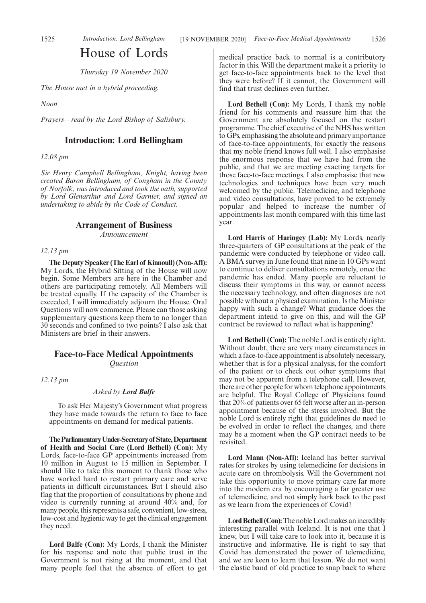# House of Lords

*Thursday 19 November 2020*

*The House met in a hybrid proceeding.*

*Noon*

*Prayers—read by the Lord Bishop of Salisbury.*

### **Introduction: Lord Bellingham**

*12.08 pm*

*Sir Henry Campbell Bellingham, Knight, having been created Baron Bellingham, of Congham in the County of Norfolk, was introduced and took the oath, supported by Lord Glenarthur and Lord Garnier, and signed an undertaking to abide by the Code of Conduct.*

### **Arrangement of Business**

*Announcement*

### *12.13 pm*

**The Deputy Speaker (The Earl of Kinnoull) (Non-Afl):** My Lords, the Hybrid Sitting of the House will now begin. Some Members are here in the Chamber and others are participating remotely. All Members will be treated equally. If the capacity of the Chamber is exceeded, I will immediately adjourn the House. Oral Questions will now commence. Please can those asking supplementary questions keep them to no longer than 30 seconds and confined to two points? I also ask that Ministers are brief in their answers.

# **Face-to-Face Medical Appointments**

*Question*

*12.13 pm*

### *Asked by Lord Balfe*

To ask Her Majesty's Government what progress they have made towards the return to face to face appointments on demand for medical patients.

**TheParliamentaryUnder-Secretaryof State,Department of Health and Social Care (Lord Bethell) (Con):** My Lords, face-to-face GP appointments increased from 10 million in August to 15 million in September. I should like to take this moment to thank those who have worked hard to restart primary care and serve patients in difficult circumstances. But I should also flag that the proportion of consultations by phone and video is currently running at around 40% and, for many people, this represents a safe, convenient, low-stress, low-cost and hygienic way to get the clinical engagement they need.

**Lord Balfe (Con):** My Lords, I thank the Minister for his response and note that public trust in the Government is not rising at the moment, and that many people feel that the absence of effort to get medical practice back to normal is a contributory factor in this. Will the department make it a priority to get face-to-face appointments back to the level that they were before? If it cannot, the Government will find that trust declines even further.

**Lord Bethell (Con):** My Lords, I thank my noble friend for his comments and reassure him that the Government are absolutely focused on the restart programme. The chief executive of the NHS has written to GPs, emphasising the absolute and primary importance of face-to-face appointments, for exactly the reasons that my noble friend knows full well. I also emphasise the enormous response that we have had from the public, and that we are meeting exacting targets for those face-to-face meetings. I also emphasise that new technologies and techniques have been very much welcomed by the public. Telemedicine, and telephone and video consultations, have proved to be extremely popular and helped to increase the number of appointments last month compared with this time last year.

**Lord Harris of Haringey (Lab):** My Lords, nearly three-quarters of GP consultations at the peak of the pandemic were conducted by telephone or video call. A BMA survey in June found that nine in 10 GPs want to continue to deliver consultations remotely, once the pandemic has ended. Many people are reluctant to discuss their symptoms in this way, or cannot access the necessary technology, and often diagnoses are not possible without a physical examination. Is the Minister happy with such a change? What guidance does the department intend to give on this, and will the GP contract be reviewed to reflect what is happening?

**Lord Bethell (Con):** The noble Lord is entirely right. Without doubt, there are very many circumstances in which a face-to-face appointment is absolutely necessary, whether that is for a physical analysis, for the comfort of the patient or to check out other symptoms that may not be apparent from a telephone call. However, there are other people for whom telephone appointments are helpful. The Royal College of Physicians found that 20% of patients over 65 felt worse after an in-person appointment because of the stress involved. But the noble Lord is entirely right that guidelines do need to be evolved in order to reflect the changes, and there may be a moment when the GP contract needs to be revisited.

**Lord Mann (Non-Afl):** Iceland has better survival rates for strokes by using telemedicine for decisions in acute care on thrombolysis. Will the Government not take this opportunity to move primary care far more into the modern era by encouraging a far greater use of telemedicine, and not simply hark back to the past as we learn from the experiences of Covid?

**Lord Bethell (Con):**The noble Lord makes an incredibly interesting parallel with Iceland. It is not one that I knew, but I will take care to look into it, because it is instructive and informative. He is right to say that Covid has demonstrated the power of telemedicine, and we are keen to learn that lesson. We do not want the elastic band of old practice to snap back to where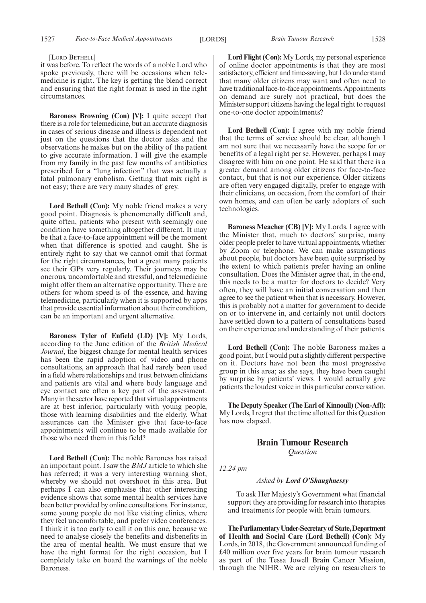#### [LORD BETHELL]

it was before. To reflect the words of a noble Lord who spoke previously, there will be occasions when telemedicine is right. The key is getting the blend correct and ensuring that the right format is used in the right circumstances.

**Baroness Browning (Con) [V]:** I quite accept that there is a role for telemedicine, but an accurate diagnosis in cases of serious disease and illness is dependent not just on the questions that the doctor asks and the observations he makes but on the ability of the patient to give accurate information. I will give the example from my family in the past few months of antibiotics prescribed for a "lung infection" that was actually a fatal pulmonary embolism. Getting that mix right is not easy; there are very many shades of grey.

**Lord Bethell (Con):** My noble friend makes a very good point. Diagnosis is phenomenally difficult and, quite often, patients who present with seemingly one condition have something altogether different. It may be that a face-to-face appointment will be the moment when that difference is spotted and caught. She is entirely right to say that we cannot omit that format for the right circumstances, but a great many patients see their GPs very regularly. Their journeys may be onerous, uncomfortable and stressful, and telemedicine might offer them an alternative opportunity. There are others for whom speed is of the essence, and having telemedicine, particularly when it is supported by apps that provide essential information about their condition, can be an important and urgent alternative.

**Baroness Tyler of Enfield (LD) [V]:** My Lords, according to the June edition of the *British Medical Journal*, the biggest change for mental health services has been the rapid adoption of video and phone consultations, an approach that had rarely been used in a field where relationships and trust between clinicians and patients are vital and where body language and eye contact are often a key part of the assessment. Many in the sector have reported that virtual appointments are at best inferior, particularly with young people, those with learning disabilities and the elderly. What assurances can the Minister give that face-to-face appointments will continue to be made available for those who need them in this field?

**Lord Bethell (Con):** The noble Baroness has raised an important point. I saw the *BMJ* article to which she has referred; it was a very interesting warning shot, whereby we should not overshoot in this area. But perhaps I can also emphasise that other interesting evidence shows that some mental health services have been better provided by online consultations. For instance, some young people do not like visiting clinics, where they feel uncomfortable, and prefer video conferences. I think it is too early to call it on this one, because we need to analyse closely the benefits and disbenefits in the area of mental health. We must ensure that we have the right format for the right occasion, but I completely take on board the warnings of the noble Baroness.

**Lord Flight (Con):** My Lords, my personal experience of online doctor appointments is that they are most satisfactory, efficient and time-saving, but I do understand that many older citizens may want and often need to have traditional face-to-face appointments. Appointments on demand are surely not practical, but does the Minister support citizens having the legal right to request one-to-one doctor appointments?

Lord Bethell (Con): I agree with my noble friend that the terms of service should be clear, although I am not sure that we necessarily have the scope for or benefits of a legal right per se. However, perhaps I may disagree with him on one point. He said that there is a greater demand among older citizens for face-to-face contact, but that is not our experience. Older citizens are often very engaged digitally, prefer to engage with their clinicians, on occasion, from the comfort of their own homes, and can often be early adopters of such technologies.

**Baroness Meacher (CB) [V]:** My Lords, I agree with the Minister that, much to doctors' surprise, many older people prefer to have virtual appointments, whether by Zoom or telephone. We can make assumptions about people, but doctors have been quite surprised by the extent to which patients prefer having an online consultation. Does the Minister agree that, in the end, this needs to be a matter for doctors to decide? Very often, they will have an initial conversation and then agree to see the patient when that is necessary. However, this is probably not a matter for government to decide on or to intervene in, and certainly not until doctors have settled down to a pattern of consultations based on their experience and understanding of their patients.

**Lord Bethell (Con):** The noble Baroness makes a good point, but I would put a slightly different perspective on it. Doctors have not been the most progressive group in this area; as she says, they have been caught by surprise by patients' views. I would actually give patients the loudest voice in this particular conversation.

**The Deputy Speaker (The Earl of Kinnoull) (Non-Afl):** My Lords, I regret that the time allotted for this Question has now elapsed.

### **Brain Tumour Research** *Question*

*12.24 pm*

*Asked by Lord O'Shaughnessy*

To ask Her Majesty's Government what financial support they are providing for research into therapies and treatments for people with brain tumours.

**TheParliamentaryUnder-Secretaryof State,Department of Health and Social Care (Lord Bethell) (Con):** My Lords, in 2018, the Government announced funding of £40 million over five years for brain tumour research as part of the Tessa Jowell Brain Cancer Mission, through the NIHR. We are relying on researchers to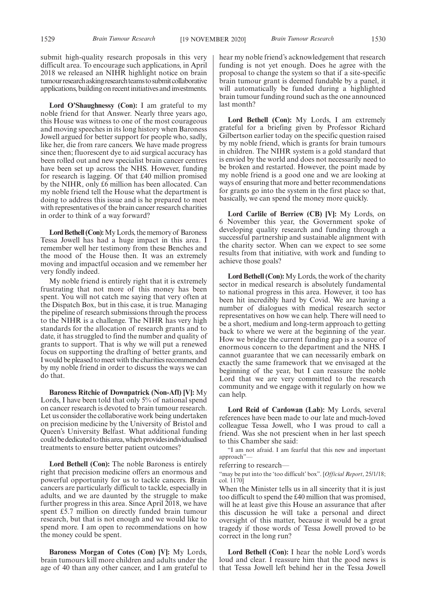submit high-quality research proposals in this very difficult area. To encourage such applications, in April 2018 we released an NIHR highlight notice on brain tumour research asking research teams to submit collaborative applications, building on recent initiatives and investments.

**Lord O'Shaughnessy (Con):** I am grateful to my noble friend for that Answer. Nearly three years ago, this House was witness to one of the most courageous and moving speeches in its long history when Baroness Jowell argued for better support for people who, sadly, like her, die from rare cancers. We have made progress since then; fluorescent dye to aid surgical accuracy has been rolled out and new specialist brain cancer centres have been set up across the NHS. However, funding for research is lagging. Of that £40 million promised by the NIHR, only £6 million has been allocated. Can my noble friend tell the House what the department is doing to address this issue and is he prepared to meet with representatives of the brain cancer research charities in order to think of a way forward?

**Lord Bethell (Con):**My Lords, the memory of Baroness Tessa Jowell has had a huge impact in this area. I remember well her testimony from these Benches and the mood of the House then. It was an extremely moving and impactful occasion and we remember her very fondly indeed.

My noble friend is entirely right that it is extremely frustrating that not more of this money has been spent. You will not catch me saying that very often at the Dispatch Box, but in this case, it is true. Managing the pipeline of research submissions through the process to the NIHR is a challenge. The NIHR has very high standards for the allocation of research grants and to date, it has struggled to find the number and quality of grants to support. That is why we will put a renewed focus on supporting the drafting of better grants, and I would be pleased to meet with the charities recommended by my noble friend in order to discuss the ways we can do that.

**Baroness Ritchie of Downpatrick (Non-Afl) [V]:** My Lords, I have been told that only 5% of national spend on cancer research is devoted to brain tumour research. Let us consider the collaborative work being undertaken on precision medicine by the University of Bristol and Queen's University Belfast. What additional funding could be dedicated to this area, which provides individualised treatments to ensure better patient outcomes?

**Lord Bethell (Con):** The noble Baroness is entirely right that precision medicine offers an enormous and powerful opportunity for us to tackle cancers. Brain cancers are particularly difficult to tackle, especially in adults, and we are daunted by the struggle to make further progress in this area. Since April 2018, we have spent £5.7 million on directly funded brain tumour research, but that is not enough and we would like to spend more. I am open to recommendations on how the money could be spent.

**Baroness Morgan of Cotes (Con) [V]:** My Lords, brain tumours kill more children and adults under the age of 40 than any other cancer, and I am grateful to hear my noble friend's acknowledgement that research funding is not yet enough. Does he agree with the proposal to change the system so that if a site-specific brain tumour grant is deemed fundable by a panel, it will automatically be funded during a highlighted brain tumour funding round such as the one announced last month?

**Lord Bethell (Con):** My Lords, I am extremely grateful for a briefing given by Professor Richard Gilbertson earlier today on the specific question raised by my noble friend, which is grants for brain tumours in children. The NIHR system is a gold standard that is envied by the world and does not necessarily need to be broken and restarted. However, the point made by my noble friend is a good one and we are looking at ways of ensuring that more and better recommendations for grants go into the system in the first place so that, basically, we can spend the money more quickly.

**Lord Carlile of Berriew (CB) [V]:** My Lords, on 6 November this year, the Government spoke of developing quality research and funding through a successful partnership and sustainable alignment with the charity sector. When can we expect to see some results from that initiative, with work and funding to achieve those goals?

**Lord Bethell (Con):** My Lords, the work of the charity sector in medical research is absolutely fundamental to national progress in this area. However, it too has been hit incredibly hard by Covid. We are having a number of dialogues with medical research sector representatives on how we can help. There will need to be a short, medium and long-term approach to getting back to where we were at the beginning of the year. How we bridge the current funding gap is a source of enormous concern to the department and the NHS. I cannot guarantee that we can necessarily embark on exactly the same framework that we envisaged at the beginning of the year, but I can reassure the noble Lord that we are very committed to the research community and we engage with it regularly on how we can help.

**Lord Reid of Cardowan (Lab):** My Lords, several references have been made to our late and much-loved colleague Tessa Jowell, who I was proud to call a friend. Was she not prescient when in her last speech to this Chamber she said:

"I am not afraid. I am fearful that this new and important approach"—

referring to research—

"may be put into the 'too difficult' box". [*Official Report*, 25/1/18; col. 1170]

When the Minister tells us in all sincerity that it is just too difficult to spend the £40 million that was promised, will he at least give this House an assurance that after this discussion he will take a personal and direct oversight of this matter, because it would be a great tragedy if those words of Tessa Jowell proved to be correct in the long run?

**Lord Bethell (Con):** I hear the noble Lord's words loud and clear. I reassure him that the good news is that Tessa Jowell left behind her in the Tessa Jowell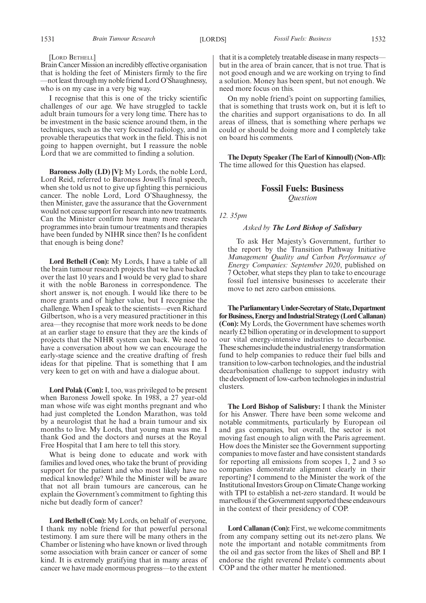#### [LORD BETHELL]

Brain Cancer Mission an incredibly effective organisation that is holding the feet of Ministers firmly to the fire —not least through my noble friend Lord O'Shaughnessy, who is on my case in a very big way.

I recognise that this is one of the tricky scientific challenges of our age. We have struggled to tackle adult brain tumours for a very long time. There has to be investment in the basic science around them, in the techniques, such as the very focused radiology, and in provable therapeutics that work in the field. This is not going to happen overnight, but I reassure the noble Lord that we are committed to finding a solution.

**Baroness Jolly (LD) [V]:** My Lords, the noble Lord, Lord Reid, referred to Baroness Jowell's final speech, when she told us not to give up fighting this pernicious cancer. The noble Lord, Lord O'Shaughnessy, the then Minister, gave the assurance that the Government would not cease support for research into new treatments. Can the Minister confirm how many more research programmes into brain tumour treatments and therapies have been funded by NIHR since then? Is he confident that enough is being done?

**Lord Bethell (Con):** My Lords, I have a table of all the brain tumour research projects that we have backed over the last 10 years and I would be very glad to share it with the noble Baroness in correspondence. The short answer is, not enough. I would like there to be more grants and of higher value, but I recognise the challenge. When I speak to the scientists—even Richard Gilbertson, who is a very measured practitioner in this area—they recognise that more work needs to be done at an earlier stage to ensure that they are the kinds of projects that the NIHR system can back. We need to have a conversation about how we can encourage the early-stage science and the creative drafting of fresh ideas for that pipeline. That is something that I am very keen to get on with and have a dialogue about.

**Lord Polak (Con):**I, too, was privileged to be present when Baroness Jowell spoke. In 1988, a 27 year-old man whose wife was eight months pregnant and who had just completed the London Marathon, was told by a neurologist that he had a brain tumour and six months to live. My Lords, that young man was me. I thank God and the doctors and nurses at the Royal Free Hospital that I am here to tell this story.

What is being done to educate and work with families and loved ones, who take the brunt of providing support for the patient and who most likely have no medical knowledge? While the Minister will be aware that not all brain tumours are cancerous, can he explain the Government's commitment to fighting this niche but deadly form of cancer?

**Lord Bethell (Con):** My Lords, on behalf of everyone, I thank my noble friend for that powerful personal testimony. I am sure there will be many others in the Chamber or listening who have known or lived through some association with brain cancer or cancer of some kind. It is extremely gratifying that in many areas of cancer we have made enormous progress—to the extent that it is a completely treatable disease in many respects but in the area of brain cancer, that is not true. That is not good enough and we are working on trying to find a solution. Money has been spent, but not enough. We need more focus on this.

On my noble friend's point on supporting families, that is something that trusts work on, but it is left to the charities and support organisations to do. In all areas of illness, that is something where perhaps we could or should be doing more and I completely take on board his comments.

**The Deputy Speaker (The Earl of Kinnoull) (Non-Afl):** The time allowed for this Question has elapsed.

### **Fossil Fuels: Business** *Question*

### *12. 35pm*

### *Asked by The Lord Bishop of Salisbury*

To ask Her Majesty's Government, further to the report by the Transition Pathway Initiative *Management Quality and Carbon Performance of Energy Companies: September 2020*, published on 7 October, what steps they plan to take to encourage fossil fuel intensive businesses to accelerate their move to net zero carbon emissions.

**TheParliamentaryUnder-Secretaryof State,Department forBusiness,EnergyandIndustrialStrategy(LordCallanan) (Con):** My Lords, the Government have schemes worth nearly £2 billion operating or in development to support our vital energy-intensive industries to decarbonise. These schemes include the industrial energy transformation fund to help companies to reduce their fuel bills and transition to low-carbon technologies, and the industrial decarbonisation challenge to support industry with the development of low-carbon technologies in industrial clusters.

**The Lord Bishop of Salisbury:** I thank the Minister for his Answer. There have been some welcome and notable commitments, particularly by European oil and gas companies, but overall, the sector is not moving fast enough to align with the Paris agreement. How does the Minister see the Government supporting companies to move faster and have consistent standards for reporting all emissions from scopes 1, 2 and 3 so companies demonstrate alignment clearly in their reporting? I commend to the Minister the work of the Institutional Investors Group on Climate Change working with TPI to establish a net-zero standard. It would be marvellous if the Government supported these endeavours in the context of their presidency of COP.

**Lord Callanan (Con):**First, we welcome commitments from any company setting out its net-zero plans. We note the important and notable commitments from the oil and gas sector from the likes of Shell and BP. I endorse the right reverend Prelate's comments about COP and the other matter he mentioned.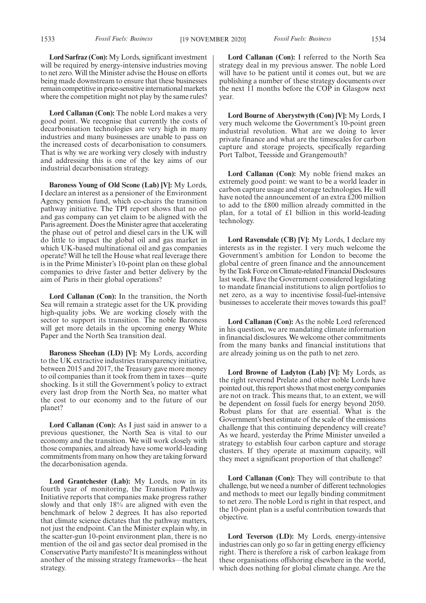**Lord Sarfraz (Con):** My Lords, significant investment will be required by energy-intensive industries moving to net zero. Will the Minister advise the House on efforts being made downstream to ensure that these businesses remain competitive in price-sensitive international markets where the competition might not play by the same rules?

**Lord Callanan (Con):** The noble Lord makes a very good point. We recognise that currently the costs of decarbonisation technologies are very high in many industries and many businesses are unable to pass on the increased costs of decarbonisation to consumers. That is why we are working very closely with industry and addressing this is one of the key aims of our industrial decarbonisation strategy.

**Baroness Young of Old Scone (Lab) [V]:** My Lords, I declare an interest as a pensioner of the Environment Agency pension fund, which co-chairs the transition pathway initiative. The TPI report shows that no oil and gas company can yet claim to be aligned with the Paris agreement. Does the Minister agree that accelerating the phase out of petrol and diesel cars in the UK will do little to impact the global oil and gas market in which UK-based multinational oil and gas companies operate? Will he tell the House what real leverage there is in the Prime Minister's 10-point plan on these global companies to drive faster and better delivery by the aim of Paris in their global operations?

**Lord Callanan (Con):** In the transition, the North Sea will remain a strategic asset for the UK providing high-quality jobs. We are working closely with the sector to support its transition. The noble Baroness will get more details in the upcoming energy White Paper and the North Sea transition deal.

**Baroness Sheehan (LD) [V]:** My Lords, according to the UK extractive industries transparency initiative, between 2015 and 2017, the Treasury gave more money to oil companies than it took from them in taxes—quite shocking. Is it still the Government's policy to extract every last drop from the North Sea, no matter what the cost to our economy and to the future of our planet?

**Lord Callanan (Con):** As I just said in answer to a previous questioner, the North Sea is vital to our economy and the transition. We will work closely with those companies, and already have some world-leading commitments from many on how they are taking forward the decarbonisation agenda.

**Lord Grantchester (Lab):** My Lords, now in its fourth year of monitoring, the Transition Pathway Initiative reports that companies make progress rather slowly and that only 18% are aligned with even the benchmark of below 2 degrees. It has also reported that climate science dictates that the pathway matters, not just the endpoint. Can the Minister explain why, in the scatter-gun 10-point environment plan, there is no mention of the oil and gas sector deal promised in the Conservative Party manifesto? It is meaningless without another of the missing strategy frameworks—the heat strategy.

**Lord Callanan (Con):** I referred to the North Sea strategy deal in my previous answer. The noble Lord will have to be patient until it comes out, but we are publishing a number of these strategy documents over the next 11 months before the COP in Glasgow next year.

**Lord Bourne of Aberystwyth (Con) [V]:** My Lords, I very much welcome the Government's 10-point green industrial revolution. What are we doing to lever private finance and what are the timescales for carbon capture and storage projects, specifically regarding Port Talbot, Teesside and Grangemouth?

**Lord Callanan (Con):** My noble friend makes an extremely good point: we want to be a world leader in carbon capture usage and storage technologies. He will have noted the announcement of an extra £200 million to add to the £800 million already committed in the plan, for a total of £1 billion in this world-leading technology.

**Lord Ravensdale (CB) [V]:** My Lords, I declare my interests as in the register. I very much welcome the Government's ambition for London to become the global centre of green finance and the announcement by the Task Force on Climate-related Financial Disclosures last week. Have the Government considered legislating to mandate financial institutions to align portfolios to net zero, as a way to incentivise fossil-fuel-intensive businesses to accelerate their moves towards this goal?

**Lord Callanan (Con):** As the noble Lord referenced in his question, we are mandating climate information in financial disclosures. We welcome other commitments from the many banks and financial institutions that are already joining us on the path to net zero.

**Lord Browne of Ladyton (Lab) [V]:** My Lords, as the right reverend Prelate and other noble Lords have pointed out, this report shows that most energy companies are not on track. This means that, to an extent, we will be dependent on fossil fuels for energy beyond 2050. Robust plans for that are essential. What is the Government's best estimate of the scale of the emissions challenge that this continuing dependency will create? As we heard, yesterday the Prime Minister unveiled a strategy to establish four carbon capture and storage clusters. If they operate at maximum capacity, will they meet a significant proportion of that challenge?

**Lord Callanan (Con):** They will contribute to that challenge, but we need a number of different technologies and methods to meet our legally binding commitment to net zero. The noble Lord is right in that respect, and the 10-point plan is a useful contribution towards that objective.

**Lord Teverson (LD):** My Lords, energy-intensive industries can only go so far in getting energy efficiency right. There is therefore a risk of carbon leakage from these organisations offshoring elsewhere in the world, which does nothing for global climate change. Are the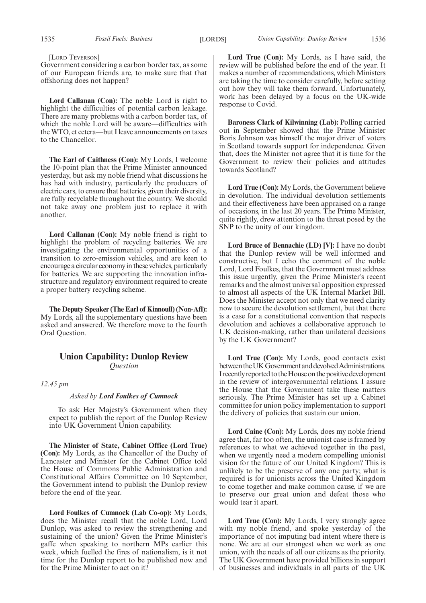[LORD TEVERSON]

Government considering a carbon border tax, as some of our European friends are, to make sure that that offshoring does not happen?

**Lord Callanan (Con):** The noble Lord is right to highlight the difficulties of potential carbon leakage. There are many problems with a carbon border tax, of which the noble Lord will be aware—difficulties with the WTO, et cetera—but I leave announcements on taxes to the Chancellor.

**The Earl of Caithness (Con):** My Lords, I welcome the 10-point plan that the Prime Minister announced yesterday, but ask my noble friend what discussions he has had with industry, particularly the producers of electric cars, to ensure that batteries, given their diversity, are fully recyclable throughout the country. We should not take away one problem just to replace it with another.

**Lord Callanan (Con):** My noble friend is right to highlight the problem of recycling batteries. We are investigating the environmental opportunities of a transition to zero-emission vehicles, and are keen to encourage a circular economy in these vehicles, particularly for batteries. We are supporting the innovation infrastructure and regulatory environment required to create a proper battery recycling scheme.

**The Deputy Speaker (The Earl of Kinnoull) (Non-Afl):** My Lords, all the supplementary questions have been asked and answered. We therefore move to the fourth Oral Question.

### **Union Capability: Dunlop Review** *Question*

*12.45 pm*

*Asked by Lord Foulkes of Cumnock*

To ask Her Majesty's Government when they expect to publish the report of the Dunlop Review into UK Government Union capability.

**The Minister of State, Cabinet Office (Lord True) (Con):** My Lords, as the Chancellor of the Duchy of Lancaster and Minister for the Cabinet Office told the House of Commons Public Administration and Constitutional Affairs Committee on 10 September, the Government intend to publish the Dunlop review before the end of the year.

**Lord Foulkes of Cumnock (Lab Co-op):** My Lords, does the Minister recall that the noble Lord, Lord Dunlop, was asked to review the strengthening and sustaining of the union? Given the Prime Minister's gaffe when speaking to northern MPs earlier this week, which fuelled the fires of nationalism, is it not time for the Dunlop report to be published now and for the Prime Minister to act on it?

**Lord True (Con):** My Lords, as I have said, the review will be published before the end of the year. It makes a number of recommendations, which Ministers are taking the time to consider carefully, before setting out how they will take them forward. Unfortunately, work has been delayed by a focus on the UK-wide response to Covid.

**Baroness Clark of Kilwinning (Lab):** Polling carried out in September showed that the Prime Minister Boris Johnson was himself the major driver of voters in Scotland towards support for independence. Given that, does the Minister not agree that it is time for the Government to review their policies and attitudes towards Scotland?

**Lord True (Con):** My Lords, the Government believe in devolution. The individual devolution settlements and their effectiveness have been appraised on a range of occasions, in the last 20 years. The Prime Minister, quite rightly, drew attention to the threat posed by the SNP to the unity of our kingdom.

**Lord Bruce of Bennachie (LD) [V]:** I have no doubt that the Dunlop review will be well informed and constructive, but I echo the comment of the noble Lord, Lord Foulkes, that the Government must address this issue urgently, given the Prime Minister's recent remarks and the almost universal opposition expressed to almost all aspects of the UK Internal Market Bill. Does the Minister accept not only that we need clarity now to secure the devolution settlement, but that there is a case for a constitutional convention that respects devolution and achieves a collaborative approach to UK decision-making, rather than unilateral decisions by the UK Government?

**Lord True (Con):** My Lords, good contacts exist between the UK Government and devolved Administrations. I recently reported to the House on the positive development in the review of intergovernmental relations. I assure the House that the Government take these matters seriously. The Prime Minister has set up a Cabinet committee for union policy implementation to support the delivery of policies that sustain our union.

**Lord Caine (Con):** My Lords, does my noble friend agree that, far too often, the unionist case is framed by references to what we achieved together in the past, when we urgently need a modern compelling unionist vision for the future of our United Kingdom? This is unlikely to be the preserve of any one party; what is required is for unionists across the United Kingdom to come together and make common cause, if we are to preserve our great union and defeat those who would tear it apart.

**Lord True (Con):** My Lords, I very strongly agree with my noble friend, and spoke yesterday of the importance of not imputing bad intent where there is none. We are at our strongest when we work as one union, with the needs of all our citizens as the priority. The UK Government have provided billions in support of businesses and individuals in all parts of the UK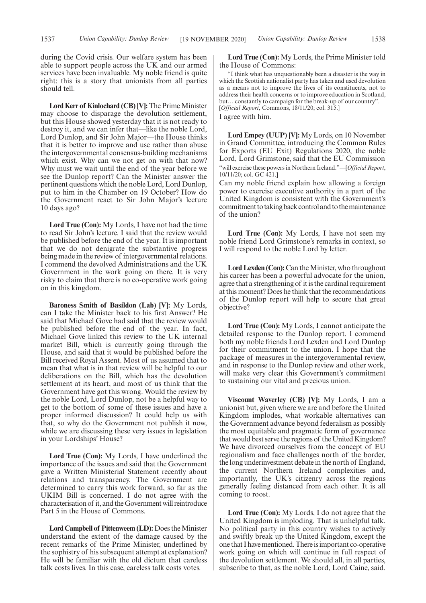during the Covid crisis. Our welfare system has been able to support people across the UK and our armed services have been invaluable. My noble friend is quite right: this is a story that unionists from all parties should tell.

**Lord Kerr of Kinlochard (CB) [V]:** The Prime Minister may choose to disparage the devolution settlement, but this House showed yesterday that it is not ready to destroy it, and we can infer that—like the noble Lord, Lord Dunlop, and Sir John Major—the House thinks that it is better to improve and use rather than abuse the intergovernmental consensus-building mechanisms which exist. Why can we not get on with that now? Why must we wait until the end of the year before we see the Dunlop report? Can the Minister answer the pertinent questions which the noble Lord, Lord Dunlop, put to him in the Chamber on 19 October? How do the Government react to Sir John Major's lecture 10 days ago?

**Lord True (Con):** My Lords, I have not had the time to read Sir John's lecture. I said that the review would be published before the end of the year. It is important that we do not denigrate the substantive progress being made in the review of intergovernmental relations. I commend the devolved Administrations and the UK Government in the work going on there. It is very risky to claim that there is no co-operative work going on in this kingdom.

**Baroness Smith of Basildon (Lab) [V]:** My Lords, can I take the Minister back to his first Answer? He said that Michael Gove had said that the review would be published before the end of the year. In fact, Michael Gove linked this review to the UK internal market Bill, which is currently going through the House, and said that it would be published before the Bill received Royal Assent. Most of us assumed that to mean that what is in that review will be helpful to our deliberations on the Bill, which has the devolution settlement at its heart, and most of us think that the Government have got this wrong. Would the review by the noble Lord, Lord Dunlop, not be a helpful way to get to the bottom of some of these issues and have a proper informed discussion? It could help us with that, so why do the Government not publish it now, while we are discussing these very issues in legislation in your Lordships' House?

**Lord True (Con):** My Lords, I have underlined the importance of the issues and said that the Government gave a Written Ministerial Statement recently about relations and transparency. The Government are determined to carry this work forward, so far as the UKIM Bill is concerned. I do not agree with the characterisation of it, and the Government will reintroduce Part 5 in the House of Commons.

**Lord Campbell of Pittenweem (LD):** Does the Minister understand the extent of the damage caused by the recent remarks of the Prime Minister, underlined by the sophistry of his subsequent attempt at explanation? He will be familiar with the old dictum that careless talk costs lives. In this case, careless talk costs votes.

**Lord True (Con):** My Lords, the Prime Minister told the House of Commons:

"I think what has unquestionably been a disaster is the way in which the Scottish nationalist party has taken and used devolution as a means not to improve the lives of its constituents, not to address their health concerns or to improve education in Scotland, but... constantly to campaign for the break-up of our country".-[*Official Report*, Commons, 18/11/20; col. 315.] I agree with him.

**Lord Empey (UUP) [V]:** My Lords, on 10 November in Grand Committee, introducing the Common Rules for Exports (EU Exit) Regulations 2020, the noble Lord, Lord Grimstone, said that the EU Commission "will exercise these powers in Northern Ireland."—[*Official Report*, 10/11/20; col. GC 421.]

Can my noble friend explain how allowing a foreign power to exercise executive authority in a part of the United Kingdom is consistent with the Government's commitment to taking back control and to the maintenance of the union?

**Lord True (Con):** My Lords, I have not seen my noble friend Lord Grimstone's remarks in context, so I will respond to the noble Lord by letter.

**Lord Lexden (Con):** Can the Minister, who throughout his career has been a powerful advocate for the union, agree that a strengthening of it is the cardinal requirement at this moment? Does he think that the recommendations of the Dunlop report will help to secure that great objective?

**Lord True (Con):** My Lords, I cannot anticipate the detailed response to the Dunlop report. I commend both my noble friends Lord Lexden and Lord Dunlop for their commitment to the union. I hope that the package of measures in the intergovernmental review, and in response to the Dunlop review and other work, will make very clear this Government's commitment to sustaining our vital and precious union.

**Viscount Waverley (CB) [V]:** My Lords, I am a unionist but, given where we are and before the United Kingdom implodes, what workable alternatives can the Government advance beyond federalism as possibly the most equitable and pragmatic form of governance that would best serve the regions of the United Kingdom? We have divorced ourselves from the concept of EU regionalism and face challenges north of the border, the long underinvestment debate in the north of England, the current Northern Ireland complexities and, importantly, the UK's citizenry across the regions generally feeling distanced from each other. It is all coming to roost.

**Lord True (Con):** My Lords, I do not agree that the United Kingdom is imploding. That is unhelpful talk. No political party in this country wishes to actively and swiftly break up the United Kingdom, except the one that I have mentioned. There is important co-operative work going on which will continue in full respect of the devolution settlement. We should all, in all parties, subscribe to that, as the noble Lord, Lord Caine, said.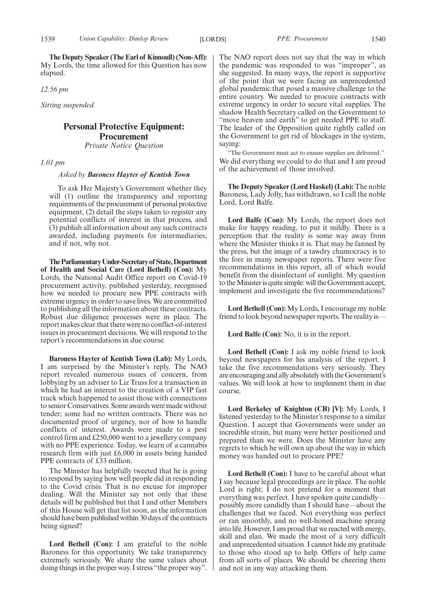**The Deputy Speaker (The Earl of Kinnoull) (Non-Afl):** My Lords, the time allowed for this Question has now elapsed.

*12.56 pm*

*Sitting suspended.*

### **Personal Protective Equipment: Procurement** *Private Notice Question*

*1.01 pm*

*Asked by Baroness Hayter of Kentish Town*

To ask Her Majesty's Government whether they will (1) outline the transparency and reporting requirements of the procurement of personal protective equipment, (2) detail the steps taken to register any potential conflicts of interest in that process, and (3) publish all information about any such contracts awarded, including payments for intermediaries; and if not, why not.

**TheParliamentaryUnder-Secretaryof State,Department of Health and Social Care (Lord Bethell) (Con):** My Lords, the National Audit Office report on Covid-19 procurement activity, published yesterday, recognised how we needed to procure new PPE contracts with extreme urgency in order to save lives. We are committed to publishing all the information about these contracts. Robust due diligence processes were in place. The report makes clear that there were no conflict-of-interest issues in procurement decisions. We will respond to the report's recommendations in due course.

**Baroness Hayter of Kentish Town (Lab):** My Lords, I am surprised by the Minister's reply. The NAO report revealed numerous issues of concern, from lobbying by an adviser to Liz Truss for a transaction in which he had an interest to the creation of a VIP fast track which happened to assist those with connections to senior Conservatives. Some awards were made without tender; some had no written contracts. There was no documented proof of urgency, nor of how to handle conflicts of interest. Awards were made to a pest control firm and £250,000 went to a jewellery company with no PPE experience. Today, we learn of a cannabis research firm with just £6,000 in assets being handed PPE contracts of £33 million.

The Minister has helpfully tweeted that he is going to respond by saying how well people did in responding to the Covid crisis. That is no excuse for improper dealing. Will the Minister say not only that these details will be published but that I and other Members of this House will get that list soon, as the information should have been published within 30 days of the contracts being signed?

**Lord Bethell (Con):** I am grateful to the noble Baroness for this opportunity. We take transparency extremely seriously. We share the same values about doing things in the proper way. I stress "the proper way". The NAO report does not say that the way in which the pandemic was responded to was "improper", as she suggested. In many ways, the report is supportive of the point that we were facing an unprecedented global pandemic that posed a massive challenge to the entire country. We needed to procure contracts with extreme urgency in order to secure vital supplies. The shadow Health Secretary called on the Government to "move heaven and earth" to get needed PPE to staff. The leader of the Opposition quite rightly called on the Government to get rid of blockages in the system, saying:

"The Government must act to ensure supplies are delivered." We did everything we could to do that and I am proud of the achievement of those involved.

**The Deputy Speaker (Lord Haskel) (Lab):** The noble Baroness, Lady Jolly, has withdrawn, so I call the noble Lord, Lord Balfe.

**Lord Balfe (Con):** My Lords, the report does not make for happy reading, to put it mildly. There is a perception that the reality is some way away from where the Minister thinks it is. That may be fanned by the press, but the image of a tawdry chumocracy is to the fore in many newspaper reports. There were five recommendations in this report, all of which would benefit from the disinfectant of sunlight. My question to the Minister is quite simple: will the Government accept, implement and investigate the five recommendations?

**Lord Bethell (Con):** My Lords, I encourage my noble friend to look beyond newspaper reports. The reality is—

**Lord Balfe (Con):** No, it is in the report.

**Lord Bethell (Con):** I ask my noble friend to look beyond newspapers for his analysis of the report. I take the five recommendations very seriously. They are encouraging and ally absolutely with the Government's values. We will look at how to implement them in due course.

**Lord Berkeley of Knighton (CB) [V]:** My Lords, I listened yesterday to the Minister's response to a similar Question. I accept that Governments were under an incredible strain, but many were better positioned and prepared than we were. Does the Minister have any regrets to which he will own up about the way in which money was handed out to procure PPE?

**Lord Bethell (Con):** I have to be careful about what I say because legal proceedings are in place. The noble Lord is right; I do not pretend for a moment that everything was perfect. I have spoken quite candidly possibly more candidly than I should have—about the challenges that we faced. Not everything was perfect or ran smoothly, and no well-honed machine sprang into life. However, I am proud that we reacted with energy, skill and elan. We made the most of a very difficult and unprecedented situation. I cannot hide my gratitude to those who stood up to help. Offers of help came from all sorts of places. We should be cheering them and not in any way attacking them.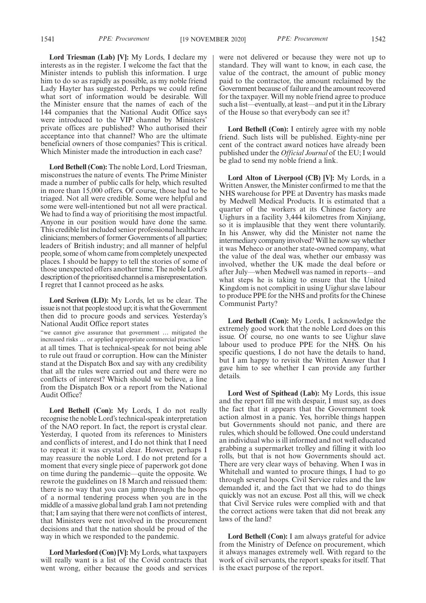1541 *PPE: Procurement* [19 NOVEMBER 2020] *PPE: Procurement* 1542

**Lord Triesman (Lab) [V]:** My Lords, I declare my interests as in the register. I welcome the fact that the Minister intends to publish this information. I urge him to do so as rapidly as possible, as my noble friend Lady Hayter has suggested. Perhaps we could refine what sort of information would be desirable. Will the Minister ensure that the names of each of the 144 companies that the National Audit Office says were introduced to the VIP channel by Ministers' private offices are published? Who authorised their acceptance into that channel? Who are the ultimate beneficial owners of those companies? This is critical. Which Minister made the introduction in each case?

**Lord Bethell (Con):** The noble Lord, Lord Triesman, misconstrues the nature of events. The Prime Minister made a number of public calls for help, which resulted in more than 15,000 offers. Of course, those had to be triaged. Not all were credible. Some were helpful and some were well-intentioned but not all were practical. We had to find a way of prioritising the most impactful. Anyone in our position would have done the same. This credible list included senior professional healthcare clinicians; members of former Governments of all parties; leaders of British industry; and all manner of helpful people, some of whom came from completely unexpected places. I should be happy to tell the stories of some of those unexpected offers another time. The noble Lord's description of the prioritised channel is a misrepresentation. I regret that I cannot proceed as he asks.

**Lord Scriven (LD):** My Lords, let us be clear. The issue is not that people stood up; it is what the Government then did to procure goods and services. Yesterday's National Audit Office report states "we cannot give assurance that government … mitigated the increased risks … or applied appropriate commercial practices" at all times. That is technical-speak for not being able to rule out fraud or corruption. How can the Minister stand at the Dispatch Box and say with any credibility that all the rules were carried out and there were no conflicts of interest? Which should we believe, a line from the Dispatch Box or a report from the National Audit Office?

**Lord Bethell (Con):** My Lords, I do not really recognise the noble Lord's technical-speak interpretation of the NAO report. In fact, the report is crystal clear. Yesterday, I quoted from its references to Ministers and conflicts of interest, and I do not think that I need to repeat it: it was crystal clear. However, perhaps I may reassure the noble Lord. I do not pretend for a moment that every single piece of paperwork got done on time during the pandemic—quite the opposite. We rewrote the guidelines on 18 March and reissued them: there is no way that you can jump through the hoops of a normal tendering process when you are in the middle of a massive global land grab. I am not pretending that; I am saying that there were not conflicts of interest, that Ministers were not involved in the procurement decisions and that the nation should be proud of the way in which we responded to the pandemic.

**Lord Marlesford (Con) [V]:** My Lords, what taxpayers will really want is a list of the Covid contracts that went wrong, either because the goods and services were not delivered or because they were not up to standard. They will want to know, in each case, the value of the contract, the amount of public money paid to the contractor, the amount reclaimed by the Government because of failure and the amount recovered for the taxpayer. Will my noble friend agree to produce such a list—eventually, at least—and put it in the Library of the House so that everybody can see it?

Lord Bethell (Con): I entirely agree with my noble friend. Such lists will be published. Eighty-nine per cent of the contract award notices have already been published under the *Official Journal* of the EU; I would be glad to send my noble friend a link.

**Lord Alton of Liverpool (CB) [V]:** My Lords, in a Written Answer, the Minister confirmed to me that the NHS warehouse for PPE at Daventry has masks made by Medwell Medical Products. It is estimated that a quarter of the workers at its Chinese factory are Uighurs in a facility 3,444 kilometres from Xinjiang, so it is implausible that they went there voluntarily. In his Answer, why did the Minister not name the intermediary company involved? Will he now say whether it was Meheco or another state-owned company, what the value of the deal was, whether our embassy was involved, whether the UK made the deal before or after July—when Medwell was named in reports—and what steps he is taking to ensure that the United Kingdom is not complicit in using Uighur slave labour to produce PPE for the NHS and profits for the Chinese Communist Party?

**Lord Bethell (Con):** My Lords, I acknowledge the extremely good work that the noble Lord does on this issue. Of course, no one wants to see Uighur slave labour used to produce PPE for the NHS. On his specific questions, I do not have the details to hand, but I am happy to revisit the Written Answer that I gave him to see whether I can provide any further details.

**Lord West of Spithead (Lab):** My Lords, this issue and the report fill me with despair, I must say, as does the fact that it appears that the Government took action almost in a panic. Yes, horrible things happen but Governments should not panic, and there are rules, which should be followed. One could understand an individual who is ill informed and not well educated grabbing a supermarket trolley and filling it with loo rolls, but that is not how Governments should act. There are very clear ways of behaving. When I was in Whitehall and wanted to procure things, I had to go through several hoops. Civil Service rules and the law demanded it, and the fact that we had to do things quickly was not an excuse. Post all this, will we check that Civil Service rules were complied with and that the correct actions were taken that did not break any laws of the land?

**Lord Bethell (Con):** I am always grateful for advice from the Ministry of Defence on procurement, which it always manages extremely well. With regard to the work of civil servants, the report speaks for itself. That is the exact purpose of the report.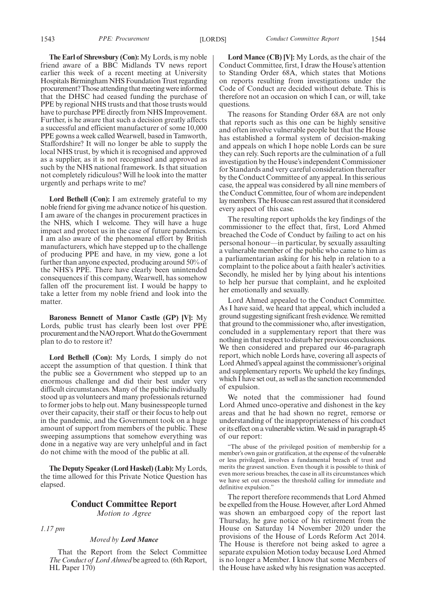**The Earl of Shrewsbury (Con):** My Lords, is my noble friend aware of a BBC Midlands TV news report earlier this week of a recent meeting at University Hospitals Birmingham NHS Foundation Trust regarding procurement? Those attending that meeting were informed that the DHSC had ceased funding the purchase of PPE by regional NHS trusts and that those trusts would have to purchase PPE directly from NHS Improvement. Further, is he aware that such a decision greatly affects a successful and efficient manufacturer of some 10,000 PPE gowns a week called Wearwell, based in Tamworth, Staffordshire? It will no longer be able to supply the local NHS trust, by which it is recognised and approved as a supplier, as it is not recognised and approved as such by the NHS national framework. Is that situation not completely ridiculous? Will he look into the matter urgently and perhaps write to me?

**Lord Bethell (Con):** I am extremely grateful to my noble friend for giving me advance notice of his question. I am aware of the changes in procurement practices in the NHS, which I welcome. They will have a huge impact and protect us in the case of future pandemics. I am also aware of the phenomenal effort by British manufacturers, which have stepped up to the challenge of producing PPE and have, in my view, gone a lot further than anyone expected, producing around 50% of the NHS's PPE. There have clearly been unintended consequences if this company, Wearwell, has somehow fallen off the procurement list. I would be happy to take a letter from my noble friend and look into the matter.

**Baroness Bennett of Manor Castle (GP) [V]:** My Lords, public trust has clearly been lost over PPE procurement and the NAO report. What do the Government plan to do to restore it?

**Lord Bethell (Con):** My Lords, I simply do not accept the assumption of that question. I think that the public see a Government who stepped up to an enormous challenge and did their best under very difficult circumstances. Many of the public individually stood up as volunteers and many professionals returned to former jobs to help out. Many businesspeople turned over their capacity, their staff or their focus to help out in the pandemic, and the Government took on a huge amount of support from members of the public. These sweeping assumptions that somehow everything was done in a negative way are very unhelpful and in fact do not chime with the mood of the public at all.

**The Deputy Speaker (Lord Haskel) (Lab):** My Lords, the time allowed for this Private Notice Question has elapsed.

### **Conduct Committee Report**

*Motion to Agree*

*1.17 pm*

### *Moved by Lord Mance*

That the Report from the Select Committee *The Conduct of Lord Ahmed* be agreed to. (6th Report, HL Paper 170)

**Lord Mance (CB) [V]:** My Lords, as the chair of the Conduct Committee, first, I draw the House's attention to Standing Order 68A, which states that Motions on reports resulting from investigations under the Code of Conduct are decided without debate. This is therefore not an occasion on which I can, or will, take questions.

The reasons for Standing Order 68A are not only that reports such as this one can be highly sensitive and often involve vulnerable people but that the House has established a formal system of decision-making and appeals on which I hope noble Lords can be sure they can rely. Such reports are the culmination of a full investigation by the House's independent Commissioner for Standards and very careful consideration thereafter by the Conduct Committee of any appeal. In this serious case, the appeal was considered by all nine members of the Conduct Committee, four of whom are independent lay members. The House can rest assured that it considered every aspect of this case.

The resulting report upholds the key findings of the commissioner to the effect that, first, Lord Ahmed breached the Code of Conduct by failing to act on his personal honour—in particular, by sexually assaulting a vulnerable member of the public who came to him as a parliamentarian asking for his help in relation to a complaint to the police about a faith healer's activities. Secondly, he misled her by lying about his intentions to help her pursue that complaint, and he exploited her emotionally and sexually.

Lord Ahmed appealed to the Conduct Committee. As I have said, we heard that appeal, which included a ground suggesting significant fresh evidence. We remitted that ground to the commissioner who, after investigation, concluded in a supplementary report that there was nothing in that respect to disturb her previous conclusions. We then considered and prepared our 46-paragraph report, which noble Lords have, covering all aspects of Lord Ahmed's appeal against the commissioner's original and supplementary reports. We upheld the key findings, which I have set out, as well as the sanction recommended of expulsion.

We noted that the commissioner had found Lord Ahmed unco-operative and dishonest in the key areas and that he had shown no regret, remorse or understanding of the inappropriateness of his conduct or its effect on a vulnerable victim. We said in paragraph 45 of our report:

The abuse of the privileged position of membership for a member's own gain or gratification, at the expense of the vulnerable or less privileged, involves a fundamental breach of trust and merits the gravest sanction. Even though it is possible to think of even more serious breaches, the case in all its circumstances which we have set out crosses the threshold calling for immediate and definitive expulsion.'

The report therefore recommends that Lord Ahmed be expelled from the House. However, after Lord Ahmed was shown an embargoed copy of the report last Thursday, he gave notice of his retirement from the House on Saturday 14 November 2020 under the provisions of the House of Lords Reform Act 2014. The House is therefore not being asked to agree a separate expulsion Motion today because Lord Ahmed is no longer a Member. I know that some Members of the House have asked why his resignation was accepted.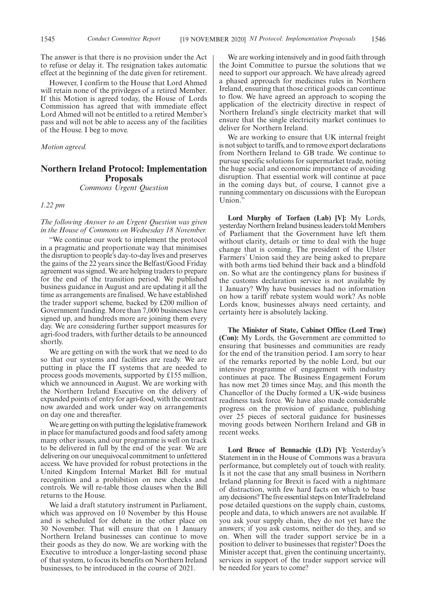The answer is that there is no provision under the Act to refuse or delay it. The resignation takes automatic effect at the beginning of the date given for retirement.

However, I confirm to the House that Lord Ahmed will retain none of the privileges of a retired Member. If this Motion is agreed today, the House of Lords Commission has agreed that with immediate effect Lord Ahmed will not be entitled to a retired Member's pass and will not be able to access any of the facilities of the House. I beg to move.

*Motion agreed.*

### **Northern Ireland Protocol: Implementation Proposals**

*Commons Urgent Question*

*1.22 pm*

*The following Answer to an Urgent Question was given in the House of Commons on Wednesday 18 November.*

"We continue our work to implement the protocol in a pragmatic and proportionate way that minimises the disruption to people's day-to-day lives and preserves the gains of the 22 years since the Belfast/Good Friday agreement was signed. We are helping traders to prepare for the end of the transition period. We published business guidance in August and are updating it all the time as arrangements are finalised. We have established the trader support scheme, backed by £200 million of Government funding. More than 7,000 businesses have signed up, and hundreds more are joining them every day. We are considering further support measures for agri-food traders, with further details to be announced shortly.

We are getting on with the work that we need to do so that our systems and facilities are ready. We are putting in place the IT systems that are needed to process goods movements, supported by £155 million, which we announced in August. We are working with the Northern Ireland Executive on the delivery of expanded points of entry for agri-food, with the contract now awarded and work under way on arrangements on day one and thereafter.

We are getting on with putting the legislative framework in place for manufactured goods and food safety among many other issues, and our programme is well on track to be delivered in full by the end of the year. We are delivering on our unequivocal commitment to unfettered access. We have provided for robust protections in the United Kingdom Internal Market Bill for mutual recognition and a prohibition on new checks and controls. We will re-table those clauses when the Bill returns to the House.

We laid a draft statutory instrument in Parliament, which was approved on 10 November by this House and is scheduled for debate in the other place on 30 November. That will ensure that on 1 January Northern Ireland businesses can continue to move their goods as they do now. We are working with the Executive to introduce a longer-lasting second phase of that system, to focus its benefits on Northern Ireland businesses, to be introduced in the course of 2021.

We are working intensively and in good faith through the Joint Committee to pursue the solutions that we need to support our approach. We have already agreed a phased approach for medicines rules in Northern Ireland, ensuring that those critical goods can continue to flow. We have agreed an approach to scoping the application of the electricity directive in respect of Northern Ireland's single electricity market that will ensure that the single electricity market continues to deliver for Northern Ireland.

We are working to ensure that UK internal freight is not subject to tariffs, and to remove export declarations from Northern Ireland to GB trade. We continue to pursue specific solutions for supermarket trade, noting the huge social and economic importance of avoiding disruption. That essential work will continue at pace in the coming days but, of course, I cannot give a running commentary on discussions with the European Union.

**Lord Murphy of Torfaen (Lab) [V]:** My Lords, yesterday Northern Ireland business leaders told Members of Parliament that the Government have left them without clarity, details or time to deal with the huge change that is coming. The president of the Ulster Farmers' Union said they are being asked to prepare with both arms tied behind their back and a blindfold on. So what are the contingency plans for business if the customs declaration service is not available by 1 January? Why have businesses had no information on how a tariff rebate system would work? As noble Lords know, businesses always need certainty, and certainty here is absolutely lacking.

**The Minister of State, Cabinet Office (Lord True) (Con):** My Lords, the Government are committed to ensuring that businesses and communities are ready for the end of the transition period. I am sorry to hear of the remarks reported by the noble Lord, but our intensive programme of engagement with industry continues at pace. The Business Engagement Forum has now met 20 times since May, and this month the Chancellor of the Duchy formed a UK-wide business readiness task force. We have also made considerable progress on the provision of guidance, publishing over 25 pieces of sectoral guidance for businesses moving goods between Northern Ireland and GB in recent weeks.

**Lord Bruce of Bennachie (LD) [V]:** Yesterday's Statement in in the House of Commons was a bravura performance, but completely out of touch with reality. Is it not the case that any small business in Northern Ireland planning for Brexit is faced with a nightmare of distraction, with few hard facts on which to base any decisions? The five essential steps on InterTradeIreland pose detailed questions on the supply chain, customs, people and data, to which answers are not available. If you ask your supply chain, they do not yet have the answers; if you ask customs, neither do they, and so on. When will the trader support service be in a position to deliver to businesses that register? Does the Minister accept that, given the continuing uncertainty, services in support of the trader support service will be needed for years to come?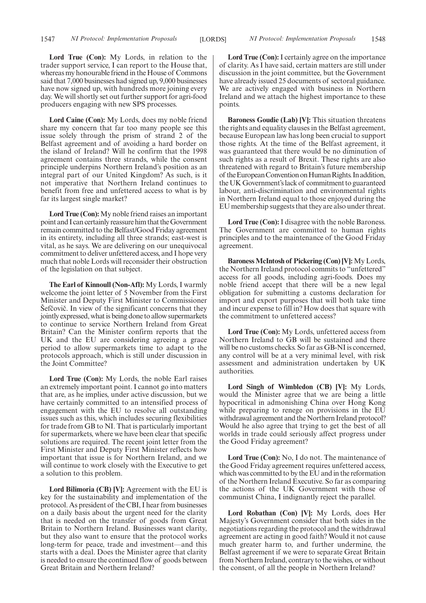**Lord True (Con):** My Lords, in relation to the trader support service, I can report to the House that, whereas my honourable friend in the House of Commons said that 7,000 businesses had signed up, 9,000 businesses have now signed up, with hundreds more joining every day. We will shortly set out further support for agri-food producers engaging with new SPS processes.

**Lord Caine (Con):** My Lords, does my noble friend share my concern that far too many people see this issue solely through the prism of strand 2 of the Belfast agreement and of avoiding a hard border on the island of Ireland? Will he confirm that the 1998 agreement contains three strands, while the consent principle underpins Northern Ireland's position as an integral part of our United Kingdom? As such, is it not imperative that Northern Ireland continues to benefit from free and unfettered access to what is by far its largest single market?

**Lord True (Con):** My noble friend raises an important point and I can certainly reassure him that the Government remain committed to the Belfast/Good Friday agreement in its entirety, including all three strands; east-west is vital, as he says. We are delivering on our unequivocal commitment to deliver unfettered access, and I hope very much that noble Lords will reconsider their obstruction of the legislation on that subject.

**The Earl of Kinnoull (Non-Afl):** My Lords, I warmly welcome the joint letter of 5 November from the First Minister and Deputy First Minister to Commissioner Sefcovic. In view of the significant concerns that they jointly expressed, what is being done to allow supermarkets to continue to service Northern Ireland from Great Britain? Can the Minister confirm reports that the UK and the EU are considering agreeing a grace period to allow supermarkets time to adapt to the protocols approach, which is still under discussion in the Joint Committee?

**Lord True (Con):** My Lords, the noble Earl raises an extremely important point. I cannot go into matters that are, as he implies, under active discussion, but we have certainly committed to an intensified process of engagement with the EU to resolve all outstanding issues such as this, which includes securing flexibilities for trade from GB to NI. That is particularly important for supermarkets, where we have been clear that specific solutions are required. The recent joint letter from the First Minister and Deputy First Minister reflects how important that issue is for Northern Ireland, and we will continue to work closely with the Executive to get a solution to this problem.

**Lord Bilimoria (CB) [V]:** Agreement with the EU is key for the sustainability and implementation of the protocol. As president of the CBI, I hear from businesses on a daily basis about the urgent need for the clarity that is needed on the transfer of goods from Great Britain to Northern Ireland. Businesses want clarity, but they also want to ensure that the protocol works long-term for peace, trade and investment—and this starts with a deal. Does the Minister agree that clarity is needed to ensure the continued flow of goods between Great Britain and Northern Ireland?

Lord True (Con): I certainly agree on the importance of clarity. As I have said, certain matters are still under discussion in the joint committee, but the Government have already issued 25 documents of sectoral guidance. We are actively engaged with business in Northern Ireland and we attach the highest importance to these points.

**Baroness Goudie (Lab) [V]:** This situation threatens the rights and equality clauses in the Belfast agreement, because European law has long been crucial to support those rights. At the time of the Belfast agreement, it was guaranteed that there would be no diminution of such rights as a result of Brexit. These rights are also threatened with regard to Britain's future membership of the European Convention on Human Rights. In addition, the UK Government's lack of commitment to guaranteed labour, anti-discrimination and environmental rights in Northern Ireland equal to those enjoyed during the EU membership suggests that they are also under threat.

**Lord True (Con):** I disagree with the noble Baroness. The Government are committed to human rights principles and to the maintenance of the Good Friday agreement.

**Baroness McIntosh of Pickering (Con) [V]:** My Lords, the Northern Ireland protocol commits to "unfettered" access for all goods, including agri-foods. Does my noble friend accept that there will be a new legal obligation for submitting a customs declaration for import and export purposes that will both take time and incur expense to fill in? How does that square with the commitment to unfettered access?

**Lord True (Con):** My Lords, unfettered access from Northern Ireland to GB will be sustained and there will be no customs checks. So far as GB-NI is concerned, any control will be at a very minimal level, with risk assessment and administration undertaken by UK authorities.

**Lord Singh of Wimbledon (CB) [V]:** My Lords, would the Minister agree that we are being a little hypocritical in admonishing China over Hong Kong while preparing to renege on provisions in the EU withdrawal agreement and the Northern Ireland protocol? Would he also agree that trying to get the best of all worlds in trade could seriously affect progress under the Good Friday agreement?

**Lord True (Con):** No, I do not. The maintenance of the Good Friday agreement requires unfettered access, which was committed to by the EU and in the reformation of the Northern Ireland Executive. So far as comparing the actions of the UK Government with those of communist China, I indignantly reject the parallel.

**Lord Robathan (Con) [V]:** My Lords, does Her Majesty's Government consider that both sides in the negotiations regarding the protocol and the withdrawal agreement are acting in good faith? Would it not cause much greater harm to, and further undermine, the Belfast agreement if we were to separate Great Britain from Northern Ireland, contrary to the wishes, or without the consent, of all the people in Northern Ireland?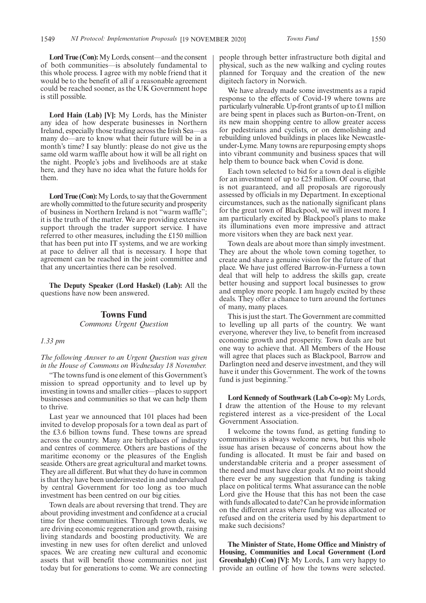**Lord True (Con):**My Lords, consent—and the consent of both communities—is absolutely fundamental to this whole process. I agree with my noble friend that it would be to the benefit of all if a reasonable agreement could be reached sooner, as the UK Government hope is still possible.

**Lord Hain (Lab) [V]:** My Lords, has the Minister any idea of how desperate businesses in Northern Ireland, especially those trading across the Irish Sea—as many do—are to know what their future will be in a month's time? I say bluntly: please do not give us the same old warm waffle about how it will be all right on the night. People's jobs and livelihoods are at stake here, and they have no idea what the future holds for them.

**Lord True (Con):**My Lords, to say that the Government are wholly committed to the future security and prosperity of business in Northern Ireland is not "warm waffle"; it is the truth of the matter. We are providing extensive support through the trader support service. I have referred to other measures, including the £150 million that has been put into IT systems, and we are working at pace to deliver all that is necessary. I hope that agreement can be reached in the joint committee and that any uncertainties there can be resolved.

**The Deputy Speaker (Lord Haskel) (Lab):** All the questions have now been answered.

### **Towns Fund** *Commons Urgent Question*

### *1.33 pm*

*The following Answer to an Urgent Question was given in the House of Commons on Wednesday 18 November.*

"The towns fund is one element of this Government's mission to spread opportunity and to level up by investing in towns and smaller cities—places to support businesses and communities so that we can help them to thrive.

Last year we announced that 101 places had been invited to develop proposals for a town deal as part of the £3.6 billion towns fund. These towns are spread across the country. Many are birthplaces of industry and centres of commerce. Others are bastions of the maritime economy or the pleasures of the English seaside. Others are great agricultural and market towns. They are all different. But what they do have in common is that they have been underinvested in and undervalued by central Government for too long as too much investment has been centred on our big cities.

Town deals are about reversing that trend. They are about providing investment and confidence at a crucial time for these communities. Through town deals, we are driving economic regeneration and growth, raising living standards and boosting productivity. We are investing in new uses for often derelict and unloved spaces. We are creating new cultural and economic assets that will benefit those communities not just today but for generations to come. We are connecting people through better infrastructure both digital and physical, such as the new walking and cycling routes planned for Torquay and the creation of the new digitech factory in Norwich.

We have already made some investments as a rapid response to the effects of Covid-19 where towns are particularly vulnerable. Up-front grants of up to £1 million are being spent in places such as Burton-on-Trent, on its new main shopping centre to allow greater access for pedestrians and cyclists, or on demolishing and rebuilding unloved buildings in places like Newcastleunder-Lyme. Many towns are repurposing empty shops into vibrant community and business spaces that will help them to bounce back when Covid is done.

Each town selected to bid for a town deal is eligible for an investment of up to £25 million. Of course, that is not guaranteed, and all proposals are rigorously assessed by officials in my Department. In exceptional circumstances, such as the nationally significant plans for the great town of Blackpool, we will invest more. I am particularly excited by Blackpool's plans to make its illuminations even more impressive and attract more visitors when they are back next year.

Town deals are about more than simply investment. They are about the whole town coming together, to create and share a genuine vision for the future of that place. We have just offered Barrow-in-Furness a town deal that will help to address the skills gap, create better housing and support local businesses to grow and employ more people. I am hugely excited by these deals. They offer a chance to turn around the fortunes of many, many places.

This is just the start. The Government are committed to levelling up all parts of the country. We want everyone, wherever they live, to benefit from increased economic growth and prosperity. Town deals are but one way to achieve that. All Members of the House will agree that places such as Blackpool, Barrow and Darlington need and deserve investment, and they will have it under this Government. The work of the towns fund is just beginning."

**Lord Kennedy of Southwark (Lab Co-op):** My Lords, I draw the attention of the House to my relevant registered interest as a vice-president of the Local Government Association.

I welcome the towns fund, as getting funding to communities is always welcome news, but this whole issue has arisen because of concerns about how the funding is allocated. It must be fair and based on understandable criteria and a proper assessment of the need and must have clear goals. At no point should there ever be any suggestion that funding is taking place on political terms. What assurance can the noble Lord give the House that this has not been the case with funds allocated to date? Can he provide information on the different areas where funding was allocated or refused and on the criteria used by his department to make such decisions?

**The Minister of State, Home Office and Ministry of Housing, Communities and Local Government (Lord Greenhalgh) (Con) [V]:** My Lords, I am very happy to provide an outline of how the towns were selected.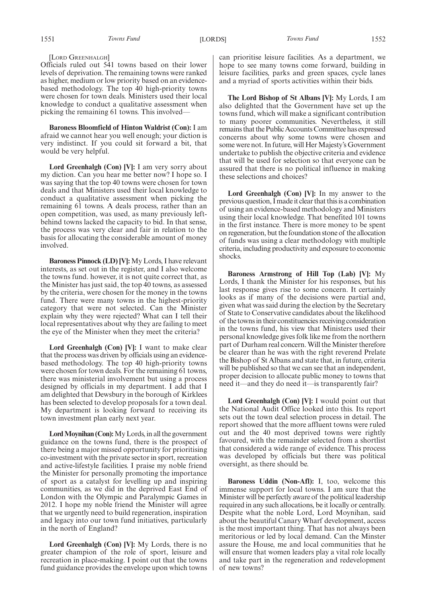[LORD GREENHALGH]

Officials ruled out 541 towns based on their lower levels of deprivation. The remaining towns were ranked as higher, medium or low priority based on an evidencebased methodology. The top 40 high-priority towns were chosen for town deals. Ministers used their local knowledge to conduct a qualitative assessment when picking the remaining 61 towns. This involved—

**Baroness Bloomfield of Hinton Waldrist (Con):** I am afraid we cannot hear you well enough; your diction is very indistinct. If you could sit forward a bit, that would be very helpful.

**Lord Greenhalgh (Con) [V]:** I am very sorry about my diction. Can you hear me better now? I hope so. I was saying that the top 40 towns were chosen for town deals and that Ministers used their local knowledge to conduct a qualitative assessment when picking the remaining 61 towns. A deals process, rather than an open competition, was used, as many previously leftbehind towns lacked the capacity to bid. In that sense, the process was very clear and fair in relation to the basis for allocating the considerable amount of money involved.

**Baroness Pinnock (LD) [V]:** My Lords, I have relevant interests, as set out in the register, and I also welcome the towns fund. however, it is not quite correct that, as the Minister has just said, the top 40 towns, as assessed by the criteria, were chosen for the money in the towns fund. There were many towns in the highest-priority category that were not selected. Can the Minister explain why they were rejected? What can I tell their local representatives about why they are failing to meet the eye of the Minister when they meet the criteria?

**Lord Greenhalgh (Con) [V]:** I want to make clear that the process was driven by officials using an evidencebased methodology. The top 40 high-priority towns were chosen for town deals. For the remaining 61 towns, there was ministerial involvement but using a process designed by officials in my department. I add that I am delighted that Dewsbury in the borough of Kirklees has been selected to develop proposals for a town deal. My department is looking forward to receiving its town investment plan early next year.

**Lord Moynihan (Con):**My Lords, in all the government guidance on the towns fund, there is the prospect of there being a major missed opportunity for prioritising co-investment with the private sector in sport, recreation and active-lifestyle facilities. I praise my noble friend the Minister for personally promoting the importance of sport as a catalyst for levelling up and inspiring communities, as we did in the deprived East End of London with the Olympic and Paralympic Games in 2012. I hope my noble friend the Minister will agree that we urgently need to build regeneration, inspiration and legacy into our town fund initiatives, particularly in the north of England?

**Lord Greenhalgh (Con) [V]:** My Lords, there is no greater champion of the role of sport, leisure and recreation in place-making. I point out that the towns fund guidance provides the envelope upon which towns can prioritise leisure facilities. As a department, we hope to see many towns come forward, building in leisure facilities, parks and green spaces, cycle lanes and a myriad of sports activities within their bids.

**The Lord Bishop of St Albans [V]:** My Lords, I am also delighted that the Government have set up the towns fund, which will make a significant contribution to many poorer communities. Nevertheless, it still remains that the Public Accounts Committee has expressed concerns about why some towns were chosen and some were not. In future, will Her Majesty's Government undertake to publish the objective criteria and evidence that will be used for selection so that everyone can be assured that there is no political influence in making these selections and choices?

**Lord Greenhalgh (Con) [V]:** In my answer to the previous question, I made it clear that this is a combination of using an evidence-based methodology and Ministers using their local knowledge. That benefited 101 towns in the first instance. There is more money to be spent on regeneration, but the foundation stone of the allocation of funds was using a clear methodology with multiple criteria, including productivity and exposure to economic shocks.

**Baroness Armstrong of Hill Top (Lab) [V]:** My Lords, I thank the Minister for his responses, but his last response gives rise to some concern. It certainly looks as if many of the decisions were partial and, given what was said during the election by the Secretary of State to Conservative candidates about the likelihood of the towns in their constituencies receiving consideration in the towns fund, his view that Ministers used their personal knowledge gives folk like me from the northern part of Durham real concern. Will the Minister therefore be clearer than he was with the right reverend Prelate the Bishop of St Albans and state that, in future, criteria will be published so that we can see that an independent, proper decision to allocate public money to towns that need it—and they do need it—is transparently fair?

**Lord Greenhalgh (Con) [V]:** I would point out that the National Audit Office looked into this. Its report sets out the town deal selection process in detail. The report showed that the more affluent towns were ruled out and the 40 most deprived towns were rightly favoured, with the remainder selected from a shortlist that considered a wide range of evidence. This process was developed by officials but there was political oversight, as there should be.

**Baroness Uddin (Non-Afl):** I, too, welcome this immense support for local towns. I am sure that the Minister will be perfectly aware of the political leadership required in any such allocations, be it locally or centrally. Despite what the noble Lord, Lord Moynihan, said about the beautiful Canary Wharf development, access is the most important thing. That has not always been meritorious or led by local demand. Can the Minster assure the House, me and local communities that he will ensure that women leaders play a vital role locally and take part in the regeneration and redevelopment of new towns?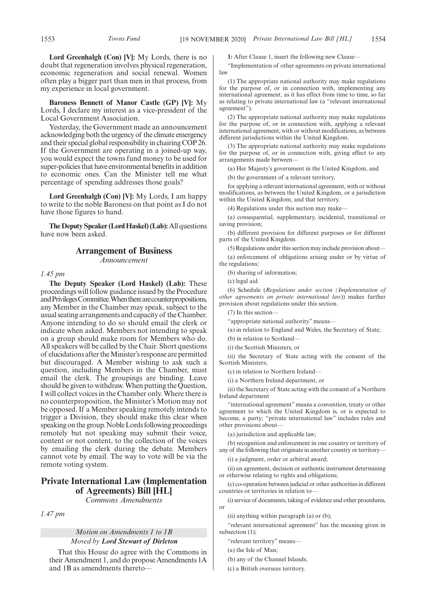**Lord Greenhalgh (Con) [V]:** My Lords, there is no doubt that regeneration involves physical regeneration, economic regeneration and social renewal. Women often play a bigger part than men in that process, from my experience in local government.

**Baroness Bennett of Manor Castle (GP) [V]:** My Lords, I declare my interest as a vice-president of the Local Government Association.

Yesterday, the Government made an announcement acknowledging both the urgency of the climate emergency and their special global responsibility in chairing COP 26. If the Government are operating in a joined-up way, you would expect the towns fund money to be used for super-policies that have environmental benefits in addition to economic ones. Can the Minister tell me what percentage of spending addresses those goals?

**Lord Greenhalgh (Con) [V]:** My Lords, I am happy to write to the noble Baroness on that point as I do not have those figures to hand.

**The Deputy Speaker (Lord Haskel) (Lab):**All questions have now been asked.

### **Arrangement of Business**

*Announcement*

### *1.45 pm*

**The Deputy Speaker (Lord Haskel) (Lab):** These proceedings will follow guidance issued by the Procedure andPrivilegesCommittee.Whentherearecounterpropositions, any Member in the Chamber may speak, subject to the usual seating arrangements and capacity of the Chamber. Anyone intending to do so should email the clerk or indicate when asked. Members not intending to speak on a group should make room for Members who do. All speakers will be called by the Chair. Short questions of elucidations after the Minister's response are permitted but discouraged. A Member wishing to ask such a question, including Members in the Chamber, must email the clerk. The groupings are binding. Leave should be given to withdraw. When putting the Question, I will collect voices in the Chamber only. Where there is no counterproposition, the Minister's Motion may not be opposed. If a Member speaking remotely intends to trigger a Division, they should make this clear when speaking on the group. Noble Lords following proceedings remotely but not speaking may submit their voice, content or not content, to the collection of the voices by emailing the clerk during the debate. Members cannot vote by email. The way to vote will be via the remote voting system.

### **Private International Law (Implementation of Agreements) Bill [HL]**

*Commons Amendments*

*1.47 pm*

### *Motion on Amendments 1 to 1B Moved by Lord Stewart of Dirleton*

That this House do agree with the Commons in their Amendment 1, and do propose Amendments 1A and 1B as amendments thereto**1:** After Clause 1, insert the following new Clause—

"Implementation of other agreements on private international law

(1) The appropriate national authority may make regulations for the purpose of, or in connection with, implementing any international agreement, as it has effect from time to time, so far as relating to private international law (a "relevant international agreement").

(2) The appropriate national authority may make regulations for the purpose of, or in connection with, applying a relevant international agreement, with or without modifications, as between different jurisdictions within the United Kingdom.

(3) The appropriate national authority may make regulations for the purpose of, or in connection with, giving effect to any arrangements made between—

(a) Her Majesty's government in the United Kingdom, and

(b) the government of a relevant territory,

for applying a relevant international agreement, with or without modifications, as between the United Kingdom, or a jurisdiction within the United Kingdom, and that territory.

(4) Regulations under this section may make—

(a) consequential, supplementary, incidental, transitional or saving provision;

(b) different provision for different purposes or for different parts of the United Kingdom.

(5) Regulations under this section may include provision about— (a) enforcement of obligations arising under or by virtue of the regulations;

(b) sharing of information;

(c) legal aid.

(6) Schedule (*Regulations under section (Implementation of other agreements on private international law*)) makes further provision about regulations under this section.

(7) In this section—

"appropriate national authority" means—

(a) in relation to England and Wales, the Secretary of State;

(b) in relation to Scotland—

(i) the Scottish Ministers, or

(ii) the Secretary of State acting with the consent of the Scottish Ministers;

(c) in relation to Northern Ireland—

(i) a Northern Ireland department, or

(ii) the Secretary of State acting with the consent of a Northern Ireland department

"international agreement" means a convention, treaty or other agreement to which the United Kingdom is, or is expected to become, a party; "private international law" includes rules and other provisions about—

(a) jurisdiction and applicable law;

(b) recognition and enforcement in one country or territory of any of the following that originate in another country or territory—

(i) a judgment, order or arbitral award;

(ii) an agreement, decision or authentic instrument determining or otherwise relating to rights and obligations;

(c) co-operation between judicial or other authorities in different countries or territories in relation to—

(i) service of documents, taking of evidence and other procedures, or

(ii) anything within paragraph (a) or (b);

"relevant international agreement" has the meaning given in subsection (1):

"relevant territory" means—

(a) the Isle of Man;

(b) any of the Channel Islands;

(c) a British overseas territory.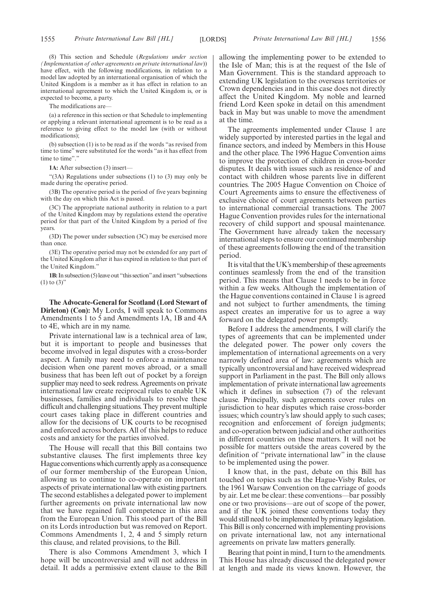(8) This section and Schedule (*Regulations under section (Implementation of other agreements on private international law*)) have effect, with the following modifications, in relation to a model law adopted by an international organisation of which the United Kingdom is a member as it has effect in relation to an international agreement to which the United Kingdom is, or is expected to become, a party.

The modifications are—

(a) a reference in this section or that Schedule to implementing or applying a relevant international agreement is to be read as a reference to giving effect to the model law (with or without modifications);

(b) subsection (1) is to be read as if the words "as revised from time to time" were substituted for the words "as it has effect from time to time"."

**1A:** After subsection (3) insert—

"(3A) Regulations under subsections (1) to (3) may only be made during the operative period.

(3B) The operative period is the period of five years beginning with the day on which this Act is passed.

(3C) The appropriate national authority in relation to a part of the United Kingdom may by regulations extend the operative period for that part of the United Kingdom by a period of five years.

(3D) The power under subsection (3C) may be exercised more than once.

(3E) The operative period may not be extended for any part of the United Kingdom after it has expired in relation to that part of the United Kingdom."

**1B:**In subsection (5) leave out "this section"and insert "subsections  $(1)$  to  $(3)$ "

**The Advocate-General for Scotland (Lord Stewart of Dirleton) (Con):** My Lords, I will speak to Commons Amendments 1 to 5 and Amendments 1A, 1B and 4A to 4E, which are in my name.

Private international law is a technical area of law, but it is important to people and businesses that become involved in legal disputes with a cross-border aspect. A family may need to enforce a maintenance decision when one parent moves abroad, or a small business that has been left out of pocket by a foreign supplier may need to seek redress. Agreements on private international law create reciprocal rules to enable UK businesses, families and individuals to resolve these difficult and challenging situations. They prevent multiple court cases taking place in different countries and allow for the decisions of UK courts to be recognised and enforced across borders. All of this helps to reduce costs and anxiety for the parties involved.

The House will recall that this Bill contains two substantive clauses. The first implements three key Hague conventions which currently apply as a consequence of our former membership of the European Union, allowing us to continue to co-operate on important aspects of private international law with existing partners. The second establishes a delegated power to implement further agreements on private international law now that we have regained full competence in this area from the European Union. This stood part of the Bill on its Lords introduction but was removed on Report. Commons Amendments 1, 2, 4 and 5 simply return this clause, and related provisions, to the Bill.

There is also Commons Amendment 3, which I hope will be uncontroversial and will not address in detail. It adds a permissive extent clause to the Bill allowing the implementing power to be extended to the Isle of Man; this is at the request of the Isle of Man Government. This is the standard approach to extending UK legislation to the overseas territories or Crown dependencies and in this case does not directly affect the United Kingdom. My noble and learned friend Lord Keen spoke in detail on this amendment back in May but was unable to move the amendment at the time.

The agreements implemented under Clause 1 are widely supported by interested parties in the legal and finance sectors, and indeed by Members in this House and the other place. The 1996 Hague Convention aims to improve the protection of children in cross-border disputes. It deals with issues such as residence of and contact with children whose parents live in different countries. The 2005 Hague Convention on Choice of Court Agreements aims to ensure the effectiveness of exclusive choice of court agreements between parties to international commercial transactions. The 2007 Hague Convention provides rules for the international recovery of child support and spousal maintenance. The Government have already taken the necessary international steps to ensure our continued membership of these agreements following the end of the transition period.

It is vital that the UK's membership of these agreements continues seamlessly from the end of the transition period. This means that Clause 1 needs to be in force within a few weeks. Although the implementation of the Hague conventions contained in Clause 1 is agreed and not subject to further amendments, the timing aspect creates an imperative for us to agree a way forward on the delegated power promptly.

Before I address the amendments, I will clarify the types of agreements that can be implemented under the delegated power. The power only covers the implementation of international agreements on a very narrowly defined area of law: agreements which are typically uncontroversial and have received widespread support in Parliament in the past. The Bill only allows implementation of private international law agreements which it defines in subsection (7) of the relevant clause. Principally, such agreements cover rules on jurisdiction to hear disputes which raise cross-border issues; which country's law should apply to such cases; recognition and enforcement of foreign judgments; and co-operation between judicial and other authorities in different countries on these matters. It will not be possible for matters outside the areas covered by the definition of "private international law" in the clause to be implemented using the power.

I know that, in the past, debate on this Bill has touched on topics such as the Hague-Visby Rules, or the 1961 Warsaw Convention on the carriage of goods by air. Let me be clear: these conventions—bar possibly one or two provisions—are out of scope of the power, and if the UK joined these conventions today they would still need to be implemented by primary legislation. This Bill is only concerned with implementing provisions on private international law, not any international agreements on private law matters generally.

Bearing that point in mind, I turn to the amendments. This House has already discussed the delegated power at length and made its views known. However, the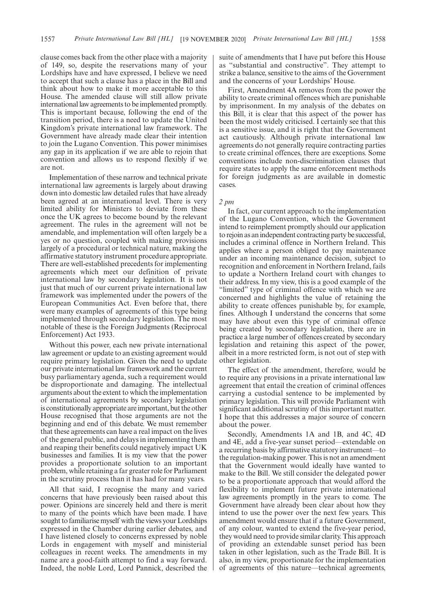clause comes back from the other place with a majority of 149, so, despite the reservations many of your Lordships have and have expressed, I believe we need to accept that such a clause has a place in the Bill and think about how to make it more acceptable to this House. The amended clause will still allow private international law agreements to be implemented promptly. This is important because, following the end of the transition period, there is a need to update the United Kingdom's private international law framework. The Government have already made clear their intention to join the Lugano Convention. This power minimises any gap in its application if we are able to rejoin that convention and allows us to respond flexibly if we are not.

Implementation of these narrow and technical private international law agreements is largely about drawing down into domestic law detailed rules that have already been agreed at an international level. There is very limited ability for Ministers to deviate from these once the UK agrees to become bound by the relevant agreement. The rules in the agreement will not be amendable, and implementation will often largely be a yes or no question, coupled with making provisions largely of a procedural or technical nature, making the affirmative statutory instrument procedure appropriate. There are well-established precedents for implementing agreements which meet our definition of private international law by secondary legislation. It is not just that much of our current private international law framework was implemented under the powers of the European Communities Act. Even before that, there were many examples of agreements of this type being implemented through secondary legislation. The most notable of these is the Foreign Judgments (Reciprocal Enforcement) Act 1933.

Without this power, each new private international law agreement or update to an existing agreement would require primary legislation. Given the need to update our private international law framework and the current busy parliamentary agenda, such a requirement would be disproportionate and damaging. The intellectual arguments about the extent to which the implementation of international agreements by secondary legislation is constitutionally appropriate are important, but the other House recognised that those arguments are not the beginning and end of this debate. We must remember that these agreements can have a real impact on the lives of the general public, and delays in implementing them and reaping their benefits could negatively impact UK businesses and families. It is my view that the power provides a proportionate solution to an important problem, while retaining a far greater role for Parliament in the scrutiny process than it has had for many years.

All that said, I recognise the many and varied concerns that have previously been raised about this power. Opinions are sincerely held and there is merit to many of the points which have been made. I have sought to familiarise myself with the views your Lordships expressed in the Chamber during earlier debates, and I have listened closely to concerns expressed by noble Lords in engagement with myself and ministerial colleagues in recent weeks. The amendments in my name are a good-faith attempt to find a way forward. Indeed, the noble Lord, Lord Pannick, described the suite of amendments that I have put before this House as "substantial and constructive". They attempt to strike a balance, sensitive to the aims of the Government and the concerns of your Lordships' House.

First, Amendment 4A removes from the power the ability to create criminal offences which are punishable by imprisonment. In my analysis of the debates on this Bill, it is clear that this aspect of the power has been the most widely criticised. I certainly see that this is a sensitive issue, and it is right that the Government act cautiously. Although private international law agreements do not generally require contracting parties to create criminal offences, there are exceptions. Some conventions include non-discrimination clauses that require states to apply the same enforcement methods for foreign judgments as are available in domestic cases.

### *2 pm*

In fact, our current approach to the implementation of the Lugano Convention, which the Government intend to reimplement promptly should our application to rejoin as an independent contracting party be successful, includes a criminal offence in Northern Ireland. This applies where a person obliged to pay maintenance under an incoming maintenance decision, subject to recognition and enforcement in Northern Ireland, fails to update a Northern Ireland court with changes to their address. In my view, this is a good example of the "limited" type of criminal offence with which we are concerned and highlights the value of retaining the ability to create offences punishable by, for example, fines. Although I understand the concerns that some may have about even this type of criminal offence being created by secondary legislation, there are in practice a large number of offences created by secondary legislation and retaining this aspect of the power, albeit in a more restricted form, is not out of step with other legislation.

The effect of the amendment, therefore, would be to require any provisions in a private international law agreement that entail the creation of criminal offences carrying a custodial sentence to be implemented by primary legislation. This will provide Parliament with significant additional scrutiny of this important matter. I hope that this addresses a major source of concern about the power.

Secondly, Amendments 1A and 1B, and 4C, 4D and 4E, add a five-year sunset period—extendable on a recurring basis by affirmative statutory instrument—to the regulation-making power. This is not an amendment that the Government would ideally have wanted to make to the Bill. We still consider the delegated power to be a proportionate approach that would afford the flexibility to implement future private international law agreements promptly in the years to come. The Government have already been clear about how they intend to use the power over the next few years. This amendment would ensure that if a future Government, of any colour, wanted to extend the five-year period, they would need to provide similar clarity. This approach of providing an extendable sunset period has been taken in other legislation, such as the Trade Bill. It is also, in my view, proportionate for the implementation of agreements of this nature—technical agreements,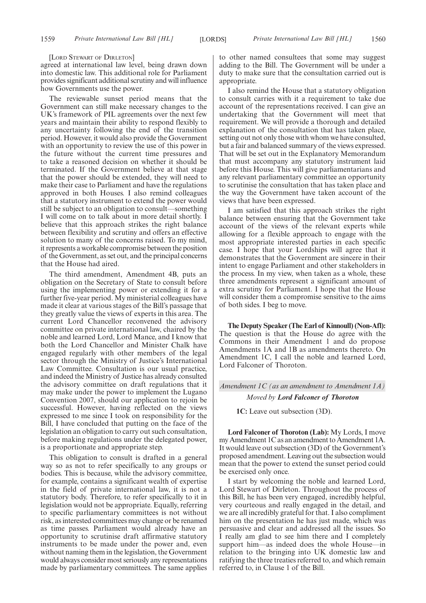[LORD STEWART OF DIRLETON]

agreed at international law level, being drawn down into domestic law. This additional role for Parliament provides significant additional scrutiny and will influence how Governments use the power.

The reviewable sunset period means that the Government can still make necessary changes to the UK's framework of PIL agreements over the next few years and maintain their ability to respond flexibly to any uncertainty following the end of the transition period. However, it would also provide the Government with an opportunity to review the use of this power in the future without the current time pressures and to take a reasoned decision on whether it should be terminated. If the Government believe at that stage that the power should be extended, they will need to make their case to Parliament and have the regulations approved in both Houses. I also remind colleagues that a statutory instrument to extend the power would still be subject to an obligation to consult—something I will come on to talk about in more detail shortly. I believe that this approach strikes the right balance between flexibility and scrutiny and offers an effective solution to many of the concerns raised. To my mind, it represents a workable compromise between the position of the Government, as set out, and the principal concerns that the House had aired.

The third amendment, Amendment 4B, puts an obligation on the Secretary of State to consult before using the implementing power or extending it for a further five-year period. My ministerial colleagues have made it clear at various stages of the Bill's passage that they greatly value the views of experts in this area. The current Lord Chancellor reconvened the advisory committee on private international law, chaired by the noble and learned Lord, Lord Mance, and I know that both the Lord Chancellor and Minister Chalk have engaged regularly with other members of the legal sector through the Ministry of Justice's International Law Committee. Consultation is our usual practice, and indeed the Ministry of Justice has already consulted the advisory committee on draft regulations that it may make under the power to implement the Lugano Convention 2007, should our application to rejoin be successful. However, having reflected on the views expressed to me since I took on responsibility for the Bill, I have concluded that putting on the face of the legislation an obligation to carry out such consultation, before making regulations under the delegated power, is a proportionate and appropriate step.

This obligation to consult is drafted in a general way so as not to refer specifically to any groups or bodies. This is because, while the advisory committee, for example, contains a significant wealth of expertise in the field of private international law, it is not a statutory body. Therefore, to refer specifically to it in legislation would not be appropriate. Equally, referring to specific parliamentary committees is not without risk, as interested committees may change or be renamed as time passes. Parliament would already have an opportunity to scrutinise draft affirmative statutory instruments to be made under the power and, even without naming them in the legislation, the Government would always consider most seriously any representations made by parliamentary committees. The same applies

to other named consultees that some may suggest adding to the Bill. The Government will be under a duty to make sure that the consultation carried out is appropriate.

I also remind the House that a statutory obligation to consult carries with it a requirement to take due account of the representations received. I can give an undertaking that the Government will meet that requirement. We will provide a thorough and detailed explanation of the consultation that has taken place, setting out not only those with whom we have consulted, but a fair and balanced summary of the views expressed. That will be set out in the Explanatory Memorandum that must accompany any statutory instrument laid before this House. This will give parliamentarians and any relevant parliamentary committee an opportunity to scrutinise the consultation that has taken place and the way the Government have taken account of the views that have been expressed.

I am satisfied that this approach strikes the right balance between ensuring that the Government take account of the views of the relevant experts while allowing for a flexible approach to engage with the most appropriate interested parties in each specific case. I hope that your Lordships will agree that it demonstrates that the Government are sincere in their intent to engage Parliament and other stakeholders in the process. In my view, when taken as a whole, these three amendments represent a significant amount of extra scrutiny for Parliament. I hope that the House will consider them a compromise sensitive to the aims of both sides. I beg to move.

**The Deputy Speaker (The Earl of Kinnoull) (Non-Afl):** The question is that the House do agree with the Commons in their Amendment 1 and do propose Amendments 1A and 1B as amendments thereto. On Amendment 1C, I call the noble and learned Lord, Lord Falconer of Thoroton.

*Amendment 1C (as an amendment to Amendment 1A)*

#### *Moved by Lord Falconer of Thoroton*

**1C:** Leave out subsection (3D).

**Lord Falconer of Thoroton (Lab):** My Lords, I move my Amendment 1C as an amendment to Amendment 1A. It would leave out subsection (3D) of the Government's proposed amendment. Leaving out the subsection would mean that the power to extend the sunset period could be exercised only once.

I start by welcoming the noble and learned Lord, Lord Stewart of Dirleton. Throughout the process of this Bill, he has been very engaged, incredibly helpful, very courteous and really engaged in the detail, and we are all incredibly grateful for that. I also compliment him on the presentation he has just made, which was persuasive and clear and addressed all the issues. So I really am glad to see him there and I completely support him—as indeed does the whole House—in relation to the bringing into UK domestic law and ratifying the three treaties referred to, and which remain referred to, in Clause 1 of the Bill.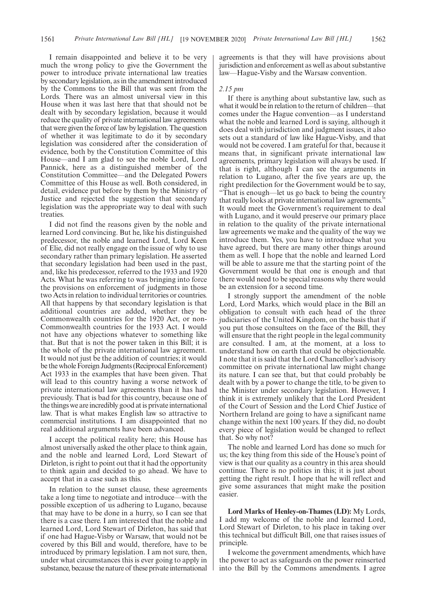I remain disappointed and believe it to be very much the wrong policy to give the Government the power to introduce private international law treaties by secondary legislation, as in the amendment introduced by the Commons to the Bill that was sent from the Lords. There was an almost universal view in this House when it was last here that that should not be dealt with by secondary legislation, because it would reduce the quality of private international law agreements that were given the force of law by legislation. The question of whether it was legitimate to do it by secondary legislation was considered after the consideration of evidence, both by the Constitution Committee of this House—and I am glad to see the noble Lord, Lord Pannick, here as a distinguished member of the Constitution Committee—and the Delegated Powers Committee of this House as well. Both considered, in detail, evidence put before by them by the Ministry of Justice and rejected the suggestion that secondary legislation was the appropriate way to deal with such treaties.

I did not find the reasons given by the noble and learned Lord convincing. But he, like his distinguished predecessor, the noble and learned Lord, Lord Keen of Elie, did not really engage on the issue of why to use secondary rather than primary legislation. He asserted that secondary legislation had been used in the past, and, like his predecessor, referred to the 1933 and 1920 Acts. What he was referring to was bringing into force the provisions on enforcement of judgments in those two Acts in relation to individual territories or countries. All that happens by that secondary legislation is that additional countries are added, whether they be Commonwealth countries for the 1920 Act, or non-Commonwealth countries for the 1933 Act. I would not have any objections whatever to something like that. But that is not the power taken in this Bill; it is the whole of the private international law agreement. It would not just be the addition of countries; it would be the whole Foreign Judgments (Reciprocal Enforcement) Act 1933 in the examples that have been given. That will lead to this country having a worse network of private international law agreements than it has had previously. That is bad for this country, because one of the things we are incredibly good at is private international law. That is what makes English law so attractive to commercial institutions. I am disappointed that no real additional arguments have been advanced.

I accept the political reality here; this House has almost universally asked the other place to think again, and the noble and learned Lord, Lord Stewart of Dirleton, is right to point out that it had the opportunity to think again and decided to go ahead. We have to accept that in a case such as this.

In relation to the sunset clause, these agreements take a long time to negotiate and introduce—with the possible exception of us adhering to Lugano, because that may have to be done in a hurry, so I can see that there is a case there. I am interested that the noble and learned Lord, Lord Stewart of Dirleton, has said that if one had Hague-Visby or Warsaw, that would not be covered by this Bill and would, therefore, have to be introduced by primary legislation. I am not sure, then, under what circumstances this is ever going to apply in substance, because the nature of these private international agreements is that they will have provisions about jurisdiction and enforcement as well as about substantive law—Hague-Visby and the Warsaw convention.

### *2.15 pm*

If there is anything about substantive law, such as what it would be in relation to the return of children—that comes under the Hague convention—as I understand what the noble and learned Lord is saying, although it does deal with jurisdiction and judgment issues, it also sets out a standard of law like Hague-Visby, and that would not be covered. I am grateful for that, because it means that, in significant private international law agreements, primary legislation will always be used. If that is right, although I can see the arguments in relation to Lugano, after the five years are up, the right predilection for the Government would be to say, "That is enough—let us go back to being the country that really looks at private international law agreements." It would meet the Government's requirement to deal with Lugano, and it would preserve our primary place in relation to the quality of the private international law agreements we make and the quality of the way we introduce them. Yes, you have to introduce what you have agreed, but there are many other things around them as well. I hope that the noble and learned Lord will be able to assure me that the starting point of the Government would be that one is enough and that there would need to be special reasons why there would be an extension for a second time.

I strongly support the amendment of the noble Lord, Lord Marks, which would place in the Bill an obligation to consult with each head of the three judiciaries of the United Kingdom, on the basis that if you put those consultees on the face of the Bill, they will ensure that the right people in the legal community are consulted. I am, at the moment, at a loss to understand how on earth that could be objectionable. I note that it is said that the Lord Chancellor's advisory committee on private international law might change its nature. I can see that, but that could probably be dealt with by a power to change the title, to be given to the Minister under secondary legislation. However, I think it is extremely unlikely that the Lord President of the Court of Session and the Lord Chief Justice of Northern Ireland are going to have a significant name change within the next 100 years. If they did, no doubt every piece of legislation would be changed to reflect that. So why not?

The noble and learned Lord has done so much for us; the key thing from this side of the House's point of view is that our quality as a country in this area should continue. There is no politics in this; it is just about getting the right result. I hope that he will reflect and give some assurances that might make the position easier.

**Lord Marks of Henley-on-Thames (LD):** My Lords, I add my welcome of the noble and learned Lord, Lord Stewart of Dirleton, to his place in taking over this technical but difficult Bill, one that raises issues of principle.

I welcome the government amendments, which have the power to act as safeguards on the power reinserted into the Bill by the Commons amendments. I agree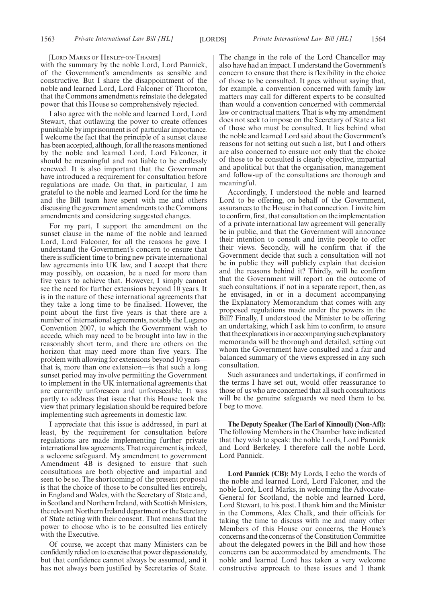[LORD MARKS OF HENLEY-ON-THAMES]

with the summary by the noble Lord, Lord Pannick, of the Government's amendments as sensible and constructive. But I share the disappointment of the noble and learned Lord, Lord Falconer of Thoroton, that the Commons amendments reinstate the delegated power that this House so comprehensively rejected.

I also agree with the noble and learned Lord, Lord Stewart, that outlawing the power to create offences punishable by imprisonment is of particular importance. I welcome the fact that the principle of a sunset clause has been accepted, although, for all the reasons mentioned by the noble and learned Lord, Lord Falconer, it should be meaningful and not liable to be endlessly renewed. It is also important that the Government have introduced a requirement for consultation before regulations are made. On that, in particular, I am grateful to the noble and learned Lord for the time he and the Bill team have spent with me and others discussing the government amendments to the Commons amendments and considering suggested changes.

For my part, I support the amendment on the sunset clause in the name of the noble and learned Lord, Lord Falconer, for all the reasons he gave. I understand the Government's concern to ensure that there is sufficient time to bring new private international law agreements into UK law, and I accept that there may possibly, on occasion, be a need for more than five years to achieve that. However, I simply cannot see the need for further extensions beyond 10 years. It is in the nature of these international agreements that they take a long time to be finalised. However, the point about the first five years is that there are a number of international agreements, notably the Lugano Convention 2007, to which the Government wish to accede, which may need to be brought into law in the reasonably short term, and there are others on the horizon that may need more than five years. The problem with allowing for extensions beyond 10 years that is, more than one extension—is that such a long sunset period may involve permitting the Government to implement in the UK international agreements that are currently unforeseen and unforeseeable. It was partly to address that issue that this House took the view that primary legislation should be required before implementing such agreements in domestic law.

I appreciate that this issue is addressed, in part at least, by the requirement for consultation before regulations are made implementing further private international law agreements. That requirement is, indeed, a welcome safeguard. My amendment to government Amendment 4B is designed to ensure that such consultations are both objective and impartial and seen to be so. The shortcoming of the present proposal is that the choice of those to be consulted lies entirely, in England and Wales, with the Secretary of State and, in Scotland and Northern Ireland, with Scottish Ministers, the relevant Northern Ireland department or the Secretary of State acting with their consent. That means that the power to choose who is to be consulted lies entirely with the Executive.

Of course, we accept that many Ministers can be confidently relied on to exercise that power dispassionately, but that confidence cannot always be assumed, and it has not always been justified by Secretaries of State. The change in the role of the Lord Chancellor may also have had an impact. I understand the Government's concern to ensure that there is flexibility in the choice of those to be consulted. It goes without saying that, for example, a convention concerned with family law matters may call for different experts to be consulted than would a convention concerned with commercial law or contractual matters. That is why my amendment does not seek to impose on the Secretary of State a list of those who must be consulted. It lies behind what the noble and learned Lord said about the Government's reasons for not setting out such a list, but I and others are also concerned to ensure not only that the choice of those to be consulted is clearly objective, impartial and apolitical but that the organisation, management and follow-up of the consultations are thorough and meaningful.

Accordingly, I understood the noble and learned Lord to be offering, on behalf of the Government, assurances to the House in that connection. I invite him to confirm, first, that consultation on the implementation of a private international law agreement will generally be in public, and that the Government will announce their intention to consult and invite people to offer their views. Secondly, will he confirm that if the Government decide that such a consultation will not be in public they will publicly explain that decision and the reasons behind it? Thirdly, will he confirm that the Government will report on the outcome of such consultations, if not in a separate report, then, as he envisaged, in or in a document accompanying the Explanatory Memorandum that comes with any proposed regulations made under the powers in the Bill? Finally, I understood the Minister to be offering an undertaking, which I ask him to confirm, to ensure that the explanations in or accompanying such explanatory memoranda will be thorough and detailed, setting out whom the Government have consulted and a fair and balanced summary of the views expressed in any such consultation.

Such assurances and undertakings, if confirmed in the terms I have set out, would offer reassurance to those of us who are concerned that all such consultations will be the genuine safeguards we need them to be. I beg to move.

**The Deputy Speaker (The Earl of Kinnoull) (Non-Afl):** The following Members in the Chamber have indicated that they wish to speak: the noble Lords, Lord Pannick and Lord Berkeley. I therefore call the noble Lord, Lord Pannick.

**Lord Pannick (CB):** My Lords, I echo the words of the noble and learned Lord, Lord Falconer, and the noble Lord, Lord Marks, in welcoming the Advocate-General for Scotland, the noble and learned Lord, Lord Stewart, to his post. I thank him and the Minister in the Commons, Alex Chalk, and their officials for taking the time to discuss with me and many other Members of this House our concerns, the House's concerns and the concerns of the Constitution Committee about the delegated powers in the Bill and how those concerns can be accommodated by amendments. The noble and learned Lord has taken a very welcome constructive approach to these issues and I thank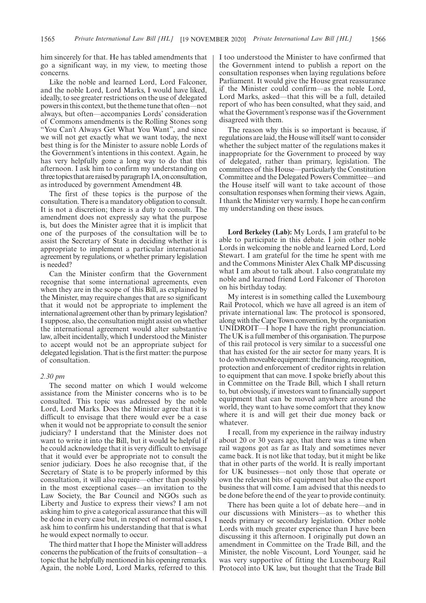him sincerely for that. He has tabled amendments that go a significant way, in my view, to meeting those concerns.

Like the noble and learned Lord, Lord Falconer, and the noble Lord, Lord Marks, I would have liked, ideally, to see greater restrictions on the use of delegated powers in this context, but the theme tune that often—not always, but often—accompanies Lords' consideration of Commons amendments is the Rolling Stones song "You Can't Always Get What You Want", and since we will not get exactly what we want today, the next best thing is for the Minister to assure noble Lords of the Government's intentions in this context. Again, he has very helpfully gone a long way to do that this afternoon. I ask him to confirm my understanding on three topics that are raised by paragraph 1A, on consultation, as introduced by government Amendment 4B.

The first of these topics is the purpose of the consultation. There is a mandatory obligation to consult. It is not a discretion; there is a duty to consult. The amendment does not expressly say what the purpose is, but does the Minister agree that it is implicit that one of the purposes of the consultation will be to assist the Secretary of State in deciding whether it is appropriate to implement a particular international agreement by regulations, or whether primary legislation is needed?

Can the Minister confirm that the Government recognise that some international agreements, even when they are in the scope of this Bill, as explained by the Minister, may require changes that are so significant that it would not be appropriate to implement the international agreement other than by primary legislation? I suppose, also, the consultation might assist on whether the international agreement would alter substantive law, albeit incidentally, which I understood the Minister to accept would not be an appropriate subject for delegated legislation. That is the first matter: the purpose of consultation.

### *2.30 pm*

The second matter on which I would welcome assistance from the Minister concerns who is to be consulted. This topic was addressed by the noble Lord, Lord Marks. Does the Minister agree that it is difficult to envisage that there would ever be a case when it would not be appropriate to consult the senior judiciary? I understand that the Minister does not want to write it into the Bill, but it would be helpful if he could acknowledge that it is very difficult to envisage that it would ever be appropriate not to consult the senior judiciary. Does he also recognise that, if the Secretary of State is to be properly informed by this consultation, it will also require—other than possibly in the most exceptional cases—an invitation to the Law Society, the Bar Council and NGOs such as Liberty and Justice to express their views? I am not asking him to give a categorical assurance that this will be done in every case but, in respect of normal cases, I ask him to confirm his understanding that that is what he would expect normally to occur.

The third matter that I hope the Minister will address concerns the publication of the fruits of consultation—a topic that he helpfully mentioned in his opening remarks. Again, the noble Lord, Lord Marks, referred to this. I too understood the Minister to have confirmed that the Government intend to publish a report on the consultation responses when laying regulations before Parliament. It would give the House great reassurance if the Minister could confirm—as the noble Lord, Lord Marks, asked—that this will be a full, detailed report of who has been consulted, what they said, and what the Government's response was if the Government disagreed with them.

The reason why this is so important is because, if regulations are laid, the House will itself want to consider whether the subject matter of the regulations makes it inappropriate for the Government to proceed by way of delegated, rather than primary, legislation. The committees of this House—particularly the Constitution Committee and the Delegated Powers Committee—and the House itself will want to take account of those consultation responses when forming their views. Again, I thank the Minister very warmly. I hope he can confirm my understanding on these issues.

**Lord Berkeley (Lab):** My Lords, I am grateful to be able to participate in this debate. I join other noble Lords in welcoming the noble and learned Lord, Lord Stewart. I am grateful for the time he spent with me and the Commons Minister Alex Chalk MP discussing what I am about to talk about. I also congratulate my noble and learned friend Lord Falconer of Thoroton on his birthday today.

My interest is in something called the Luxembourg Rail Protocol, which we have all agreed is an item of private international law. The protocol is sponsored, along with the Cape Town convention, by the organisation UNIDROIT—I hope I have the right pronunciation. The UK is a full member of this organisation. The purpose of this rail protocol is very similar to a successful one that has existed for the air sector for many years. It is to do with moveable equipment: the financing, recognition, protection and enforcement of creditor rights in relation to equipment that can move. I spoke briefly about this in Committee on the Trade Bill, which I shall return to, but obviously, if investors want to financially support equipment that can be moved anywhere around the world, they want to have some comfort that they know where it is and will get their due money back or whatever.

I recall, from my experience in the railway industry about 20 or 30 years ago, that there was a time when rail wagons got as far as Italy and sometimes never came back. It is not like that today, but it might be like that in other parts of the world. It is really important for UK businesses—not only those that operate or own the relevant bits of equipment but also the export business that will come. I am advised that this needs to be done before the end of the year to provide continuity.

There has been quite a lot of debate here—and in our discussions with Ministers—as to whether this needs primary or secondary legislation. Other noble Lords with much greater experience than I have been discussing it this afternoon. I originally put down an amendment in Committee on the Trade Bill, and the Minister, the noble Viscount, Lord Younger, said he was very supportive of fitting the Luxembourg Rail Protocol into UK law, but thought that the Trade Bill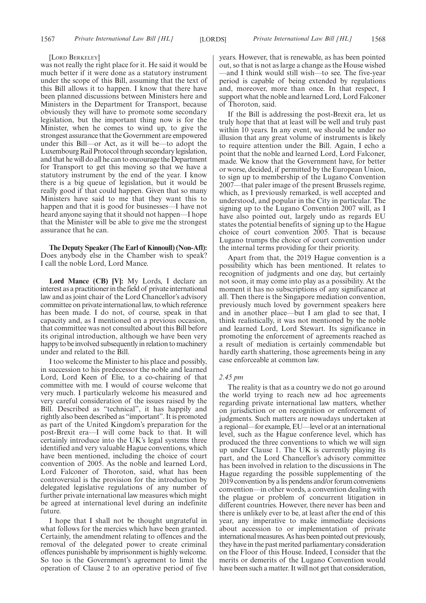### [LORD BERKELEY]

was not really the right place for it. He said it would be much better if it were done as a statutory instrument under the scope of this Bill, assuming that the text of this Bill allows it to happen. I know that there have been planned discussions between Ministers here and Ministers in the Department for Transport, because obviously they will have to promote some secondary legislation, but the important thing now is for the Minister, when he comes to wind up, to give the strongest assurance that the Government are empowered under this Bill—or Act, as it will be—to adopt the Luxembourg Rail Protocol through secondary legislation, and that he will do all he can to encourage the Department for Transport to get this moving so that we have a statutory instrument by the end of the year. I know there is a big queue of legislation, but it would be really good if that could happen. Given that so many Ministers have said to me that they want this to happen and that it is good for businesses—I have not heard anyone saying that it should not happen—I hope that the Minister will be able to give me the strongest assurance that he can.

**The Deputy Speaker (The Earl of Kinnoull) (Non-Afl):** Does anybody else in the Chamber wish to speak? I call the noble Lord, Lord Mance.

**Lord Mance (CB) [V]:** My Lords, I declare an interest as a practitioner in the field of private international law and as joint chair of the Lord Chancellor's advisory committee on private international law, to which reference has been made. I do not, of course, speak in that capacity and, as I mentioned on a previous occasion, that committee was not consulted about this Bill before its original introduction, although we have been very happy to be involved subsequently in relation to machinery under and related to the Bill.

I too welcome the Minister to his place and possibly, in succession to his predecessor the noble and learned Lord, Lord Keen of Elie, to a co-chairing of that committee with me. I would of course welcome that very much. I particularly welcome his measured and very careful consideration of the issues raised by the Bill. Described as "technical", it has happily and rightly also been described as "important". It is promoted as part of the United Kingdom's preparation for the post-Brexit era—I will come back to that. It will certainly introduce into the UK's legal systems three identified and very valuable Hague conventions, which have been mentioned, including the choice of court convention of 2005. As the noble and learned Lord, Lord Falconer of Thoroton, said, what has been controversial is the provision for the introduction by delegated legislative regulations of any number of further private international law measures which might be agreed at international level during an indefinite future.

I hope that I shall not be thought ungrateful in what follows for the mercies which have been granted. Certainly, the amendment relating to offences and the removal of the delegated power to create criminal offences punishable by imprisonment is highly welcome. So too is the Government's agreement to limit the operation of Clause 2 to an operative period of five years. However, that is renewable, as has been pointed out, so that is not as large a change as the House wished —and I think would still wish—to see. The five-year period is capable of being extended by regulations and, moreover, more than once. In that respect, I support what the noble and learned Lord, Lord Falconer of Thoroton, said.

If the Bill is addressing the post-Brexit era, let us truly hope that that at least will be well and truly past within 10 years. In any event, we should be under no illusion that any great volume of instruments is likely to require attention under the Bill. Again, I echo a point that the noble and learned Lord, Lord Falconer, made. We know that the Government have, for better or worse, decided, if permitted by the European Union, to sign up to membership of the Lugano Convention 2007—that paler image of the present Brussels regime, which, as I previously remarked, is well accepted and understood, and popular in the City in particular. The signing up to the Lugano Convention 2007 will, as I have also pointed out, largely undo as regards EU states the potential benefits of signing up to the Hague choice of court convention 2005. That is because Lugano trumps the choice of court convention under the internal terms providing for their priority.

Apart from that, the 2019 Hague convention is a possibility which has been mentioned. It relates to recognition of judgments and one day, but certainly not soon, it may come into play as a possibility. At the moment it has no subscriptions of any significance at all. Then there is the Singapore mediation convention, previously much loved by government speakers here and in another place—but I am glad to see that, I think realistically, it was not mentioned by the noble and learned Lord, Lord Stewart. Its significance in promoting the enforcement of agreements reached as a result of mediation is certainly commendable but hardly earth shattering, those agreements being in any case enforceable at common law.

### *2.45 pm*

The reality is that as a country we do not go around the world trying to reach new ad hoc agreements regarding private international law matters, whether on jurisdiction or on recognition or enforcement of judgments. Such matters are nowadays undertaken at a regional—for example, EU—level or at an international level, such as the Hague conference level, which has produced the three conventions to which we will sign up under Clause 1. The UK is currently playing its part, and the Lord Chancellor's advisory committee has been involved in relation to the discussions in The Hague regarding the possible supplementing of the 2019 convention by a lis pendens and/or forum conveniens convention—in other words, a convention dealing with the plague or problem of concurrent litigation in different countries. However, there never has been and there is unlikely ever to be, at least after the end of this year, any imperative to make immediate decisions about accession to or implementation of private international measures. As has been pointed out previously, they have in the past merited parliamentary consideration on the Floor of this House. Indeed, I consider that the merits or demerits of the Lugano Convention would have been such a matter. It will not get that consideration,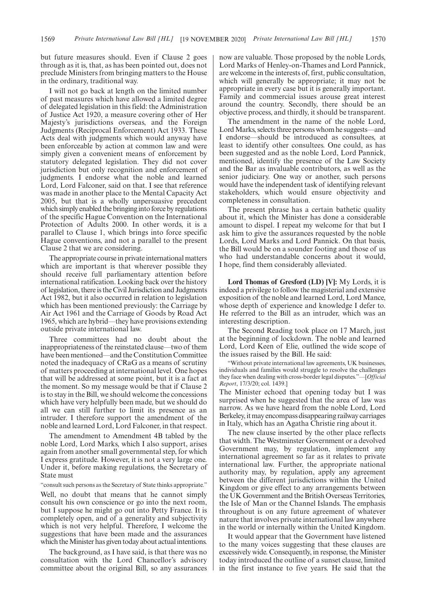but future measures should. Even if Clause 2 goes through as it is, that, as has been pointed out, does not preclude Ministers from bringing matters to the House in the ordinary, traditional way.

I will not go back at length on the limited number of past measures which have allowed a limited degree of delegated legislation in this field: the Administration of Justice Act 1920, a measure covering other of Her Majesty's jurisdictions overseas, and the Foreign Judgments (Reciprocal Enforcement) Act 1933. These Acts deal with judgments which would anyway have been enforceable by action at common law and were simply given a convenient means of enforcement by statutory delegated legislation. They did not cover jurisdiction but only recognition and enforcement of judgments. I endorse what the noble and learned Lord, Lord Falconer, said on that. I see that reference was made in another place to the Mental Capacity Act 2005, but that is a wholly unpersuasive precedent which simply enabled the bringing into force by regulations of the specific Hague Convention on the International Protection of Adults 2000. In other words, it is a parallel to Clause 1, which brings into force specific Hague conventions, and not a parallel to the present Clause 2 that we are considering.

The appropriate course in private international matters which are important is that wherever possible they should receive full parliamentary attention before international ratification. Looking back over the history of legislation, there is the Civil Jurisdiction and Judgments Act 1982, but it also occurred in relation to legislation which has been mentioned previously: the Carriage by Air Act 1961 and the Carriage of Goods by Road Act 1965, which are hybrid—they have provisions extending outside private international law.

Three committees had no doubt about the inappropriateness of the reinstated clause—two of them have been mentioned—and the Constitution Committee noted the inadequacy of CRaG as a means of scrutiny of matters proceeding at international level. One hopes that will be addressed at some point, but it is a fact at the moment. So my message would be that if Clause 2 is to stay in the Bill, we should welcome the concessions which have very helpfully been made, but we should do all we can still further to limit its presence as an intruder. I therefore support the amendment of the noble and learned Lord, Lord Falconer, in that respect.

The amendment to Amendment 4B tabled by the noble Lord, Lord Marks, which I also support, arises again from another small governmental step, for which I express gratitude. However, it is not a very large one. Under it, before making regulations, the Secretary of State must

### "consult such persons as the Secretary of State thinks appropriate."

Well, no doubt that means that he cannot simply consult his own conscience or go into the next room, but I suppose he might go out into Petty France. It is completely open, and of a generality and subjectivity which is not very helpful. Therefore, I welcome the suggestions that have been made and the assurances which the Minister has given today about actual intentions.

The background, as I have said, is that there was no consultation with the Lord Chancellor's advisory committee about the original Bill, so any assurances now are valuable. Those proposed by the noble Lords, Lord Marks of Henley-on-Thames and Lord Pannick, are welcome in the interests of, first, public consultation, which will generally be appropriate; it may not be appropriate in every case but it is generally important. Family and commercial issues arouse great interest around the country. Secondly, there should be an objective process, and thirdly, it should be transparent.

The amendment in the name of the noble Lord, Lord Marks, selects three persons whom he suggests—and I endorse—should be introduced as consultees, at least to identify other consultees. One could, as has been suggested and as the noble Lord, Lord Pannick, mentioned, identify the presence of the Law Society and the Bar as invaluable contributors, as well as the senior judiciary. One way or another, such persons would have the independent task of identifying relevant stakeholders, which would ensure objectivity and completeness in consultation.

The present phrase has a certain bathetic quality about it, which the Minister has done a considerable amount to dispel. I repeat my welcome for that but I ask him to give the assurances requested by the noble Lords, Lord Marks and Lord Pannick. On that basis, the Bill would be on a sounder footing and those of us who had understandable concerns about it would, I hope, find them considerably alleviated.

**Lord Thomas of Gresford (LD) [V]:** My Lords, it is indeed a privilege to follow the magisterial and extensive exposition of the noble and learned Lord, Lord Mance, whose depth of experience and knowledge I defer to. He referred to the Bill as an intruder, which was an interesting description.

The Second Reading took place on 17 March, just at the beginning of lockdown. The noble and learned Lord, Lord Keen of Elie, outlined the wide scope of the issues raised by the Bill. He said:

"Without private international law agreements, UK businesses, individuals and families would struggle to resolve the challenges they face when dealing with cross-border legal disputes."—[*Official Report*, 17/3/20; col. 1439.]

The Minister echoed that opening today but I was surprised when he suggested that the area of law was narrow. As we have heard from the noble Lord, Lord Berkeley, it may encompass disappearing railway carriages in Italy, which has an Agatha Christie ring about it.

The new clause inserted by the other place reflects that width. The Westminster Government or a devolved Government may, by regulation, implement any international agreement so far as it relates to private international law. Further, the appropriate national authority may, by regulation, apply any agreement between the different jurisdictions within the United Kingdom or give effect to any arrangements between the UK Government and the British Overseas Territories, the Isle of Man or the Channel Islands. The emphasis throughout is on any future agreement of whatever nature that involves private international law anywhere in the world or internally within the United Kingdom.

It would appear that the Government have listened to the many voices suggesting that these clauses are excessively wide. Consequently, in response, the Minister today introduced the outline of a sunset clause, limited in the first instance to five years. He said that the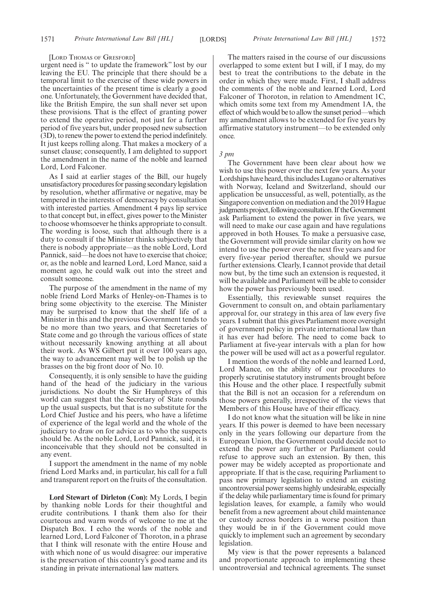#### [LORD THOMAS OF GRESFORD]

urgent need is " to update the framework" lost by our leaving the EU. The principle that there should be a temporal limit to the exercise of these wide powers in the uncertainties of the present time is clearly a good one. Unfortunately, the Government have decided that, like the British Empire, the sun shall never set upon these provisions. That is the effect of granting power to extend the operative period, not just for a further period of five years but, under proposed new subsection (3D), to renew the power to extend the period indefinitely. It just keeps rolling along. That makes a mockery of a sunset clause; consequently, I am delighted to support the amendment in the name of the noble and learned Lord, Lord Falconer.

As I said at earlier stages of the Bill, our hugely unsatisfactory procedures for passing secondary legislation by resolution, whether affirmative or negative, may be tempered in the interests of democracy by consultation with interested parties. Amendment 4 pays lip service to that concept but, in effect, gives power to the Minister to choose whomsoever he thinks appropriate to consult. The wording is loose, such that although there is a duty to consult if the Minister thinks subjectively that there is nobody appropriate—as the noble Lord, Lord Pannick, said—he does not have to exercise that choice; or, as the noble and learned Lord, Lord Mance, said a moment ago, he could walk out into the street and consult someone.

The purpose of the amendment in the name of my noble friend Lord Marks of Henley-on-Thames is to bring some objectivity to the exercise. The Minister may be surprised to know that the shelf life of a Minister in this and the previous Government tends to be no more than two years, and that Secretaries of State come and go through the various offices of state without necessarily knowing anything at all about their work. As WS Gilbert put it over 100 years ago, the way to advancement may well be to polish up the brasses on the big front door of No. 10.

Consequently, it is only sensible to have the guiding hand of the head of the judiciary in the various jurisdictions. No doubt the Sir Humphreys of this world can suggest that the Secretary of State rounds up the usual suspects, but that is no substitute for the Lord Chief Justice and his peers, who have a lifetime of experience of the legal world and the whole of the judiciary to draw on for advice as to who the suspects should be. As the noble Lord, Lord Pannick, said, it is inconceivable that they should not be consulted in any event.

I support the amendment in the name of my noble friend Lord Marks and, in particular, his call for a full and transparent report on the fruits of the consultation.

**Lord Stewart of Dirleton (Con):** My Lords, I begin by thanking noble Lords for their thoughtful and erudite contributions. I thank them also for their courteous and warm words of welcome to me at the Dispatch Box. I echo the words of the noble and learned Lord, Lord Falconer of Thoroton, in a phrase that I think will resonate with the entire House and with which none of us would disagree: our imperative is the preservation of this country's good name and its standing in private international law matters.

The matters raised in the course of our discussions overlapped to some extent but I will, if I may, do my best to treat the contributions to the debate in the order in which they were made. First, I shall address the comments of the noble and learned Lord, Lord Falconer of Thoroton, in relation to Amendment 1C, which omits some text from my Amendment 1A, the effect of which would be to allow the sunset period—which my amendment allows to be extended for five years by affirmative statutory instrument—to be extended only once.

### *3 pm*

The Government have been clear about how we wish to use this power over the next few years. As your Lordships have heard, this includes Lugano or alternatives with Norway, Iceland and Switzerland, should our application be unsuccessful, as well, potentially, as the Singapore convention on mediation and the 2019 Hague judgments project, following consultation. If the Government ask Parliament to extend the power in five years, we will need to make our case again and have regulations approved in both Houses. To make a persuasive case, the Government will provide similar clarity on how we intend to use the power over the next five years and for every five-year period thereafter, should we pursue further extensions. Clearly, I cannot provide that detail now but, by the time such an extension is requested, it will be available and Parliament will be able to consider how the power has previously been used.

Essentially, this reviewable sunset requires the Government to consult on, and obtain parliamentary approval for, our strategy in this area of law every five years. I submit that this gives Parliament more oversight of government policy in private international law than it has ever had before. The need to come back to Parliament at five-year intervals with a plan for how the power will be used will act as a powerful regulator.

I mention the words of the noble and learned Lord, Lord Mance, on the ability of our procedures to properly scrutinise statutory instruments brought before this House and the other place. I respectfully submit that the Bill is not an occasion for a referendum on those powers generally, irrespective of the views that Members of this House have of their efficacy.

I do not know what the situation will be like in nine years. If this power is deemed to have been necessary only in the years following our departure from the European Union, the Government could decide not to extend the power any further or Parliament could refuse to approve such an extension. By then, this power may be widely accepted as proportionate and appropriate. If that is the case, requiring Parliament to pass new primary legislation to extend an existing uncontroversial power seems highly undesirable, especially if the delay while parliamentary time is found for primary legislation leaves, for example, a family who would benefit from a new agreement about child maintenance or custody across borders in a worse position than they would be in if the Government could move quickly to implement such an agreement by secondary legislation.

My view is that the power represents a balanced and proportionate approach to implementing these uncontroversial and technical agreements. The sunset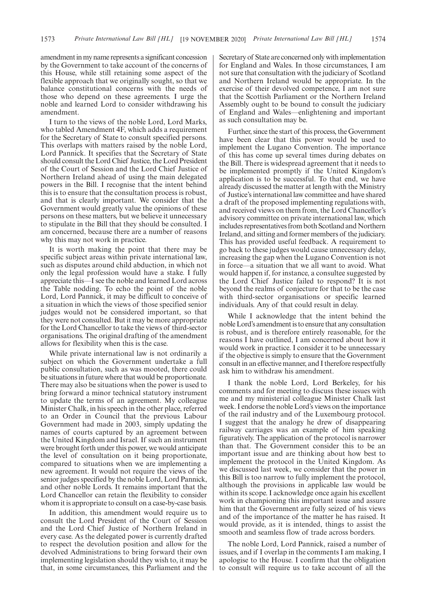amendment in my name represents a significant concession by the Government to take account of the concerns of this House, while still retaining some aspect of the flexible approach that we originally sought, so that we balance constitutional concerns with the needs of those who depend on these agreements. I urge the noble and learned Lord to consider withdrawing his amendment.

I turn to the views of the noble Lord, Lord Marks, who tabled Amendment 4F, which adds a requirement for the Secretary of State to consult specified persons. This overlaps with matters raised by the noble Lord, Lord Pannick. It specifies that the Secretary of State should consult the Lord Chief Justice, the Lord President of the Court of Session and the Lord Chief Justice of Northern Ireland ahead of using the main delegated powers in the Bill. I recognise that the intent behind this is to ensure that the consultation process is robust, and that is clearly important. We consider that the Government would greatly value the opinions of these persons on these matters, but we believe it unnecessary to stipulate in the Bill that they should be consulted. I am concerned, because there are a number of reasons why this may not work in practice.

It is worth making the point that there may be specific subject areas within private international law, such as disputes around child abduction, in which not only the legal profession would have a stake. I fully appreciate this—I see the noble and learned Lord across the Table nodding. To echo the point of the noble Lord, Lord Pannick, it may be difficult to conceive of a situation in which the views of those specified senior judges would not be considered important, so that they were not consulted. But it may be more appropriate for the Lord Chancellor to take the views of third-sector organisations. The original drafting of the amendment allows for flexibility when this is the case.

While private international law is not ordinarily a subject on which the Government undertake a full public consultation, such as was mooted, there could be situations in future where that would be proportionate. There may also be situations when the power is used to bring forward a minor technical statutory instrument to update the terms of an agreement. My colleague Minister Chalk, in his speech in the other place, referred to an Order in Council that the previous Labour Government had made in 2003, simply updating the names of courts captured by an agreement between the United Kingdom and Israel. If such an instrument were brought forth under this power, we would anticipate the level of consultation on it being proportionate, compared to situations when we are implementing a new agreement. It would not require the views of the senior judges specified by the noble Lord, Lord Pannick, and other noble Lords. It remains important that the Lord Chancellor can retain the flexibility to consider whom it is appropriate to consult on a case-by-case basis.

In addition, this amendment would require us to consult the Lord President of the Court of Session and the Lord Chief Justice of Northern Ireland in every case. As the delegated power is currently drafted to respect the devolution position and allow for the devolved Administrations to bring forward their own implementing legislation should they wish to, it may be that, in some circumstances, this Parliament and the Secretary of State are concerned only with implementation for England and Wales. In those circumstances, I am not sure that consultation with the judiciary of Scotland and Northern Ireland would be appropriate. In the exercise of their devolved competence, I am not sure that the Scottish Parliament or the Northern Ireland Assembly ought to be bound to consult the judiciary of England and Wales—enlightening and important as such consultation may be.

Further, since the start of this process, the Government have been clear that this power would be used to implement the Lugano Convention. The importance of this has come up several times during debates on the Bill. There is widespread agreement that it needs to be implemented promptly if the United Kingdom's application is to be successful. To that end, we have already discussed the matter at length with the Ministry of Justice's international law committee and have shared a draft of the proposed implementing regulations with, and received views on them from, the Lord Chancellor's advisory committee on private international law, which includes representatives from both Scotland and Northern Ireland, and sitting and former members of the judiciary. This has provided useful feedback. A requirement to go back to these judges would cause unnecessary delay, increasing the gap when the Lugano Convention is not in force—a situation that we all want to avoid. What would happen if, for instance, a consultee suggested by the Lord Chief Justice failed to respond? It is not beyond the realms of conjecture for that to be the case with third-sector organisations or specific learned individuals. Any of that could result in delay.

While I acknowledge that the intent behind the noble Lord's amendment is to ensure that any consultation is robust, and is therefore entirely reasonable, for the reasons I have outlined, I am concerned about how it would work in practice. I consider it to be unnecessary if the objective is simply to ensure that the Government consult in an effective manner, and I therefore respectfully ask him to withdraw his amendment.

I thank the noble Lord, Lord Berkeley, for his comments and for meeting to discuss these issues with me and my ministerial colleague Minister Chalk last week. I endorse the noble Lord's views on the importance of the rail industry and of the Luxembourg protocol. I suggest that the analogy he drew of disappearing railway carriages was an example of him speaking figuratively. The application of the protocol is narrower than that. The Government consider this to be an important issue and are thinking about how best to implement the protocol in the United Kingdom. As we discussed last week, we consider that the power in this Bill is too narrow to fully implement the protocol, although the provisions in applicable law would be within its scope. I acknowledge once again his excellent work in championing this important issue and assure him that the Government are fully seized of his views and of the importance of the matter he has raised. It would provide, as it is intended, things to assist the smooth and seamless flow of trade across borders.

The noble Lord, Lord Pannick, raised a number of issues, and if I overlap in the comments I am making, I apologise to the House. I confirm that the obligation to consult will require us to take account of all the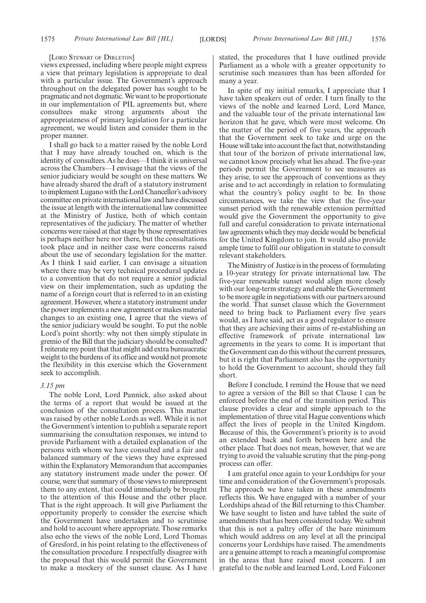#### [LORD STEWART OF DIRLETON]

views expressed, including where people might express a view that primary legislation is appropriate to deal with a particular issue. The Government's approach throughout on the delegated power has sought to be pragmatic and not dogmatic. We want to be proportionate in our implementation of PIL agreements but, where consultees make strong arguments about the appropriateness of primary legislation for a particular agreement, we would listen and consider them in the proper manner.

I shall go back to a matter raised by the noble Lord that I may have already touched on, which is the identity of consultees. As he does—I think it is universal across the Chambers—I envisage that the views of the senior judiciary would be sought on these matters. We have already shared the draft of a statutory instrument to implement Lugano with the Lord Chancellor's advisory committee on private international law and have discussed the issue at length with the international law committee at the Ministry of Justice, both of which contain representatives of the judiciary. The matter of whether concerns were raised at that stage by those representatives is perhaps neither here nor there, but the consultations took place and in neither case were concerns raised about the use of secondary legislation for the matter. As I think I said earlier, I can envisage a situation where there may be very technical procedural updates to a convention that do not require a senior judicial view on their implementation, such as updating the name of a foreign court that is referred to in an existing agreement. However, where a statutory instrument under the power implements a new agreement or makes material changes to an existing one, I agree that the views of the senior judiciary would be sought. To put the noble Lord's point shortly: why not then simply stipulate in gremio of the Bill that the judiciary should be consulted? I reiterate my point that that might add extra bureaucratic weight to the burdens of its office and would not promote the flexibility in this exercise which the Government seek to accomplish.

### *3.15 pm*

The noble Lord, Lord Pannick, also asked about the terms of a report that would be issued at the conclusion of the consultation process. This matter was raised by other noble Lords as well. While it is not the Government's intention to publish a separate report summarising the consultation responses, we intend to provide Parliament with a detailed explanation of the persons with whom we have consulted and a fair and balanced summary of the views they have expressed within the Explanatory Memorandum that accompanies any statutory instrument made under the power. Of course, were that summary of those views to misrepresent them to any extent, that could immediately be brought to the attention of this House and the other place. That is the right approach. It will give Parliament the opportunity properly to consider the exercise which the Government have undertaken and to scrutinise and hold to account where appropriate. Those remarks also echo the views of the noble Lord, Lord Thomas of Gresford, in his point relating to the effectiveness of the consultation procedure. I respectfully disagree with the proposal that this would permit the Government to make a mockery of the sunset clause. As I have stated, the procedures that I have outlined provide Parliament as a whole with a greater opportunity to scrutinise such measures than has been afforded for many a year.

In spite of my initial remarks, I appreciate that I have taken speakers out of order. I turn finally to the views of the noble and learned Lord, Lord Mance, and the valuable tour of the private international law horizon that he gave, which were most welcome. On the matter of the period of five years, the approach that the Government seek to take and urge on the House will take into account the fact that, notwithstanding that tour of the horizon of private international law, we cannot know precisely what lies ahead. The five-year periods permit the Government to see measures as they arise, to see the approach of conventions as they arise and to act accordingly in relation to formulating what the country's policy ought to be. In those circumstances, we take the view that the five-year sunset period with the renewable extension permitted would give the Government the opportunity to give full and careful consideration to private international law agreements which they may decide would be beneficial for the United Kingdom to join. It would also provide ample time to fulfil our obligation in statute to consult relevant stakeholders.

The Ministry of Justice is in the process of formulating a 10-year strategy for private international law. The five-year renewable sunset would align more closely with our long-term strategy and enable the Government to be more agile in negotiations with our partners around the world. That sunset clause which the Government need to bring back to Parliament every five years would, as I have said, act as a good regulator to ensure that they are achieving their aims of re-establishing an effective framework of private international law agreements in the years to come. It is important that the Government can do this without the current pressures, but it is right that Parliament also has the opportunity to hold the Government to account, should they fall short.

Before I conclude, I remind the House that we need to agree a version of the Bill so that Clause 1 can be enforced before the end of the transition period. This clause provides a clear and simple approach to the implementation of three vital Hague conventions which affect the lives of people in the United Kingdom. Because of this, the Government's priority is to avoid an extended back and forth between here and the other place. That does not mean, however, that we are trying to avoid the valuable scrutiny that the ping-pong process can offer.

I am grateful once again to your Lordships for your time and consideration of the Government's proposals. The approach we have taken in these amendments reflects this. We have engaged with a number of your Lordships ahead of the Bill returning to this Chamber. We have sought to listen and have tabled the suite of amendments that has been considered today. We submit that this is not a paltry offer of the bare minimum which would address on any level at all the principal concerns your Lordships have raised. The amendments are a genuine attempt to reach a meaningful compromise in the areas that have raised most concern. I am grateful to the noble and learned Lord, Lord Falconer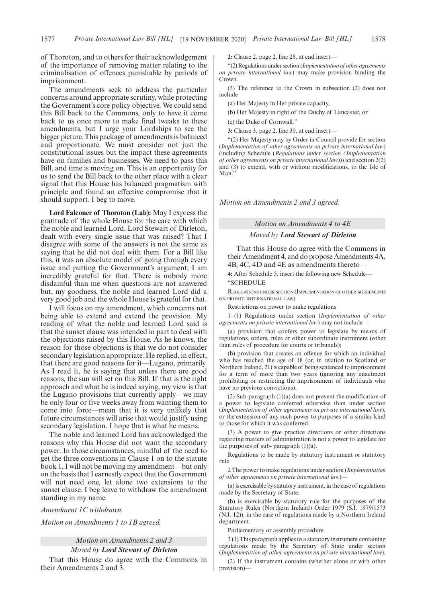of Thoroton, and to others for their acknowledgement of the importance of removing matter relating to the criminalisation of offences punishable by periods of imprisonment.

The amendments seek to address the particular concerns around appropriate scrutiny, while protecting the Government's core policy objective. We could send this Bill back to the Commons, only to have it come back to us once more to make final tweaks to these amendments, but I urge your Lordships to see the bigger picture. This package of amendments is balanced and proportionate. We must consider not just the constitutional issues but the impact these agreements have on families and businesses. We need to pass this Bill, and time is moving on. This is an opportunity for us to send the Bill back to the other place with a clear signal that this House has balanced pragmatism with principle and found an effective compromise that it should support. I beg to move.

**Lord Falconer of Thoroton (Lab):** May I express the gratitude of the whole House for the care with which the noble and learned Lord, Lord Stewart of Dirleton, dealt with every single issue that was raised? That I disagree with some of the answers is not the same as saying that he did not deal with them. For a Bill like this, it was an absolute model of going through every issue and putting the Government's argument; I am incredibly grateful for that. There is nobody more disdainful than me when questions are not answered but, my goodness, the noble and learned Lord did a very good job and the whole House is grateful for that.

I will focus on my amendment, which concerns not being able to extend and extend the provision. My reading of what the noble and learned Lord said is that the sunset clause was intended in part to deal with the objections raised by this House. As he knows, the reason for those objections is that we do not consider secondary legislation appropriate. He replied, in effect, that there are good reasons for it—Lugano, primarily. As I read it, he is saying that unless there are good reasons, the sun will set on this Bill. If that is the right approach and what he is indeed saying, my view is that the Lugano provisions that currently apply—we may be only four or five weeks away from wanting them to come into force—mean that it is very unlikely that future circumstances will arise that would justify using secondary legislation. I hope that is what he means.

The noble and learned Lord has acknowledged the reasons why this House did not want the secondary power. In those circumstances, mindful of the need to get the three conventions in Clause 1 on to the statute book 1, I will not be moving my amendment—but only on the basis that I earnestly expect that the Government will not need one, let alone two extensions to the sunset clause. I beg leave to withdraw the amendment standing in my name.

*Amendment 1C withdrawn.*

*Motion on Amendments 1 to 1B agreed.*

### *Motion on Amendments 2 and 3*

#### *Moved by Lord Stewart of Dirleton*

That this House do agree with the Commons in their Amendments 2 and 3.

**2:** Clause 2, page 2, line 28, at end insert—

"(2) Regulations under section (*Implementation of other agreements on private international law*) may make provision binding the Crown.

(3) The reference to the Crown in subsection (2) does not include—

(a) Her Majesty in Her private capacity,

(b) Her Majesty in right of the Duchy of Lancaster, or

(c) the Duke of Cornwall."

**3:** Clause 3, page 2, line 30, at end insert—

"(2) Her Majesty may by Order in Council provide for section (*Implementation of other agreements on private international law*) (including Schedule (*Regulations under section (Implementation of other agreements on private international law*))) and section 2(2) and (3) to extend, with or without modifications, to the Isle of Man.'

*Motion on Amendments 2 and 3 agreed.*

*Motion on Amendments 4 to 4E*

### *Moved by Lord Stewart of Dirleton*

That this House do agree with the Commons in their Amendment 4, and do propose Amendments 4A, 4B, 4C, 4D and 4E as amendments thereto

**4:** After Schedule 5, insert the following new Schedule— "SCHEDULE

REGULATIONS UNDER SECTION (IMPLEMENTATION OF OTHER AGREEMENTS ON PRIVATE INTERNATIONAL LAW)

Restrictions on power to make regulations

1 (1) Regulations under section (*Implementation of other agreements on private international law*) may not include—

(a) provision that confers power to legislate by means of regulations, orders, rules or other subordinate instrument (other than rules of procedure for courts or tribunals);

(b) provision that creates an offence for which an individual who has reached the age of 18 (or, in relation to Scotland or Northern Ireland, 21) is capable of being sentenced to imprisonment for a term of more than two years (ignoring any enactment prohibiting or restricting the imprisonment of individuals who have no previous convictions).

(2) Sub-paragraph (1)(a) does not prevent the modification of a power to legislate conferred otherwise than under section (*Implementation of other agreements on private international law*), or the extension of any such power to purposes of a similar kind to those for which it was conferred.

(3) A power to give practice directions or other directions regarding matters of administration is not a power to legislate for the purposes of sub- paragraph  $(1)(a)$ .

Regulations to be made by statutory instrument or statutory rule

2 The power to make regulations under section (*Implementation of other agreements on private international law*)—

(a) is exercisable by statutory instrument, in the case of regulations made by the Secretary of State;

(b) is exercisable by statutory rule for the purposes of the Statutory Rules (Northern Ireland) Order 1979 (S.I. 1979/1573 (N.I. 12)), in the case of regulations made by a Northern Ireland department.

Parliamentary or assembly procedure

3 (1) This paragraph applies to a statutory instrument containing regulations made by the Secretary of State under section (*Implementation of other agreements on private international law*).

(2) If the instrument contains (whether alone or with other provision)—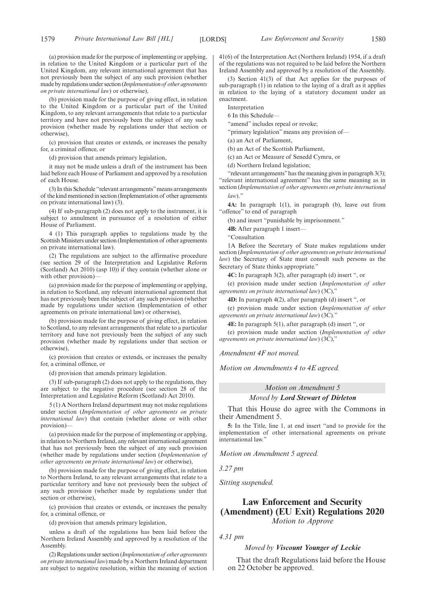(a) provision made for the purpose of implementing or applying, in relation to the United Kingdom or a particular part of the United Kingdom, any relevant international agreement that has not previously been the subject of any such provision (whether made by regulations under section (*Implementation of other agreements on private international law*) or otherwise),

(b) provision made for the purpose of giving effect, in relation to the United Kingdom or a particular part of the United Kingdom, to any relevant arrangements that relate to a particular territory and have not previously been the subject of any such provision (whether made by regulations under that section or otherwise),

(c) provision that creates or extends, or increases the penalty for, a criminal offence, or

(d) provision that amends primary legislation,

it may not be made unless a draft of the instrument has been laid before each House of Parliament and approved by a resolution of each House.

(3) In this Schedule "relevant arrangements"means arrangements of the kind mentioned in section (Implementation of other agreements on private international law) (3).

(4) If sub-paragraph (2) does not apply to the instrument, it is subject to annulment in pursuance of a resolution of either House of Parliament.

4 (1) This paragraph applies to regulations made by the Scottish Ministers under section (Implementation of other agreements on private international law).

(2) The regulations are subject to the affirmative procedure (see section 29 of the Interpretation and Legislative Reform (Scotland) Act 2010) (asp 10)) if they contain (whether alone or with other provision)-

(a) provision made for the purpose of implementing or applying, in relation to Scotland, any relevant international agreement that has not previously been the subject of any such provision (whether made by regulations under section (Implementation of other agreements on private international law) or otherwise),

(b) provision made for the purpose of giving effect, in relation to Scotland, to any relevant arrangements that relate to a particular territory and have not previously been the subject of any such provision (whether made by regulations under that section or otherwise),

(c) provision that creates or extends, or increases the penalty for, a criminal offence, or

(d) provision that amends primary legislation.

(3) If sub-paragraph (2) does not apply to the regulations, they are subject to the negative procedure (see section 28 of the Interpretation and Legislative Reform (Scotland) Act 2010).

5 (1) A Northern Ireland department may not make regulations under section (*Implementation of other agreements on private international law*) that contain (whether alone or with other provision)—

(a) provision made for the purpose of implementing or applying, in relation to Northern Ireland, any relevant international agreement that has not previously been the subject of any such provision (whether made by regulations under section (*Implementation of other agreements on private international law*) or otherwise),

(b) provision made for the purpose of giving effect, in relation to Northern Ireland, to any relevant arrangements that relate to a particular territory and have not previously been the subject of any such provision (whether made by regulations under that section or otherwise),

(c) provision that creates or extends, or increases the penalty for, a criminal offence, or

(d) provision that amends primary legislation,

unless a draft of the regulations has been laid before the Northern Ireland Assembly and approved by a resolution of the Assembly.

(2) Regulations under section (*Implementation of other agreements on private international law*) made by a Northern Ireland department are subject to negative resolution, within the meaning of section 41(6) of the Interpretation Act (Northern Ireland) 1954, if a draft of the regulations was not required to be laid before the Northern Ireland Assembly and approved by a resolution of the Assembly.

(3) Section 41(3) of that Act applies for the purposes of sub-paragraph (1) in relation to the laying of a draft as it applies in relation to the laying of a statutory document under an enactment.

Interpretation

6 In this Schedule—

"amend" includes repeal or revoke;

"primary legislation" means any provision of—

(a) an Act of Parliament,

(b) an Act of the Scottish Parliament,

(c) an Act or Measure of Senedd Cymru, or

(d) Northern Ireland legislation;

"relevant arrangements" has the meaning given in paragraph 3(3); "relevant international agreement" has the same meaning as in section (*Implementation of other agreements on private international*

*law*)."

**4A:** In paragraph 1(1), in paragraph (b), leave out from "offence" to end of paragraph

(b) and insert "punishable by imprisonment."

**4B:** After paragraph 1 insert—

"Consultation

1A Before the Secretary of State makes regulations under section (*Implementation of other agreements on private international law*) the Secretary of State must consult such persons as the Secretary of State thinks appropriate."

**4C:** In paragraph 3(2), after paragraph (d) insert ", or

(e) provision made under section (*Implementation of other agreements on private international law*) (3C),"

**4D:** In paragraph 4(2), after paragraph (d) insert ", or

(e) provision made under section (*Implementation of other agreements on private international law*) (3C)."

**4E:** In paragraph 5(1), after paragraph (d) insert ", or

(e) provision made under section (*Implementation of other agreements on private international law*) (3C),"

*Amendment 4F not moved.*

*Motion on Amendments 4 to 4E agreed.*

### *Motion on Amendment 5*

### *Moved by Lord Stewart of Dirleton*

That this House do agree with the Commons in their Amendment 5.

**5:** In the Title, line 1, at end insert "and to provide for the implementation of other international agreements on private international law."

*Motion on Amendment 5 agreed.*

*3.27 pm*

*Sitting suspended.*

### **Law Enforcement and Security (Amendment) (EU Exit) Regulations 2020** *Motion to Approve*

*4.31 pm*

### *Moved by Viscount Younger of Leckie*

That the draft Regulations laid before the House on 22 October be approved.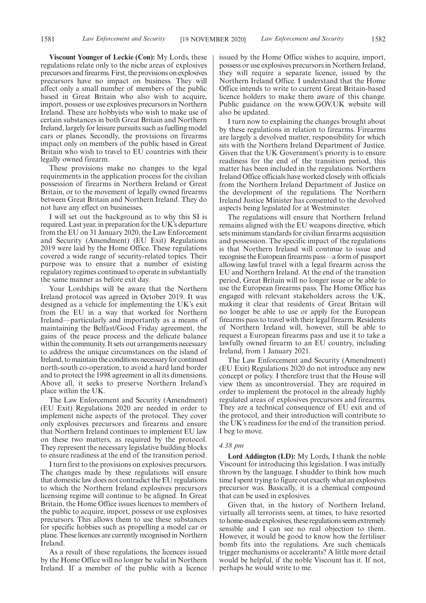**Viscount Younger of Leckie (Con):** My Lords, these regulations relate only to the niche areas of explosives precursors and firearms. First, the provisions on explosives precursors have no impact on business. They will affect only a small number of members of the public based in Great Britain who also wish to acquire, import, possess or use explosives precursors in Northern Ireland. These are hobbyists who wish to make use of certain substances in both Great Britain and Northern Ireland, largely for leisure pursuits such as fuelling model cars or planes. Secondly, the provisions on firearms impact only on members of the public based in Great Britain who wish to travel to EU countries with their legally owned firearm.

These provisions make no changes to the legal requirements in the application process for the civilian possession of firearms in Northern Ireland or Great Britain, or to the movement of legally owned firearms between Great Britain and Northern Ireland. They do not have any effect on businesses.

I will set out the background as to why this SI is required. Last year, in preparation for the UK's departure from the EU on 31 January 2020, the Law Enforcement and Security (Amendment) (EU Exit) Regulations 2019 were laid by the Home Office. These regulations covered a wide range of security-related topics. Their purpose was to ensure that a number of existing regulatory regimes continued to operate in substantially the same manner as before exit day.

Your Lordships will be aware that the Northern Ireland protocol was agreed in October 2019. It was designed as a vehicle for implementing the UK's exit from the EU in a way that worked for Northern Ireland—particularly and importantly as a means of maintaining the Belfast/Good Friday agreement, the gains of the peace process and the delicate balance within the community. It sets out arrangements necessary to address the unique circumstances on the island of Ireland, to maintain the conditions necessary for continued north-south co-operation, to avoid a hard land border and to protect the 1998 agreement in all its dimensions. Above all, it seeks to preserve Northern Ireland's place within the UK.

The Law Enforcement and Security (Amendment) (EU Exit) Regulations 2020 are needed in order to implement niche aspects of the protocol. They cover only explosives precursors and firearms and ensure that Northern Ireland continues to implement EU law on these two matters, as required by the protocol. They represent the necessary legislative building blocks to ensure readiness at the end of the transition period.

I turn first to the provisions on explosives precursors. The changes made by these regulations will ensure that domestic law does not contradict the EU regulations to which the Northern Ireland explosives precursors licensing regime will continue to be aligned. In Great Britain, the Home Office issues licences to members of the public to acquire, import, possess or use explosives precursors. This allows them to use these substances for specific hobbies such as propelling a model car or plane. These licences are currently recognised in Northern Ireland.

As a result of these regulations, the licences issued by the Home Office will no longer be valid in Northern Ireland. If a member of the public with a licence issued by the Home Office wishes to acquire, import, possess or use explosives precursors in Northern Ireland, they will require a separate licence, issued by the Northern Ireland Office. I understand that the Home Office intends to write to current Great Britain-based licence holders to make them aware of this change. Public guidance on the www.GOV.UK website will also be updated.

I turn now to explaining the changes brought about by these regulations in relation to firearms. Firearms are largely a devolved matter, responsibility for which sits with the Northern Ireland Department of Justice. Given that the UK Government's priority is to ensure readiness for the end of the transition period, this matter has been included in the regulations. Northern Ireland Office officials have worked closely with officials from the Northern Ireland Department of Justice on the development of the regulations. The Northern Ireland Justice Minister has consented to the devolved aspects being legislated for at Westminster.

The regulations will ensure that Northern Ireland remains aligned with the EU weapons directive, which sets minimum standards for civilian firearms acquisition and possession. The specific impact of the regulations is that Northern Ireland will continue to issue and recognise the European firearms pass—a form of passport allowing lawful travel with a legal firearm across the EU and Northern Ireland. At the end of the transition period, Great Britain will no longer issue or be able to use the European firearms pass. The Home Office has engaged with relevant stakeholders across the UK, making it clear that residents of Great Britain will no longer be able to use or apply for the European firearms pass to travel with their legal firearm. Residents of Northern Ireland will, however, still be able to request a European firearms pass and use it to take a lawfully owned firearm to an EU country, including Ireland, from 1 January 2021.

The Law Enforcement and Security (Amendment) (EU Exit) Regulations 2020 do not introduce any new concept or policy. I therefore trust that the House will view them as uncontroversial. They are required in order to implement the protocol in the already highly regulated areas of explosives precursors and firearms. They are a technical consequence of EU exit and of the protocol, and their introduction will contribute to the UK's readiness for the end of the transition period. I beg to move.

### *4.38 pm*

**Lord Addington (LD):** My Lords, I thank the noble Viscount for introducing this legislation. I was initially thrown by the language. I shudder to think how much time I spent trying to figure out exactly what an explosives precursor was. Basically, it is a chemical compound that can be used in explosives.

Given that, in the history of Northern Ireland, virtually all terrorists seem, at times, to have resorted to home-made explosives, these regulations seem extremely sensible and I can see no real objection to them. However, it would be good to know how the fertiliser bomb fits into the regulations. Are such chemicals trigger mechanisms or accelerants? A little more detail would be helpful, if the noble Viscount has it. If not, perhaps he would write to me.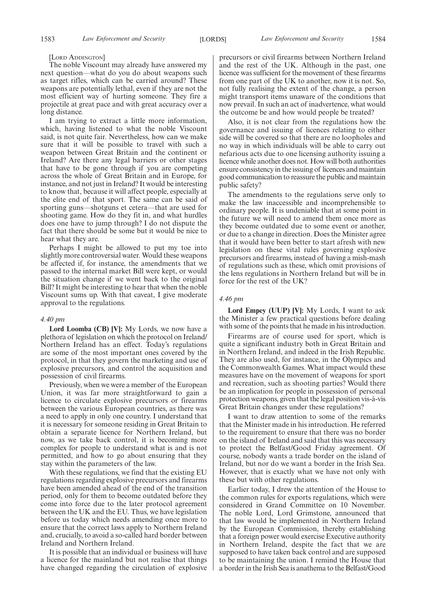#### [LORD ADDINGTON]

The noble Viscount may already have answered my next question—what do you do about weapons such as target rifles, which can be carried around? These weapons are potentially lethal, even if they are not the most efficient way of hurting someone. They fire a projectile at great pace and with great accuracy over a long distance.

I am trying to extract a little more information, which, having listened to what the noble Viscount said, is not quite fair. Nevertheless, how can we make sure that it will be possible to travel with such a weapon between Great Britain and the continent or Ireland? Are there any legal barriers or other stages that have to be gone through if you are competing across the whole of Great Britain and in Europe, for instance, and not just in Ireland? It would be interesting to know that, because it will affect people, especially at the elite end of that sport. The same can be said of sporting guns—shotguns et cetera—that are used for shooting game. How do they fit in, and what hurdles does one have to jump through? I do not dispute the fact that there should be some but it would be nice to hear what they are.

Perhaps I might be allowed to put my toe into slightly more controversial water. Would these weapons be affected if, for instance, the amendments that we passed to the internal market Bill were kept, or would the situation change if we went back to the original Bill? It might be interesting to hear that when the noble Viscount sums up. With that caveat, I give moderate approval to the regulations.

### *4.40 pm*

**Lord Loomba (CB) [V]:** My Lords, we now have a plethora of legislation on which the protocol on Ireland/ Northern Ireland has an effect. Today's regulations are some of the most important ones covered by the protocol, in that they govern the marketing and use of explosive precursors, and control the acquisition and possession of civil firearms.

Previously, when we were a member of the European Union, it was far more straightforward to gain a licence to circulate explosive precursors or firearms between the various European countries, as there was a need to apply in only one country. I understand that it is necessary for someone residing in Great Britain to obtain a separate licence for Northern Ireland, but now, as we take back control, it is becoming more complex for people to understand what is and is not permitted, and how to go about ensuring that they stay within the parameters of the law.

With these regulations, we find that the existing EU regulations regarding explosive precursors and firearms have been amended ahead of the end of the transition period, only for them to become outdated before they come into force due to the later protocol agreement between the UK and the EU. Thus, we have legislation before us today which needs amending once more to ensure that the correct laws apply to Northern Ireland and, crucially, to avoid a so-called hard border between Ireland and Northern Ireland.

It is possible that an individual or business will have a licence for the mainland but not realise that things have changed regarding the circulation of explosive precursors or civil firearms between Northern Ireland and the rest of the UK. Although in the past, one licence was sufficient for the movement of these firearms from one part of the UK to another, now it is not. So, not fully realising the extent of the change, a person might transport items unaware of the conditions that now prevail. In such an act of inadvertence, what would the outcome be and how would people be treated?

Also, it is not clear from the regulations how the governance and issuing of licences relating to either side will be covered so that there are no loopholes and no way in which individuals will be able to carry out nefarious acts due to one licensing authority issuing a licence while another does not. How will both authorities ensure consistency in the issuing of licences and maintain good communication to reassure the public and maintain public safety?

The amendments to the regulations serve only to make the law inaccessible and incomprehensible to ordinary people. It is undeniable that at some point in the future we will need to amend them once more as they become outdated due to some event or another, or due to a change in direction. Does the Minister agree that it would have been better to start afresh with new legislation on these vital rules governing explosive precursors and firearms, instead of having a mish-mash of regulations such as these, which omit provisions of the lens regulations in Northern Ireland but will be in force for the rest of the UK?

### *4.46 pm*

**Lord Empey (UUP) [V]:** My Lords, I want to ask the Minister a few practical questions before dealing with some of the points that he made in his introduction.

Firearms are of course used for sport, which is quite a significant industry both in Great Britain and in Northern Ireland, and indeed in the Irish Republic. They are also used, for instance, in the Olympics and the Commonwealth Games. What impact would these measures have on the movement of weapons for sport and recreation, such as shooting parties? Would there be an implication for people in possession of personal protection weapons, given that the legal position vis-à-vis Great Britain changes under these regulations?

I want to draw attention to some of the remarks that the Minister made in his introduction. He referred to the requirement to ensure that there was no border on the island of Ireland and said that this was necessary to protect the Belfast/Good Friday agreement. Of course, nobody wants a trade border on the island of Ireland, but nor do we want a border in the Irish Sea. However, that is exactly what we have not only with these but with other regulations.

Earlier today, I drew the attention of the House to the common rules for exports regulations, which were considered in Grand Committee on 10 November. The noble Lord, Lord Grimstone, announced that that law would be implemented in Northern Ireland by the European Commission, thereby establishing that a foreign power would exercise Executive authority in Northern Ireland, despite the fact that we are supposed to have taken back control and are supposed to be maintaining the union. I remind the House that a border in the Irish Sea is anathema to the Belfast/Good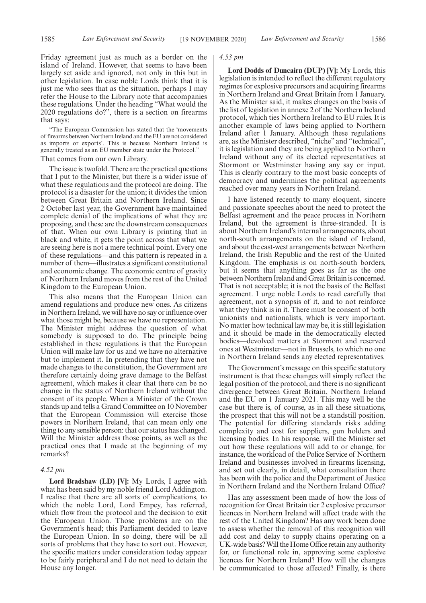Friday agreement just as much as a border on the island of Ireland. However, that seems to have been largely set aside and ignored, not only in this but in other legislation. In case noble Lords think that it is just me who sees that as the situation, perhaps I may refer the House to the Library note that accompanies these regulations. Under the heading "What would the 2020 regulations do?", there is a section on firearms that says:

"The European Commission has stated that the 'movements of firearms between Northern Ireland and the EU are not considered as imports or exports'. This is because Northern Ireland is generally treated as an EU member state under the Protocol."

### That comes from our own Library.

The issue is twofold. There are the practical questions that I put to the Minister, but there is a wider issue of what these regulations and the protocol are doing. The protocol is a disaster for the union; it divides the union between Great Britain and Northern Ireland. Since 2 October last year, the Government have maintained complete denial of the implications of what they are proposing, and these are the downstream consequences of that. When our own Library is printing that in black and white, it gets the point across that what we are seeing here is not a mere technical point. Every one of these regulations—and this pattern is repeated in a number of them—illustrates a significant constitutional and economic change. The economic centre of gravity of Northern Ireland moves from the rest of the United Kingdom to the European Union.

This also means that the European Union can amend regulations and produce new ones. As citizens in Northern Ireland, we will have no say or influence over what those might be, because we have no representation. The Minister might address the question of what somebody is supposed to do. The principle being established in these regulations is that the European Union will make law for us and we have no alternative but to implement it. In pretending that they have not made changes to the constitution, the Government are therefore certainly doing grave damage to the Belfast agreement, which makes it clear that there can be no change in the status of Northern Ireland without the consent of its people. When a Minister of the Crown stands up and tells a Grand Committee on 10 November that the European Commission will exercise those powers in Northern Ireland, that can mean only one thing to any sensible person: that our status has changed. Will the Minister address those points, as well as the practical ones that I made at the beginning of my remarks?

#### *4.52 pm*

**Lord Bradshaw (LD) [V]:** My Lords, I agree with what has been said by my noble friend Lord Addington. I realise that there are all sorts of complications, to which the noble Lord, Lord Empey, has referred, which flow from the protocol and the decision to exit the European Union. Those problems are on the Government's head; this Parliament decided to leave the European Union. In so doing, there will be all sorts of problems that they have to sort out. However, the specific matters under consideration today appear to be fairly peripheral and I do not need to detain the House any longer.

#### *4.53 pm*

**Lord Dodds of Duncairn (DUP) [V]:** My Lords, this legislation is intended to reflect the different regulatory regimes for explosive precursors and acquiring firearms in Northern Ireland and Great Britain from 1 January. As the Minister said, it makes changes on the basis of the list of legislation in annexe 2 of the Northern Ireland protocol, which ties Northern Ireland to EU rules. It is another example of laws being applied to Northern Ireland after 1 January. Although these regulations are, as the Minister described, "niche" and "technical", it is legislation and they are being applied to Northern Ireland without any of its elected representatives at Stormont or Westminster having any say or input. This is clearly contrary to the most basic concepts of democracy and undermines the political agreements reached over many years in Northern Ireland.

I have listened recently to many eloquent, sincere and passionate speeches about the need to protect the Belfast agreement and the peace process in Northern Ireland, but the agreement is three-stranded. It is about Northern Ireland's internal arrangements, about north-south arrangements on the island of Ireland, and about the east-west arrangements between Northern Ireland, the Irish Republic and the rest of the United Kingdom. The emphasis is on north-south borders, but it seems that anything goes as far as the one between Northern Ireland and Great Britain is concerned. That is not acceptable; it is not the basis of the Belfast agreement. I urge noble Lords to read carefully that agreement, not a synopsis of it, and to not reinforce what they think is in it. There must be consent of both unionists and nationalists, which is very important. No matter how technical law may be, it is still legislation and it should be made in the democratically elected bodies—devolved matters at Stormont and reserved ones at Westminster—not in Brussels, to which no one in Northern Ireland sends any elected representatives.

The Government's message on this specific statutory instrument is that these changes will simply reflect the legal position of the protocol, and there is no significant divergence between Great Britain, Northern Ireland and the EU on 1 January 2021. This may well be the case but there is, of course, as in all these situations, the prospect that this will not be a standstill position. The potential for differing standards risks adding complexity and cost for suppliers, gun holders and licensing bodies. In his response, will the Minister set out how these regulations will add to or change, for instance, the workload of the Police Service of Northern Ireland and businesses involved in firearms licensing, and set out clearly, in detail, what consultation there has been with the police and the Department of Justice in Northern Ireland and the Northern Ireland Office?

Has any assessment been made of how the loss of recognition for Great Britain tier 2 explosive precursor licences in Northern Ireland will affect trade with the rest of the United Kingdom? Has any work been done to assess whether the removal of this recognition will add cost and delay to supply chains operating on a UK-wide basis? Will the Home Office retain any authority for, or functional role in, approving some explosive licences for Northern Ireland? How will the changes be communicated to those affected? Finally, is there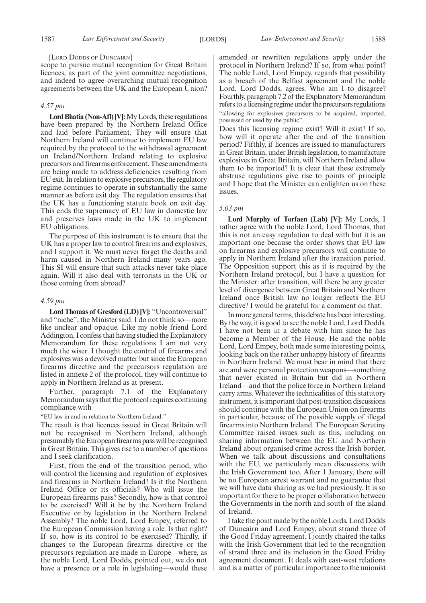scope to pursue mutual recognition for Great Britain licences, as part of the joint committee negotiations, and indeed to agree overarching mutual recognition agreements between the UK and the European Union?

### *4.57 pm*

**Lord Bhatia (Non-Afl) [V]:**My Lords, these regulations have been prepared by the Northern Ireland Office and laid before Parliament. They will ensure that Northern Ireland will continue to implement EU law required by the protocol to the withdrawal agreement on Ireland/Northern Ireland relating to explosive precursors and firearms enforcement. These amendments are being made to address deficiencies resulting from EU exit. In relation to explosive precursors, the regulatory regime continues to operate in substantially the same manner as before exit day. The regulation ensures that the UK has a functioning statute book on exit day. This ends the supremacy of EU law in domestic law and preserves laws made in the UK to implement EU obligations.

The purpose of this instrument is to ensure that the UK has a proper law to control firearms and explosives, and I support it. We must never forget the deaths and harm caused in Northern Ireland many years ago. This SI will ensure that such attacks never take place again. Will it also deal with terrorists in the UK or those coming from abroad?

### *4.59 pm*

Lord Thomas of Gresford (LD) [V]: "Uncontroversial" and "niche", the Minister said. I do not think so—more like unclear and opaque. Like my noble friend Lord Addington, I confess that having studied the Explanatory Memorandum for these regulations I am not very much the wiser. I thought the control of firearms and explosives was a devolved matter but since the European firearms directive and the precursors regulation are listed in annexe 2 of the protocol, they will continue to apply in Northern Ireland as at present.

Further, paragraph 7.1 of the Explanatory Memorandum says that the protocol requires continuing compliance with

"EU law in and in relation to Northern Ireland."

The result is that licences issued in Great Britain will not be recognised in Northern Ireland, although presumably the European firearms pass will be recognised in Great Britain. This gives rise to a number of questions and I seek clarification.

First, from the end of the transition period, who will control the licensing and regulation of explosives and firearms in Northern Ireland? Is it the Northern Ireland Office or its officials? Who will issue the European firearms pass? Secondly, how is that control to be exercised? Will it be by the Northern Ireland Executive or by legislation in the Northern Ireland Assembly? The noble Lord, Lord Empey, referred to the European Commission having a role. Is that right? If so, how is its control to be exercised? Thirdly, if changes to the European firearms directive or the precursors regulation are made in Europe—where, as the noble Lord, Lord Dodds, pointed out, we do not have a presence or a role in legislating—would these

amended or rewritten regulations apply under the protocol in Northern Ireland? If so, from what point? The noble Lord, Lord Empey, regards that possibility as a breach of the Belfast agreement and the noble Lord, Lord Dodds, agrees. Who am I to disagree? Fourthly, paragraph 7.2 of the Explanatory Memorandum refers to a licensing regime under the precursors regulations "allowing for explosives precursors to be acquired, imported, possessed or used by the public".

Does this licensing regime exist? Will it exist? If so, how will it operate after the end of the transition period? Fifthly, if licences are issued to manufacturers in Great Britain, under British legislation, to manufacture explosives in Great Britain, will Northern Ireland allow them to be imported? It is clear that these extremely abstruse regulations give rise to points of principle and I hope that the Minister can enlighten us on these issues.

### *5.03 pm*

**Lord Murphy of Torfaen (Lab) [V]:** My Lords, I rather agree with the noble Lord, Lord Thomas, that this is not an easy regulation to deal with but it is an important one because the order shows that EU law on firearms and explosive precursors will continue to apply in Northern Ireland after the transition period. The Opposition support this as it is required by the Northern Ireland protocol, but I have a question for the Minister: after transition, will there be any greater level of divergence between Great Britain and Northern Ireland once British law no longer reflects the EU directive? I would be grateful for a comment on that.

In more general terms, this debate has been interesting. By the way, it is good to see the noble Lord, Lord Dodds. I have not been in a debate with him since he has become a Member of the House. He and the noble Lord, Lord Empey, both made some interesting points, looking back on the rather unhappy history of firearms in Northern Ireland. We must bear in mind that there are and were personal protection weapons—something that never existed in Britain but did in Northern Ireland—and that the police force in Northern Ireland carry arms. Whatever the technicalities of this statutory instrument, it is important that post-transition discussions should continue with the European Union on firearms in particular, because of the possible supply of illegal firearms into Northern Ireland. The European Scrutiny Committee raised issues such as this, including on sharing information between the EU and Northern Ireland about organised crime across the Irish border. When we talk about discussions and consultations with the EU, we particularly mean discussions with the Irish Government too. After 1 January, there will be no European arrest warrant and no guarantee that we will have data sharing as we had previously. It is so important for there to be proper collaboration between the Governments in the north and south of the island of Ireland.

I take the point made by the noble Lords, Lord Dodds of Duncairn and Lord Empey, about strand three of the Good Friday agreement. I jointly chaired the talks with the Irish Government that led to the recognition of strand three and its inclusion in the Good Friday agreement document. It deals with east-west relations and is a matter of particular importance to the unionist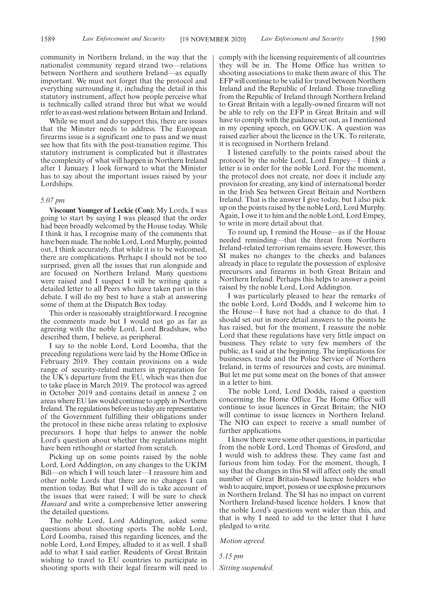community in Northern Ireland, in the way that the nationalist community regard strand two—relations between Northern and southern Ireland—as equally important. We must not forget that the protocol and everything surrounding it, including the detail in this statutory instrument, affect how people perceive what is technically called strand three but what we would refer to as east-west relations between Britain and Ireland.

While we must and do support this, there are issues that the Minster needs to address. The European firearms issue is a significant one to pass and we must see how that fits with the post-transition regime. This statutory instrument is complicated but it illustrates the complexity of what will happen in Northern Ireland after 1 January. I look forward to what the Minister has to say about the important issues raised by your Lordships.

### *5.07 pm*

**Viscount Younger of Leckie (Con):** My Lords, I was going to start by saying I was pleased that the order had been broadly welcomed by the House today. While I think it has, I recognise many of the comments that have been made. The noble Lord, Lord Murphy, pointed out, I think accurately, that while it is to be welcomed, there are complications. Perhaps I should not be too surprised, given all the issues that run alongside and are focused on Northern Ireland. Many questions were raised and I suspect I will be writing quite a detailed letter to all Peers who have taken part in this debate. I will do my best to have a stab at answering some of them at the Dispatch Box today.

This order is reasonably straightforward. I recognise the comments made but I would not go as far as agreeing with the noble Lord, Lord Bradshaw, who described them, I believe, as peripheral.

I say to the noble Lord, Lord Loomba, that the preceding regulations were laid by the Home Office in February 2019. They contain provisions on a wide range of security-related matters in preparation for the UK's departure from the EU, which was then due to take place in March 2019. The protocol was agreed in October 2019 and contains detail in annexe 2 on areas where EU law would continue to apply in Northern Ireland. The regulations before us today are representative of the Government fulfilling their obligations under the protocol in these niche areas relating to explosive precursors. I hope that helps to answer the noble Lord's question about whether the regulations might have been rethought or started from scratch.

Picking up on some points raised by the noble Lord, Lord Addington, on any changes to the UKIM Bill—on which I will touch later—I reassure him and other noble Lords that there are no changes I can mention today. But what I will do is take account of the issues that were raised; I will be sure to check *Hansard* and write a comprehensive letter answering the detailed questions.

The noble Lord, Lord Addington, asked some questions about shooting sports. The noble Lord, Lord Loomba, raised this regarding licences, and the noble Lord, Lord Empey, alluded to it as well. I shall add to what I said earlier. Residents of Great Britain wishing to travel to EU countries to participate in shooting sports with their legal firearm will need to comply with the licensing requirements of all countries they will be in. The Home Office has written to shooting associations to make them aware of this. The EFP will continue to be valid for travel between Northern Ireland and the Republic of Ireland. Those travelling from the Republic of Ireland through Northern Ireland to Great Britain with a legally-owned firearm will not be able to rely on the EFP in Great Britain and will have to comply with the guidance set out, as I mentioned in my opening speech, on GOV.UK. A question was raised earlier about the licence in the UK. To reiterate, it is recognised in Northern Ireland.

I listened carefully to the points raised about the protocol by the noble Lord, Lord Empey—I think a letter is in order for the noble Lord. For the moment, the protocol does not create, nor does it include any provision for creating, any kind of international border in the Irish Sea between Great Britain and Northern Ireland. That is the answer I give today, but I also pick up on the points raised by the noble Lord, Lord Murphy. Again, I owe it to him and the noble Lord, Lord Empey, to write in more detail about that.

To round up, I remind the House—as if the House needed reminding—that the threat from Northern Ireland-related terrorism remains severe. However, this SI makes no changes to the checks and balances already in place to regulate the possession of explosive precursors and firearms in both Great Britain and Northern Ireland. Perhaps this helps to answer a point raised by the noble Lord, Lord Addington.

I was particularly pleased to hear the remarks of the noble Lord, Lord Dodds, and I welcome him to the House—I have not had a chance to do that. I should set out in more detail answers to the points he has raised, but for the moment, I reassure the noble Lord that these regulations have very little impact on business. They relate to very few members of the public, as I said at the beginning. The implications for businesses, trade and the Police Service of Northern Ireland, in terms of resources and costs, are minimal. But let me put some meat on the bones of that answer in a letter to him.

The noble Lord, Lord Dodds, raised a question concerning the Home Office. The Home Office will continue to issue licences in Great Britain; the NIO will continue to issue licences in Northern Ireland. The NIO can expect to receive a small number of further applications.

I know there were some other questions, in particular from the noble Lord, Lord Thomas of Gresford, and I would wish to address these. They came fast and furious from him today. For the moment, though, I say that the changes in this SI will affect only the small number of Great Britain-based licence holders who wish to acquire, import, possess or use explosive precursors in Northern Ireland. The SI has no impact on current Northern Ireland-based licence holders. I know that the noble Lord's questions went wider than this, and that is why I need to add to the letter that I have pledged to write.

*Motion agreed.*

*5.15 pm Sitting suspended.*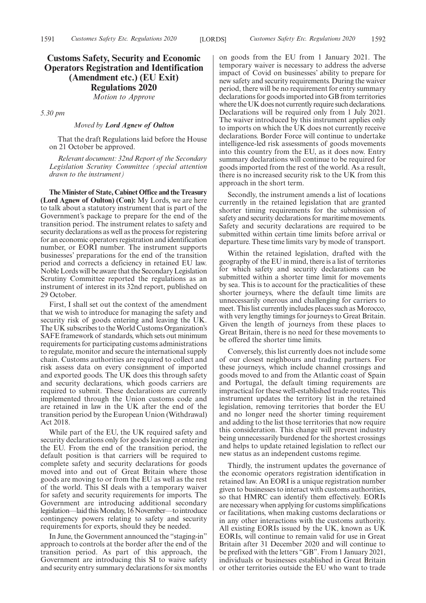### **Customs Safety, Security and Economic Operators Registration and Identification (Amendment etc.) (EU Exit) Regulations 2020**

*Motion to Approve*

*5.30 pm*

### *Moved by Lord Agnew of Oulton*

That the draft Regulations laid before the House on 21 October be approved.

*Relevant document: 32nd Report of the Secondary Legislation Scrutiny Committee (special attention drawn to the instrument)*

**The Minister of State, Cabinet Office and the Treasury (Lord Agnew of Oulton) (Con):** My Lords, we are here to talk about a statutory instrument that is part of the Government's package to prepare for the end of the transition period. The instrument relates to safety and security declarations as well as the process for registering for an economic operators registration and identification number, or EORI number. The instrument supports businesses' preparations for the end of the transition period and corrects a deficiency in retained EU law. Noble Lords will be aware that the Secondary Legislation Scrutiny Committee reported the regulations as an instrument of interest in its 32nd report, published on 29 October.

First, I shall set out the context of the amendment that we wish to introduce for managing the safety and security risk of goods entering and leaving the UK. The UK subscribes to the World Customs Organization's SAFE framework of standards, which sets out minimum requirements for participating customs administrations to regulate, monitor and secure the international supply chain. Customs authorities are required to collect and risk assess data on every consignment of imported and exported goods. The UK does this through safety and security declarations, which goods carriers are required to submit. These declarations are currently implemented through the Union customs code and are retained in law in the UK after the end of the transition period by the European Union (Withdrawal) Act 2018.

While part of the EU, the UK required safety and security declarations only for goods leaving or entering the EU. From the end of the transition period, the default position is that carriers will be required to complete safety and security declarations for goods moved into and out of Great Britain where those goods are moving to or from the EU as well as the rest of the world. This SI deals with a temporary waiver for safety and security requirements for imports. The Government are introducing additional secondary legislation—laid this Monday, 16 November—to introduce contingency powers relating to safety and security requirements for exports, should they be needed.

In June, the Government announced the "staging-in" approach to controls at the border after the end of the transition period. As part of this approach, the Government are introducing this SI to waive safety and security entry summary declarations for six months on goods from the EU from 1 January 2021. The temporary waiver is necessary to address the adverse impact of Covid on businesses' ability to prepare for new safety and security requirements. During the waiver period, there will be no requirement for entry summary declarations for goods imported into GB from territories where the UK does not currently require such declarations. Declarations will be required only from 1 July 2021. The waiver introduced by this instrument applies only to imports on which the UK does not currently receive declarations. Border Force will continue to undertake intelligence-led risk assessments of goods movements into this country from the EU, as it does now. Entry summary declarations will continue to be required for goods imported from the rest of the world. As a result, there is no increased security risk to the UK from this approach in the short term.

Secondly, the instrument amends a list of locations currently in the retained legislation that are granted shorter timing requirements for the submission of safety and security declarations for maritime movements. Safety and security declarations are required to be submitted within certain time limits before arrival or departure. These time limits vary by mode of transport.

Within the retained legislation, drafted with the geography of the EU in mind, there is a list of territories for which safety and security declarations can be submitted within a shorter time limit for movements by sea. This is to account for the practicalities of these shorter journeys, where the default time limits are unnecessarily onerous and challenging for carriers to meet. This list currently includes places such as Morocco, with very lengthy timings for journeys to Great Britain. Given the length of journeys from these places to Great Britain, there is no need for these movements to be offered the shorter time limits.

Conversely, this list currently does not include some of our closest neighbours and trading partners. For these journeys, which include channel crossings and goods moved to and from the Atlantic coast of Spain and Portugal, the default timing requirements are impractical for these well-established trade routes. This instrument updates the territory list in the retained legislation, removing territories that border the EU and no longer need the shorter timing requirement and adding to the list those territories that now require this consideration. This change will prevent industry being unnecessarily burdened for the shortest crossings and helps to update retained legislation to reflect our new status as an independent customs regime.

Thirdly, the instrument updates the governance of the economic operators registration identification in retained law. An EORI is a unique registration number given to businesses to interact with customs authorities, so that HMRC can identify them effectively. EORIs are necessary when applying for customs simplifications or facilitations, when making customs declarations or in any other interactions with the customs authority. All existing EORIs issued by the UK, known as UK EORIs, will continue to remain valid for use in Great Britain after 31 December 2020 and will continue to be prefixed with the letters "GB". From 1 January 2021, individuals or businesses established in Great Britain or other territories outside the EU who want to trade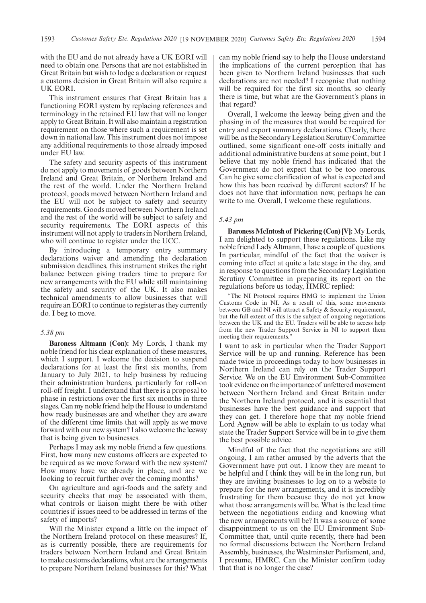with the EU and do not already have a UK EORI will need to obtain one. Persons that are not established in Great Britain but wish to lodge a declaration or request a customs decision in Great Britain will also require a UK EORI.

This instrument ensures that Great Britain has a functioning EORI system by replacing references and terminology in the retained EU law that will no longer apply to Great Britain. It will also maintain a registration requirement on those where such a requirement is set down in national law. This instrument does not impose any additional requirements to those already imposed under EU law.

The safety and security aspects of this instrument do not apply to movements of goods between Northern Ireland and Great Britain, or Northern Ireland and the rest of the world. Under the Northern Ireland protocol, goods moved between Northern Ireland and the EU will not be subject to safety and security requirements. Goods moved between Northern Ireland and the rest of the world will be subject to safety and security requirements. The EORI aspects of this instrument will not apply to traders in Northern Ireland, who will continue to register under the UCC.

By introducing a temporary entry summary declarations waiver and amending the declaration submission deadlines, this instrument strikes the right balance between giving traders time to prepare for new arrangements with the EU while still maintaining the safety and security of the UK. It also makes technical amendments to allow businesses that will require an EORI to continue to register as they currently do. I beg to move.

### *5.38 pm*

**Baroness Altmann (Con):** My Lords, I thank my noble friend for his clear explanation of these measures, which I support. I welcome the decision to suspend declarations for at least the first six months, from January to July 2021, to help business by reducing their administration burdens, particularly for roll-on roll-off freight. I understand that there is a proposal to phase in restrictions over the first six months in three stages. Can my noble friend help the House to understand how ready businesses are and whether they are aware of the different time limits that will apply as we move forward with our new system? I also welcome the leeway that is being given to businesses.

Perhaps I may ask my noble friend a few questions. First, how many new customs officers are expected to be required as we move forward with the new system? How many have we already in place, and are we looking to recruit further over the coming months?

On agriculture and agri-foods and the safety and security checks that may be associated with them, what controls or liaison might there be with other countries if issues need to be addressed in terms of the safety of imports?

Will the Minister expand a little on the impact of the Northern Ireland protocol on these measures? If, as is currently possible, there are requirements for traders between Northern Ireland and Great Britain to make customs declarations, what are the arrangements to prepare Northern Ireland businesses for this? What can my noble friend say to help the House understand the implications of the current perception that has been given to Northern Ireland businesses that such declarations are not needed? I recognise that nothing will be required for the first six months, so clearly there is time, but what are the Government's plans in that regard?

Overall, I welcome the leeway being given and the phasing in of the measures that would be required for entry and export summary declarations. Clearly, there will be, as the Secondary Legislation Scrutiny Committee outlined, some significant one-off costs initially and additional administrative burdens at some point, but I believe that my noble friend has indicated that the Government do not expect that to be too onerous. Can he give some clarification of what is expected and how this has been received by different sectors? If he does not have that information now, perhaps he can write to me. Overall, I welcome these regulations.

### *5.43 pm*

**Baroness McIntosh of Pickering (Con) [V]:** My Lords, I am delighted to support these regulations. Like my noble friend Lady Altmann, I have a couple of questions. In particular, mindful of the fact that the waiver is coming into effect at quite a late stage in the day, and in response to questions from the Secondary Legislation Scrutiny Committee in preparing its report on the regulations before us today, HMRC replied:

"The NI Protocol requires HMG to implement the Union Customs Code in NI. As a result of this, some movements between GB and NI will attract a Safety & Security requirement, but the full extent of this is the subject of ongoing negotiations between the UK and the EU. Traders will be able to access help from the new Trader Support Service in NI to support them meeting their requirements.

I want to ask in particular when the Trader Support Service will be up and running. Reference has been made twice in proceedings today to how businesses in Northern Ireland can rely on the Trader Support Service. We on the EU Environment Sub-Committee took evidence on the importance of unfettered movement between Northern Ireland and Great Britain under the Northern Ireland protocol, and it is essential that businesses have the best guidance and support that they can get. I therefore hope that my noble friend Lord Agnew will be able to explain to us today what state the Trader Support Service will be in to give them the best possible advice.

Mindful of the fact that the negotiations are still ongoing, I am rather amused by the adverts that the Government have put out. I know they are meant to be helpful and I think they will be in the long run, but they are inviting businesses to log on to a website to prepare for the new arrangements, and it is incredibly frustrating for them because they do not yet know what those arrangements will be. What is the lead time between the negotiations ending and knowing what the new arrangements will be? It was a source of some disappointment to us on the EU Environment Sub-Committee that, until quite recently, there had been no formal discussions between the Northern Ireland Assembly, businesses, the Westminster Parliament, and, I presume, HMRC. Can the Minister confirm today that that is no longer the case?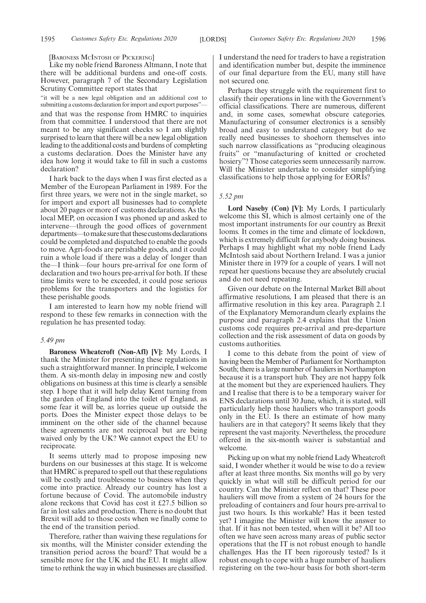#### [BARONESS MCINTOSH OF PICKERING]

Like my noble friend Baroness Altmann, I note that there will be additional burdens and one-off costs. However, paragraph 7 of the Secondary Legislation Scrutiny Committee report states that

"it will be a new legal obligation and an additional cost to submitting a customs declaration for import and export purposes"and that was the response from HMRC to inquiries from that committee. I understood that there are not meant to be any significant checks so I am slightly surprised to learn that there will be a new legal obligation leading to the additional costs and burdens of completing a customs declaration. Does the Minister have any idea how long it would take to fill in such a customs declaration?

I hark back to the days when I was first elected as a Member of the European Parliament in 1989. For the first three years, we were not in the single market, so for import and export all businesses had to complete about 20 pages or more of customs declarations. As the local MEP, on occasion I was phoned up and asked to intervene—through the good offices of government departments—to make sure that these customs declarations could be completed and dispatched to enable the goods to move. Agri-foods are perishable goods, and it could ruin a whole load if there was a delay of longer than the—I think—four hours pre-arrival for one form of declaration and two hours pre-arrival for both. If these time limits were to be exceeded, it could pose serious problems for the transporters and the logistics for these perishable goods.

I am interested to learn how my noble friend will respond to these few remarks in connection with the regulation he has presented today.

### *5.49 pm*

**Baroness Wheatcroft (Non-Afl) [V]:** My Lords, I thank the Minister for presenting these regulations in such a straightforward manner. In principle, I welcome them. A six-month delay in imposing new and costly obligations on business at this time is clearly a sensible step. I hope that it will help delay Kent turning from the garden of England into the toilet of England, as some fear it will be, as lorries queue up outside the ports. Does the Minister expect those delays to be imminent on the other side of the channel because these agreements are not reciprocal but are being waived only by the UK? We cannot expect the EU to reciprocate.

It seems utterly mad to propose imposing new burdens on our businesses at this stage. It is welcome that HMRC is prepared to spell out that these regulations will be costly and troublesome to business when they come into practice. Already our country has lost a fortune because of Covid. The automobile industry alone reckons that Covid has cost it £27.5 billion so far in lost sales and production. There is no doubt that Brexit will add to those costs when we finally come to the end of the transition period.

Therefore, rather than waiving these regulations for six months, will the Minister consider extending the transition period across the board? That would be a sensible move for the UK and the EU. It might allow time to rethink the way in which businesses are classified. I understand the need for traders to have a registration and identification number but, despite the imminence of our final departure from the EU, many still have not secured one.

Perhaps they struggle with the requirement first to classify their operations in line with the Government's official classifications. There are numerous, different and, in some cases, somewhat obscure categories. Manufacturing of consumer electronics is a sensibly broad and easy to understand category but do we really need businesses to shoehorn themselves into such narrow classifications as "producing oleaginous fruits" or "manufacturing of knitted or crocheted hosiery"? Those categories seem unnecessarily narrow. Will the Minister undertake to consider simplifying classifications to help those applying for EORIs?

### *5.52 pm*

**Lord Naseby (Con) [V]:** My Lords, I particularly welcome this SI, which is almost certainly one of the most important instruments for our country as Brexit looms. It comes in the time and climate of lockdown, which is extremely difficult for anybody doing business. Perhaps I may highlight what my noble friend Lady McIntosh said about Northern Ireland. I was a junior Minister there in 1979 for a couple of years. I will not repeat her questions because they are absolutely crucial and do not need repeating.

Given our debate on the Internal Market Bill about affirmative resolutions, I am pleased that there is an affirmative resolution in this key area. Paragraph 2.1 of the Explanatory Memorandum clearly explains the purpose and paragraph 2.4 explains that the Union customs code requires pre-arrival and pre-departure collection and the risk assessment of data on goods by customs authorities.

I come to this debate from the point of view of having been the Member of Parliament for Northampton South; there is a large number of hauliers in Northampton because it is a transport hub. They are not happy folk at the moment but they are experienced hauliers. They and I realise that there is to be a temporary waiver for ENS declarations until 30 June, which, it is stated, will particularly help those hauliers who transport goods only in the EU. Is there an estimate of how many hauliers are in that category? It seems likely that they represent the vast majority. Nevertheless, the procedure offered in the six-month waiver is substantial and welcome.

Picking up on what my noble friend Lady Wheatcroft said, I wonder whether it would be wise to do a review after at least three months. Six months will go by very quickly in what will still be difficult period for our country. Can the Minister reflect on that? These poor hauliers will move from a system of 24 hours for the preloading of containers and four hours pre-arrival to just two hours. Is this workable? Has it been tested yet? I imagine the Minister will know the answer to that. If it has not been tested, when will it be? All too often we have seen across many areas of public sector operations that the IT is not robust enough to handle challenges. Has the IT been rigorously tested? Is it robust enough to cope with a huge number of hauliers registering on the two-hour basis for both short-term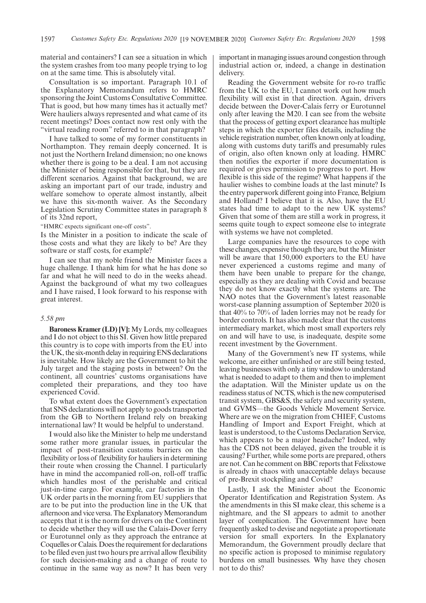material and containers? I can see a situation in which the system crashes from too many people trying to log on at the same time. This is absolutely vital.

Consultation is so important. Paragraph 10.1 of the Explanatory Memorandum refers to HMRC sponsoring the Joint Customs Consultative Committee. That is good, but how many times has it actually met? Were hauliers always represented and what came of its recent meetings? Does contact now rest only with the "virtual reading room" referred to in that paragraph?

I have talked to some of my former constituents in Northampton. They remain deeply concerned. It is not just the Northern Ireland dimension; no one knows whether there is going to be a deal. I am not accusing the Minister of being responsible for that, but they are different scenarios. Against that background, we are asking an important part of our trade, industry and welfare somehow to operate almost instantly, albeit we have this six-month waiver. As the Secondary Legislation Scrutiny Committee states in paragraph 8 of its 32nd report,

"HMRC expects significant one-off costs".

Is the Minister in a position to indicate the scale of those costs and what they are likely to be? Are they software or staff costs, for example?

I can see that my noble friend the Minister faces a huge challenge. I thank him for what he has done so far and what he will need to do in the weeks ahead. Against the background of what my two colleagues and I have raised, I look forward to his response with great interest.

### *5.58 pm*

**Baroness Kramer (LD) [V]:** My Lords, my colleagues and I do not object to this SI. Given how little prepared this country is to cope with imports from the EU into the UK, the six-month delay in requiring ENS declarations is inevitable. How likely are the Government to hit the July target and the staging posts in between? On the continent, all countries' customs organisations have completed their preparations, and they too have experienced Covid.

To what extent does the Government's expectation that SNS declarations will not apply to goods transported from the GB to Northern Ireland rely on breaking international law? It would be helpful to understand.

I would also like the Minister to help me understand some rather more granular issues, in particular the impact of post-transition customs barriers on the flexibility or loss of flexibility for hauliers in determining their route when crossing the Channel. I particularly have in mind the accompanied roll-on, roll-off traffic which handles most of the perishable and critical just-in-time cargo. For example, car factories in the UK order parts in the morning from EU suppliers that are to be put into the production line in the UK that afternoon and vice versa. The Explanatory Memorandum accepts that it is the norm for drivers on the Continent to decide whether they will use the Calais-Dover ferry or Eurotunnel only as they approach the entrance at Coquelles or Calais. Does the requirement for declarations to be filed even just two hours pre arrival allow flexibility for such decision-making and a change of route to continue in the same way as now? It has been very

important in managing issues around congestion through industrial action or, indeed, a change in destination delivery.

Reading the Government website for ro-ro traffic from the UK to the EU, I cannot work out how much flexibility will exist in that direction. Again, drivers decide between the Dover-Calais ferry or Eurotunnel only after leaving the M20. I can see from the website that the process of getting export clearance has multiple steps in which the exporter files details, including the vehicle registration number, often known only at loading, along with customs duty tariffs and presumably rules of origin, also often known only at loading. HMRC then notifies the exporter if more documentation is required or gives permission to progress to port. How flexible is this side of the regime? What happens if the haulier wishes to combine loads at the last minute? Is the entry paperwork different going into France, Belgium and Holland? I believe that it is. Also, have the EU states had time to adapt to the new UK systems? Given that some of them are still a work in progress, it seems quite tough to expect someone else to integrate with systems we have not completed.

Large companies have the resources to cope with these changes, expensive though they are, but the Minister will be aware that 150,000 exporters to the EU have never experienced a customs regime and many of them have been unable to prepare for the change, especially as they are dealing with Covid and because they do not know exactly what the systems are. The NAO notes that the Government's latest reasonable worst-case planning assumption of September 2020 is that 40% to 70% of laden lorries may not be ready for border controls. It has also made clear that the customs intermediary market, which most small exporters rely on and will have to use, is inadequate, despite some recent investment by the Government.

Many of the Government's new IT systems, while welcome, are either unfinished or are still being tested, leaving businesses with only a tiny window to understand what is needed to adapt to them and then to implement the adaptation. Will the Minister update us on the readiness status of NCTS, which is the new computerised transit system, GBS&S, the safety and security system, and GVMS—the Goods Vehicle Movement Service. Where are we on the migration from CHIEF, Customs Handling of Import and Export Freight, which at least is understood, to the Customs Declaration Service, which appears to be a major headache? Indeed, why has the CDS not been delayed, given the trouble it is causing? Further, while some ports are prepared, others are not. Can he comment on BBC reports that Felixstowe is already in chaos with unacceptable delays because of pre-Brexit stockpiling and Covid?

Lastly, I ask the Minister about the Economic Operator Identification and Registration System. As the amendments in this SI make clear, this scheme is a nightmare, and the SI appears to admit to another layer of complication. The Government have been frequently asked to devise and negotiate a proportionate version for small exporters. In the Explanatory Memorandum, the Government proudly declare that no specific action is proposed to minimise regulatory burdens on small businesses. Why have they chosen not to do this?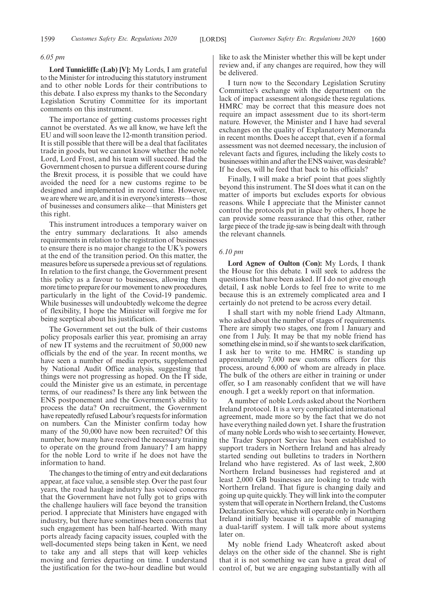### *6.05 pm*

**Lord Tunnicliffe (Lab) [V]:** My Lords, I am grateful to the Minister for introducing this statutory instrument and to other noble Lords for their contributions to this debate. I also express my thanks to the Secondary Legislation Scrutiny Committee for its important comments on this instrument.

The importance of getting customs processes right cannot be overstated. As we all know, we have left the EU and will soon leave the 12-month transition period. It is still possible that there will be a deal that facilitates trade in goods, but we cannot know whether the noble Lord, Lord Frost, and his team will succeed. Had the Government chosen to pursue a different course during the Brexit process, it is possible that we could have avoided the need for a new customs regime to be designed and implemented in record time. However, we are where we are, and it is in everyone's interests—those of businesses and consumers alike—that Ministers get this right.

This instrument introduces a temporary waiver on the entry summary declarations. It also amends requirements in relation to the registration of businesses to ensure there is no major change to the UK's powers at the end of the transition period. On this matter, the measures before us supersede a previous set of regulations. In relation to the first change, the Government present this policy as a favour to businesses, allowing them more time to prepare for our movement to new procedures, particularly in the light of the Covid-19 pandemic. While businesses will undoubtedly welcome the degree of flexibility, I hope the Minister will forgive me for being sceptical about his justification.

The Government set out the bulk of their customs policy proposals earlier this year, promising an array of new IT systems and the recruitment of 50,000 new officials by the end of the year. In recent months, we have seen a number of media reports, supplemented by National Audit Office analysis, suggesting that things were not progressing as hoped. On the IT side, could the Minister give us an estimate, in percentage terms, of our readiness? Is there any link between the ENS postponement and the Government's ability to process the data? On recruitment, the Government have repeatedly refused Labour's requests for information on numbers. Can the Minister confirm today how many of the 50,000 have now been recruited? Of this number, how many have received the necessary training to operate on the ground from January? I am happy for the noble Lord to write if he does not have the information to hand.

The changes to the timing of entry and exit declarations appear, at face value, a sensible step. Over the past four years, the road haulage industry has voiced concerns that the Government have not fully got to grips with the challenge hauliers will face beyond the transition period. I appreciate that Ministers have engaged with industry, but there have sometimes been concerns that such engagement has been half-hearted. With many ports already facing capacity issues, coupled with the well-documented steps being taken in Kent, we need to take any and all steps that will keep vehicles moving and ferries departing on time. I understand the justification for the two-hour deadline but would like to ask the Minister whether this will be kept under review and, if any changes are required, how they will be delivered.

I turn now to the Secondary Legislation Scrutiny Committee's exchange with the department on the lack of impact assessment alongside these regulations. HMRC may be correct that this measure does not require an impact assessment due to its short-term nature. However, the Minister and I have had several exchanges on the quality of Explanatory Memoranda in recent months. Does he accept that, even if a formal assessment was not deemed necessary, the inclusion of relevant facts and figures, including the likely costs to businesses within and after the ENS waiver, was desirable? If he does, will he feed that back to his officials?

Finally, I will make a brief point that goes slightly beyond this instrument. The SI does what it can on the matter of imports but excludes exports for obvious reasons. While I appreciate that the Minister cannot control the protocols put in place by others, I hope he can provide some reassurance that this other, rather large piece of the trade jig-saw is being dealt with through the relevant channels.

### *6.10 pm*

**Lord Agnew of Oulton (Con):** My Lords, I thank the House for this debate. I will seek to address the questions that have been asked. If I do not give enough detail, I ask noble Lords to feel free to write to me because this is an extremely complicated area and I certainly do not pretend to be across every detail.

I shall start with my noble friend Lady Altmann, who asked about the number of stages of requirements. There are simply two stages, one from 1 January and one from 1 July. It may be that my noble friend has something else in mind, so if she wants to seek clarification, I ask her to write to me. HMRC is standing up approximately 7,000 new customs officers for this process, around 6,000 of whom are already in place. The bulk of the others are either in training or under offer, so I am reasonably confident that we will have enough. I get a weekly report on that information.

A number of noble Lords asked about the Northern Ireland protocol. It is a very complicated international agreement, made more so by the fact that we do not have everything nailed down yet. I share the frustration of many noble Lords who wish to see certainty. However, the Trader Support Service has been established to support traders in Northern Ireland and has already started sending out bulletins to traders in Northern Ireland who have registered. As of last week, 2,800 Northern Ireland businesses had registered and at least 2,000 GB businesses are looking to trade with Northern Ireland. That figure is changing daily and going up quite quickly. They will link into the computer system that will operate in Northern Ireland, the Customs Declaration Service, which will operate only in Northern Ireland initially because it is capable of managing a dual-tariff system. I will talk more about systems later on.

My noble friend Lady Wheatcroft asked about delays on the other side of the channel. She is right that it is not something we can have a great deal of control of, but we are engaging substantially with all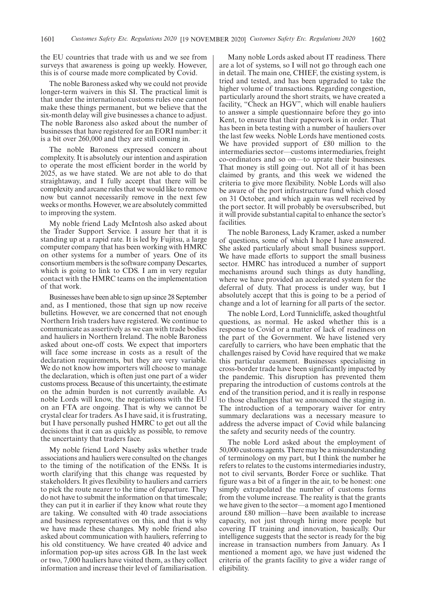the EU countries that trade with us and we see from surveys that awareness is going up weekly. However, this is of course made more complicated by Covid.

The noble Baroness asked why we could not provide longer-term waivers in this SI. The practical limit is that under the international customs rules one cannot make these things permanent, but we believe that the six-month delay will give businesses a chance to adjust. The noble Baroness also asked about the number of businesses that have registered for an EORI number: it is a bit over 260,000 and they are still coming in.

The noble Baroness expressed concern about complexity. It is absolutely our intention and aspiration to operate the most efficient border in the world by 2025, as we have stated. We are not able to do that straightaway, and I fully accept that there will be complexity and arcane rules that we would like to remove now but cannot necessarily remove in the next few weeks or months. However, we are absolutely committed to improving the system.

My noble friend Lady McIntosh also asked about the Trader Support Service. I assure her that it is standing up at a rapid rate. It is led by Fujitsu, a large computer company that has been working with HMRC on other systems for a number of years. One of its consortium members is the software company Descartes, which is going to link to CDS. I am in very regular contact with the HMRC teams on the implementation of that work.

Businesses have been able to sign up since 28 September and, as I mentioned, those that sign up now receive bulletins. However, we are concerned that not enough Northern Irish traders have registered. We continue to communicate as assertively as we can with trade bodies and hauliers in Northern Ireland. The noble Baroness asked about one-off costs. We expect that importers will face some increase in costs as a result of the declaration requirements, but they are very variable. We do not know how importers will choose to manage the declaration, which is often just one part of a wider customs process. Because of this uncertainty, the estimate on the admin burden is not currently available. As noble Lords will know, the negotiations with the EU on an FTA are ongoing. That is why we cannot be crystal clear for traders. As I have said, it is frustrating, but I have personally pushed HMRC to get out all the decisions that it can as quickly as possible, to remove the uncertainty that traders face.

My noble friend Lord Naseby asks whether trade associations and hauliers were consulted on the changes to the timing of the notification of the ENSs. It is worth clarifying that this change was requested by stakeholders. It gives flexibility to hauliers and carriers to pick the route nearer to the time of departure. They do not have to submit the information on that timescale; they can put it in earlier if they know what route they are taking. We consulted with 40 trade associations and business representatives on this, and that is why we have made these changes. My noble friend also asked about communication with hauliers, referring to his old constituency. We have created 40 advice and information pop-up sites across GB. In the last week or two, 7,000 hauliers have visited them, as they collect information and increase their level of familiarisation.

Many noble Lords asked about IT readiness. There are a lot of systems, so I will not go through each one in detail. The main one, CHIEF, the existing system, is tried and tested, and has been upgraded to take the higher volume of transactions. Regarding congestion, particularly around the short straits, we have created a facility, "Check an HGV", which will enable hauliers to answer a simple questionnaire before they go into Kent, to ensure that their paperwork is in order. That has been in beta testing with a number of hauliers over the last few weeks. Noble Lords have mentioned costs. We have provided support of £80 million to the intermediaries sector—customs intermediaries, freight co-ordinators and so on—to uprate their businesses. That money is still going out. Not all of it has been claimed by grants, and this week we widened the criteria to give more flexibility. Noble Lords will also be aware of the port infrastructure fund which closed on 31 October, and which again was well received by the port sector. It will probably be oversubscribed, but it will provide substantial capital to enhance the sector's facilities.

The noble Baroness, Lady Kramer, asked a number of questions, some of which I hope I have answered. She asked particularly about small business support. We have made efforts to support the small business sector. HMRC has introduced a number of support mechanisms around such things as duty handling, where we have provided an accelerated system for the deferral of duty. That process is under way, but I absolutely accept that this is going to be a period of change and a lot of learning for all parts of the sector.

The noble Lord, Lord Tunnicliffe, asked thoughtful questions, as normal. He asked whether this is a response to Covid or a matter of lack of readiness on the part of the Government. We have listened very carefully to carriers, who have been emphatic that the challenges raised by Covid have required that we make this particular easement. Businesses specialising in cross-border trade have been significantly impacted by the pandemic. This disruption has prevented them preparing the introduction of customs controls at the end of the transition period, and it is really in response to those challenges that we announced the staging in. The introduction of a temporary waiver for entry summary declarations was a necessary measure to address the adverse impact of Covid while balancing the safety and security needs of the country.

The noble Lord asked about the employment of 50,000 customs agents. There may be a misunderstanding of terminology on my part, but I think the number he refers to relates to the customs intermediaries industry, not to civil servants, Border Force or suchlike. That figure was a bit of a finger in the air, to be honest: one simply extrapolated the number of customs forms from the volume increase. The reality is that the grants we have given to the sector—a moment ago I mentioned around £80 million—have been available to increase capacity, not just through hiring more people but covering IT training and innovation, basically. Our intelligence suggests that the sector is ready for the big increase in transaction numbers from January. As I mentioned a moment ago, we have just widened the criteria of the grants facility to give a wider range of eligibility.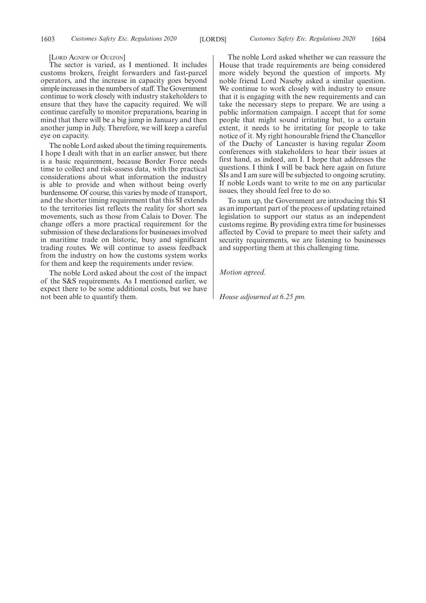[LORD AGNEW OF OULTON]

The sector is varied, as I mentioned. It includes customs brokers, freight forwarders and fast-parcel operators, and the increase in capacity goes beyond simple increases in the numbers of staff. The Government continue to work closely with industry stakeholders to ensure that they have the capacity required. We will continue carefully to monitor preparations, bearing in mind that there will be a big jump in January and then another jump in July. Therefore, we will keep a careful eye on capacity.

The noble Lord asked about the timing requirements. I hope I dealt with that in an earlier answer, but there is a basic requirement, because Border Force needs time to collect and risk-assess data, with the practical considerations about what information the industry is able to provide and when without being overly burdensome. Of course, this varies by mode of transport, and the shorter timing requirement that this SI extends to the territories list reflects the reality for short sea movements, such as those from Calais to Dover. The change offers a more practical requirement for the submission of these declarations for businesses involved in maritime trade on historic, busy and significant trading routes. We will continue to assess feedback from the industry on how the customs system works for them and keep the requirements under review.

The noble Lord asked about the cost of the impact of the S&S requirements. As I mentioned earlier, we expect there to be some additional costs, but we have not been able to quantify them.

The noble Lord asked whether we can reassure the House that trade requirements are being considered more widely beyond the question of imports. My noble friend Lord Naseby asked a similar question. We continue to work closely with industry to ensure that it is engaging with the new requirements and can take the necessary steps to prepare. We are using a public information campaign. I accept that for some people that might sound irritating but, to a certain extent, it needs to be irritating for people to take notice of it. My right honourable friend the Chancellor of the Duchy of Lancaster is having regular Zoom conferences with stakeholders to hear their issues at first hand, as indeed, am I. I hope that addresses the questions. I think I will be back here again on future SIs and I am sure will be subjected to ongoing scrutiny. If noble Lords want to write to me on any particular issues, they should feel free to do so.

To sum up, the Government are introducing this SI as an important part of the process of updating retained legislation to support our status as an independent customs regime. By providing extra time for businesses affected by Covid to prepare to meet their safety and security requirements, we are listening to businesses and supporting them at this challenging time.

*Motion agreed.*

*House adjourned at 6.25 pm.*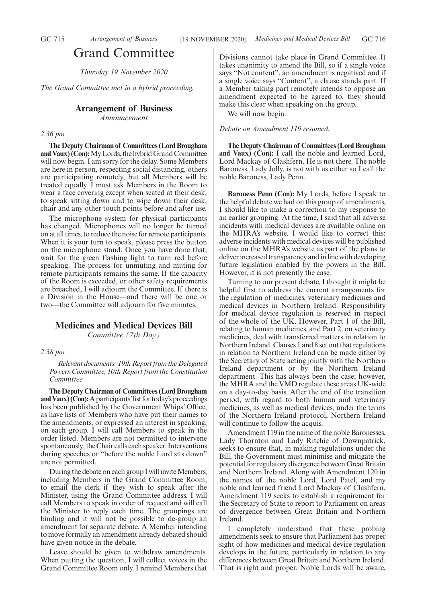### Grand Committee

*Thursday 19 November 2020*

*The Grand Committee met in a hybrid proceeding.*

# **Arrangement of Business**

*Announcement*

### *2.36 pm*

**The Deputy Chairman of Committees (Lord Brougham and Vaux) (Con):**My Lords, the hybrid Grand Committee will now begin. I am sorry for the delay. Some Members are here in person, respecting social distancing, others are participating remotely, but all Members will be treated equally. I must ask Members in the Room to wear a face covering except when seated at their desk, to speak sitting down and to wipe down their desk, chair and any other touch points before and after use.

The microphone system for physical participants has changed. Microphones will no longer be turned on at all times, to reduce the noise for remote participants. When it is your turn to speak, please press the button on the microphone stand. Once you have done that, wait for the green flashing light to turn red before speaking. The process for unmuting and muting for remote participants remains the same. If the capacity of the Room is exceeded, or other safety requirements are breached, I will adjourn the Committee. If there is a Division in the House—and there will be one or two—the Committee will adjourn for five minutes.

### **Medicines and Medical Devices Bill**

*Committee (7th Day)*

### *2.38 pm*

*Relevant documents: 19th Report from the Delegated Powers Committee, 10th Report from the Constitution Committee*

**The Deputy Chairman of Committees (Lord Brougham** and Vaux) (Con): A participants' list for today's proceedings has been published by the Government Whips' Office, as have lists of Members who have put their names to the amendments, or expressed an interest in speaking, on each group. I will call Members to speak in the order listed. Members are not permitted to intervene spontaneously; the Chair calls each speaker. Interventions during speeches or "before the noble Lord sits down" are not permitted.

During the debate on each group I will invite Members, including Members in the Grand Committee Room, to email the clerk if they wish to speak after the Minister, using the Grand Committee address. I will call Members to speak in order of request and will call the Minister to reply each time. The groupings are binding and it will not be possible to de-group an amendment for separate debate. A Member intending to move formally an amendment already debated should have given notice in the debate.

Leave should be given to withdraw amendments. When putting the question, I will collect voices in the Grand Committee Room only. I remind Members that Divisions cannot take place in Grand Committee. It takes unanimity to amend the Bill, so if a single voice says "Not content", an amendment is negatived and if a single voice says "Content", a clause stands part. If a Member taking part remotely intends to oppose an amendment expected to be agreed to, they should make this clear when speaking on the group.

We will now begin.

*Debate on Amendment 119 resumed.*

**The Deputy Chairman of Committees (Lord Brougham and Vaux) (Con):** I call the noble and learned Lord, Lord Mackay of Clashfern. He is not there. The noble Baroness, Lady Jolly, is not with us either so I call the noble Baroness, Lady Penn.

**Baroness Penn (Con):** My Lords, before I speak to the helpful debate we had on this group of amendments, I should like to make a correction to my response to an earlier grouping. At the time, I said that all adverse incidents with medical devices are available online on the MHRA's website. I would like to correct this: adverse incidents with medical devices will be published online on the MHRA's website as part of the plans to deliver increased transparency and in line with developing future legislation enabled by the powers in the Bill. However, it is not presently the case.

Turning to our present debate, I thought it might be helpful first to address the current arrangements for the regulation of medicines, veterinary medicines and medical devices in Northern Ireland. Responsibility for medical device regulation is reserved in respect of the whole of the UK. However, Part 1 of the Bill, relating to human medicines, and Part 2, on veterinary medicines, deal with transferred matters in relation to Northern Ireland. Clauses 1 and 8 set out that regulations in relation to Northern Ireland can be made either by the Secretary of State acting jointly with the Northern Ireland department or by the Northern Ireland department. This has always been the case; however, the MHRA and the VMD regulate these areas UK-wide on a day-to-day basis. After the end of the transition period, with regard to both human and veterinary medicines, as well as medical devices, under the terms of the Northern Ireland protocol, Northern Ireland will continue to follow the acquis.

Amendment 119 in the name of the noble Baronesses, Lady Thornton and Lady Ritchie of Downpatrick, seeks to ensure that, in making regulations under the Bill, the Government must minimise and mitigate the potential for regulatory divergence between Great Britain and Northern Ireland. Along with Amendment 120 in the names of the noble Lord, Lord Patel, and my noble and learned friend Lord Mackay of Clashfern, Amendment 119 seeks to establish a requirement for the Secretary of State to report to Parliament on areas of divergence between Great Britain and Northern Ireland.

completely understand that these probing amendments seek to ensure that Parliament has proper sight of how medicines and medical device regulation develops in the future, particularly in relation to any differences between Great Britain and Northern Ireland. That is right and proper. Noble Lords will be aware,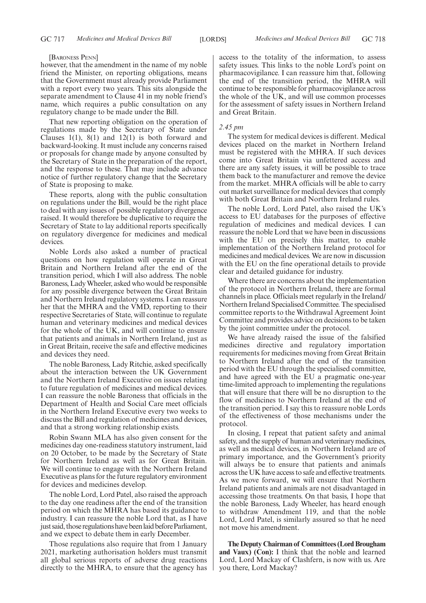#### [BARONESS PENN]

however, that the amendment in the name of my noble friend the Minister, on reporting obligations, means that the Government must already provide Parliament with a report every two years. This sits alongside the separate amendment to Clause 41 in my noble friend's name, which requires a public consultation on any regulatory change to be made under the Bill.

That new reporting obligation on the operation of regulations made by the Secretary of State under Clauses 1(1), 8(1) and 12(1) is both forward and backward-looking. It must include any concerns raised or proposals for change made by anyone consulted by the Secretary of State in the preparation of the report, and the response to these. That may include advance notice of further regulatory change that the Secretary of State is proposing to make.

These reports, along with the public consultation on regulations under the Bill, would be the right place to deal with any issues of possible regulatory divergence raised. It would therefore be duplicative to require the Secretary of State to lay additional reports specifically on regulatory divergence for medicines and medical devices.

Noble Lords also asked a number of practical questions on how regulation will operate in Great Britain and Northern Ireland after the end of the transition period, which I will also address. The noble Baroness, Lady Wheeler, asked who would be responsible for any possible divergence between the Great Britain and Northern Ireland regulatory systems. I can reassure her that the MHRA and the VMD, reporting to their respective Secretaries of State, will continue to regulate human and veterinary medicines and medical devices for the whole of the UK, and will continue to ensure that patients and animals in Northern Ireland, just as in Great Britain, receive the safe and effective medicines and devices they need.

The noble Baroness, Lady Ritchie, asked specifically about the interaction between the UK Government and the Northern Ireland Executive on issues relating to future regulation of medicines and medical devices. I can reassure the noble Baroness that officials in the Department of Health and Social Care meet officials in the Northern Ireland Executive every two weeks to discuss the Bill and regulation of medicines and devices, and that a strong working relationship exists.

Robin Swann MLA has also given consent for the medicines day one-readiness statutory instrument, laid on 20 October, to be made by the Secretary of State for Northern Ireland as well as for Great Britain. We will continue to engage with the Northern Ireland Executive as plans for the future regulatory environment for devices and medicines develop.

The noble Lord, Lord Patel, also raised the approach to the day one readiness after the end of the transition period on which the MHRA has based its guidance to industry. I can reassure the noble Lord that, as I have just said, those regulations have been laid before Parliament, and we expect to debate them in early December.

Those regulations also require that from 1 January 2021, marketing authorisation holders must transmit all global serious reports of adverse drug reactions directly to the MHRA, to ensure that the agency has access to the totality of the information, to assess safety issues. This links to the noble Lord's point on pharmacovigilance. I can reassure him that, following the end of the transition period, the MHRA will continue to be responsible for pharmacovigilance across the whole of the UK, and will use common processes for the assessment of safety issues in Northern Ireland and Great Britain.

### *2.45 pm*

The system for medical devices is different. Medical devices placed on the market in Northern Ireland must be registered with the MHRA. If such devices come into Great Britain via unfettered access and there are any safety issues, it will be possible to trace them back to the manufacturer and remove the device from the market. MHRA officials will be able to carry out market surveillance for medical devices that comply with both Great Britain and Northern Ireland rules.

The noble Lord, Lord Patel, also raised the UK's access to EU databases for the purposes of effective regulation of medicines and medical devices. I can reassure the noble Lord that we have been in discussions with the EU on precisely this matter, to enable implementation of the Northern Ireland protocol for medicines and medical devices. We are now in discussion with the EU on the fine operational details to provide clear and detailed guidance for industry.

Where there are concerns about the implementation of the protocol in Northern Ireland, there are formal channels in place. Officials meet regularly in the Ireland/ Northern Ireland Specialised Committee. The specialised committee reports to the Withdrawal Agreement Joint Committee and provides advice on decisions to be taken by the joint committee under the protocol.

We have already raised the issue of the falsified medicines directive and regulatory importation requirements for medicines moving from Great Britain to Northern Ireland after the end of the transition period with the EU through the specialised committee, and have agreed with the EU a pragmatic one-year time-limited approach to implementing the regulations that will ensure that there will be no disruption to the flow of medicines to Northern Ireland at the end of the transition period. I say this to reassure noble Lords of the effectiveness of those mechanisms under the protocol.

In closing, I repeat that patient safety and animal safety, and the supply of human and veterinary medicines, as well as medical devices, in Northern Ireland are of primary importance, and the Government's priority will always be to ensure that patients and animals across the UK have access to safe and effective treatments. As we move forward, we will ensure that Northern Ireland patients and animals are not disadvantaged in accessing those treatments. On that basis, I hope that the noble Baroness, Lady Wheeler, has heard enough to withdraw Amendment 119, and that the noble Lord, Lord Patel, is similarly assured so that he need not move his amendment.

**The Deputy Chairman of Committees (Lord Brougham and Vaux) (Con):** I think that the noble and learned Lord, Lord Mackay of Clashfern, is now with us. Are you there, Lord Mackay?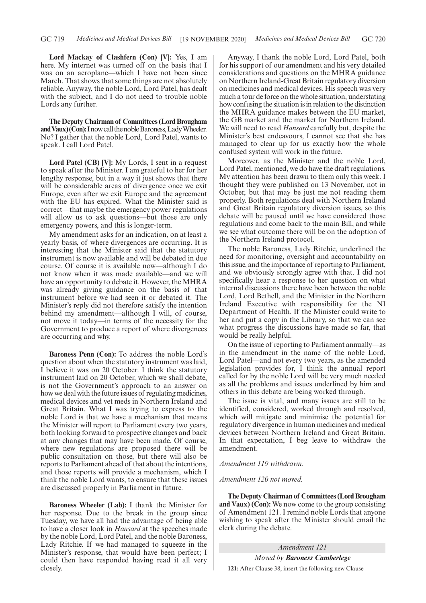**Lord Mackay of Clashfern (Con) [V]:** Yes, I am here. My internet was turned off on the basis that I was on an aeroplane—which I have not been since March. That shows that some things are not absolutely reliable. Anyway, the noble Lord, Lord Patel, has dealt with the subject, and I do not need to trouble noble Lords any further.

**The Deputy Chairman of Committees (Lord Brougham** and Vaux) (Con): I now call the noble Baroness, Lady Wheeler. No? I gather that the noble Lord, Lord Patel, wants to speak. I call Lord Patel.

**Lord Patel (CB) [V]:** My Lords, I sent in a request to speak after the Minister. I am grateful to her for her lengthy response, but in a way it just shows that there will be considerable areas of divergence once we exit Europe, even after we exit Europe and the agreement with the EU has expired. What the Minister said is correct—that maybe the emergency power regulations will allow us to ask questions—but those are only emergency powers, and this is longer-term.

My amendment asks for an indication, on at least a yearly basis, of where divergences are occurring. It is interesting that the Minister said that the statutory instrument is now available and will be debated in due course. Of course it is available now—although I do not know when it was made available—and we will have an opportunity to debate it. However, the MHRA was already giving guidance on the basis of that instrument before we had seen it or debated it. The Minister's reply did not therefore satisfy the intention behind my amendment—although I will, of course, not move it today—in terms of the necessity for the Government to produce a report of where divergences are occurring and why.

**Baroness Penn (Con):** To address the noble Lord's question about when the statutory instrument was laid, I believe it was on 20 October. I think the statutory instrument laid on 20 October, which we shall debate, is not the Government's approach to an answer on how we deal with the future issues of regulating medicines, medical devices and vet meds in Northern Ireland and Great Britain. What I was trying to express to the noble Lord is that we have a mechanism that means the Minister will report to Parliament every two years, both looking forward to prospective changes and back at any changes that may have been made. Of course, where new regulations are proposed there will be public consultation on those, but there will also be reports to Parliament ahead of that about the intentions, and those reports will provide a mechanism, which I think the noble Lord wants, to ensure that these issues are discussed properly in Parliament in future.

**Baroness Wheeler (Lab):** I thank the Minister for her response. Due to the break in the group since Tuesday, we have all had the advantage of being able to have a closer look in *Hansard* at the speeches made by the noble Lord, Lord Patel, and the noble Baroness, Lady Ritchie. If we had managed to squeeze in the Minister's response, that would have been perfect; I could then have responded having read it all very closely.

Anyway, I thank the noble Lord, Lord Patel, both for his support of our amendment and his very detailed considerations and questions on the MHRA guidance on Northern Ireland-Great Britain regulatory diversion on medicines and medical devices. His speech was very much a tour de force on the whole situation, understating how confusing the situation is in relation to the distinction the MHRA guidance makes between the EU market, the GB market and the market for Northern Ireland. We will need to read *Hansard* carefully but, despite the Minister's best endeavours, I cannot see that she has managed to clear up for us exactly how the whole confused system will work in the future.

Moreover, as the Minister and the noble Lord, Lord Patel, mentioned, we do have the draft regulations. My attention has been drawn to them only this week. I thought they were published on 13 November, not in October, but that may be just me not reading them properly. Both regulations deal with Northern Ireland and Great Britain regulatory diversion issues, so this debate will be paused until we have considered those regulations and come back to the main Bill, and while we see what outcome there will be on the adoption of the Northern Ireland protocol.

The noble Baroness, Lady Ritchie, underlined the need for monitoring, oversight and accountability on this issue, and the importance of reporting to Parliament, and we obviously strongly agree with that. I did not specifically hear a response to her question on what internal discussions there have been between the noble Lord, Lord Bethell, and the Minister in the Northern Ireland Executive with responsibility for the NI Department of Health. If the Minister could write to her and put a copy in the Library, so that we can see what progress the discussions have made so far, that would be really helpful.

On the issue of reporting to Parliament annually—as in the amendment in the name of the noble Lord, Lord Patel—and not every two years, as the amended legislation provides for, I think the annual report called for by the noble Lord will be very much needed as all the problems and issues underlined by him and others in this debate are being worked through.

The issue is vital, and many issues are still to be identified, considered, worked through and resolved, which will mitigate and minimise the potential for regulatory divergence in human medicines and medical devices between Northern Ireland and Great Britain. In that expectation, I beg leave to withdraw the amendment.

### *Amendment 119 withdrawn.*

### *Amendment 120 not moved.*

**The Deputy Chairman of Committees (Lord Brougham and Vaux) (Con):** We now come to the group consisting of Amendment 121. I remind noble Lords that anyone wishing to speak after the Minister should email the clerk during the debate.

*Amendment 121 Moved by Baroness Cumberlege* **121:** After Clause 38, insert the following new Clause—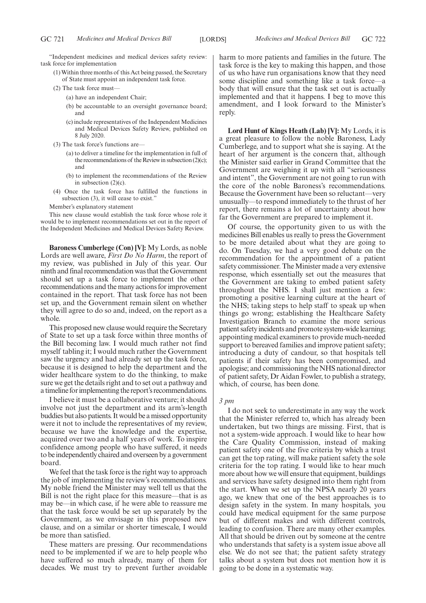"Independent medicines and medical devices safety review: task force for implementation

- (1) Within three months of this Act being passed, the Secretary of State must appoint an independent task force.
- (2) The task force must—
	- (a) have an independent Chair;
	- (b) be accountable to an oversight governance board; and
	- (c) include representatives of the Independent Medicines and Medical Devices Safety Review, published on 8 July 2020.
- (3) The task force's functions are—
	- (a) to deliver a timeline for the implementation in full of the recommendations of the Review in subsection (2)(c); and
	- (b) to implement the recommendations of the Review in subsection (2)(c).
- (4) Once the task force has fulfilled the functions in subsection (3), it will cease to exist."

Member's explanatory statement

This new clause would establish the task force whose role it would be to implement recommendations set out in the report of the Independent Medicines and Medical Devices Safety Review.

**Baroness Cumberlege (Con) [V]:** My Lords, as noble Lords are well aware, *First Do No Harm*, the report of my review, was published in July of this year. Our ninth and final recommendation was that the Government should set up a task force to implement the other recommendations and the many actions for improvement contained in the report. That task force has not been set up, and the Government remain silent on whether they will agree to do so and, indeed, on the report as a whole.

This proposed new clause would require the Secretary of State to set up a task force within three months of the Bill becoming law. I would much rather not find myself tabling it; I would much rather the Government saw the urgency and had already set up the task force, because it is designed to help the department and the wider healthcare system to do the thinking, to make sure we get the details right and to set out a pathway and a timeline for implementing the report's recommendations.

I believe it must be a collaborative venture; it should involve not just the department and its arm's-length buddies but also patients. It would be a missed opportunity were it not to include the representatives of my review, because we have the knowledge and the expertise, acquired over two and a half years of work. To inspire confidence among people who have suffered, it needs to be independently chaired and overseen by a government board.

We feel that the task force is the right way to approach the job of implementing the review's recommendations. My noble friend the Minister may well tell us that the Bill is not the right place for this measure—that is as may be—in which case, if he were able to reassure me that the task force would be set up separately by the Government, as we envisage in this proposed new clause, and on a similar or shorter timescale, I would be more than satisfied.

These matters are pressing. Our recommendations need to be implemented if we are to help people who have suffered so much already, many of them for decades. We must try to prevent further avoidable harm to more patients and families in the future. The task force is the key to making this happen, and those of us who have run organisations know that they need some discipline and something like a task force—a body that will ensure that the task set out is actually implemented and that it happens. I beg to move this amendment, and I look forward to the Minister's reply.

**Lord Hunt of Kings Heath (Lab) [V]:** My Lords, it is a great pleasure to follow the noble Baroness, Lady Cumberlege, and to support what she is saying. At the heart of her argument is the concern that, although the Minister said earlier in Grand Committee that the Government are weighing it up with all "seriousness and intent", the Government are not going to run with the core of the noble Baroness's recommendations. Because the Government have been so reluctant—very unusually—to respond immediately to the thrust of her report, there remains a lot of uncertainty about how far the Government are prepared to implement it.

Of course, the opportunity given to us with the medicines Bill enables us really to press the Government to be more detailed about what they are going to do. On Tuesday, we had a very good debate on the recommendation for the appointment of a patient safety commissioner. The Minister made a very extensive response, which essentially set out the measures that the Government are taking to embed patient safety throughout the NHS. I shall just mention a few: promoting a positive learning culture at the heart of the NHS; taking steps to help staff to speak up when things go wrong; establishing the Healthcare Safety Investigation Branch to examine the more serious patient safety incidents and promote system-wide learning; appointing medical examiners to provide much-needed support to bereaved families and improve patient safety; introducing a duty of candour, so that hospitals tell patients if their safety has been compromised, and apologise; and commissioning the NHS national director of patient safety, Dr Aidan Fowler, to publish a strategy, which, of course, has been done.

### *3 pm*

I do not seek to underestimate in any way the work that the Minister referred to, which has already been undertaken, but two things are missing. First, that is not a system-wide approach. I would like to hear how the Care Quality Commission, instead of making patient safety one of the five criteria by which a trust can get the top rating, will make patient safety the sole criteria for the top rating. I would like to hear much more about how we will ensure that equipment, buildings and services have safety designed into them right from the start. When we set up the NPSA nearly 20 years ago, we knew that one of the best approaches is to design safety in the system. In many hospitals, you could have medical equipment for the same purpose but of different makes and with different controls, leading to confusion. There are many other examples. All that should be driven out by someone at the centre who understands that safety is a system issue above all else. We do not see that; the patient safety strategy talks about a system but does not mention how it is going to be done in a systematic way.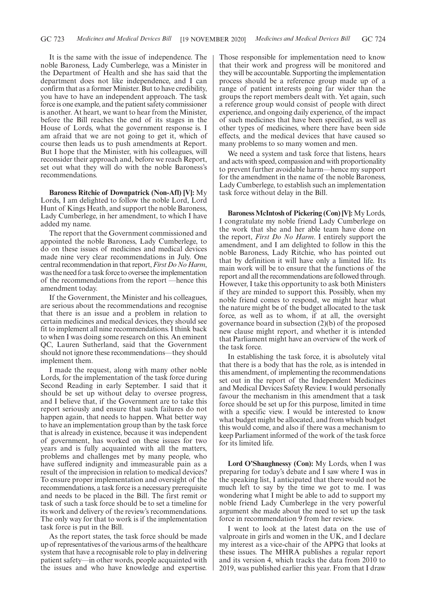It is the same with the issue of independence. The noble Baroness, Lady Cumberlege, was a Minister in the Department of Health and she has said that the department does not like independence, and I can confirm that as a former Minister. But to have credibility, you have to have an independent approach. The task force is one example, and the patient safety commissioner is another. At heart, we want to hear from the Minister, before the Bill reaches the end of its stages in the House of Lords, what the government response is. I am afraid that we are not going to get it, which of course then leads us to push amendments at Report. But I hope that the Minister, with his colleagues, will reconsider their approach and, before we reach Report, set out what they will do with the noble Baroness's recommendations.

**Baroness Ritchie of Downpatrick (Non-Afl) [V]:** My Lords, I am delighted to follow the noble Lord, Lord Hunt of Kings Heath, and support the noble Baroness, Lady Cumberlege, in her amendment, to which I have added my name.

The report that the Government commissioned and appointed the noble Baroness, Lady Cumberlege, to do on these issues of medicines and medical devices made nine very clear recommendations in July. One central recommendation in that report,*First Do No Harm*, was the need for a task force to oversee the implementation of the recommendations from the report —hence this amendment today.

If the Government, the Minister and his colleagues, are serious about the recommendations and recognise that there is an issue and a problem in relation to certain medicines and medical devices, they should see fit to implement all nine recommendations. I think back to when I was doing some research on this. An eminent QC, Lauren Sutherland, said that the Government should not ignore these recommendations—they should implement them.

I made the request, along with many other noble Lords, for the implementation of the task force during Second Reading in early September. I said that it should be set up without delay to oversee progress, and I believe that, if the Government are to take this report seriously and ensure that such failures do not happen again, that needs to happen. What better way to have an implementation group than by the task force that is already in existence, because it was independent of government, has worked on these issues for two years and is fully acquainted with all the matters, problems and challenges met by many people, who have suffered indignity and immeasurable pain as a result of the imprecision in relation to medical devices? To ensure proper implementation and oversight of the recommendations, a task force is a necessary prerequisite and needs to be placed in the Bill. The first remit or task of such a task force should be to set a timeline for its work and delivery of the review's recommendations. The only way for that to work is if the implementation task force is put in the Bill.

As the report states, the task force should be made up of representatives of the various arms of the healthcare system that have a recognisable role to play in delivering patient safety—in other words, people acquainted with the issues and who have knowledge and expertise. Those responsible for implementation need to know that their work and progress will be monitored and they will be accountable. Supporting the implementation process should be a reference group made up of a range of patient interests going far wider than the groups the report members dealt with. Yet again, such a reference group would consist of people with direct experience, and ongoing daily experience, of the impact of such medicines that have been specified, as well as other types of medicines, where there have been side effects, and the medical devices that have caused so many problems to so many women and men.

We need a system and task force that listens, hears and acts with speed, compassion and with proportionality to prevent further avoidable harm—hence my support for the amendment in the name of the noble Baroness, Lady Cumberlege, to establish such an implementation task force without delay in the Bill.

**Baroness McIntosh of Pickering (Con) [V]:** My Lords, I congratulate my noble friend Lady Cumberlege on the work that she and her able team have done on the report, *First Do No Harm*. I entirely support the amendment, and I am delighted to follow in this the noble Baroness, Lady Ritchie, who has pointed out that by definition it will have only a limited life. Its main work will be to ensure that the functions of the report and all the recommendations are followed through. However, I take this opportunity to ask both Ministers if they are minded to support this. Possibly, when my noble friend comes to respond, we might hear what the nature might be of the budget allocated to the task force, as well as to whom, if at all, the oversight governance board in subsection (2)(b) of the proposed new clause might report, and whether it is intended that Parliament might have an overview of the work of the task force.

In establishing the task force, it is absolutely vital that there is a body that has the role, as is intended in this amendment, of implementing the recommendations set out in the report of the Independent Medicines and Medical Devices Safety Review. I would personally favour the mechanism in this amendment that a task force should be set up for this purpose, limited in time with a specific view. I would be interested to know what budget might be allocated, and from which budget this would come, and also if there was a mechanism to keep Parliament informed of the work of the task force for its limited life.

**Lord O'Shaughnessy (Con):** My Lords, when I was preparing for today's debate and I saw where I was in the speaking list, I anticipated that there would not be much left to say by the time we got to me. I was wondering what I might be able to add to support my noble friend Lady Cumberlege in the very powerful argument she made about the need to set up the task force in recommendation 9 from her review.

I went to look at the latest data on the use of valproate in girls and women in the UK, and I declare my interest as a vice-chair of the APPG that looks at these issues. The MHRA publishes a regular report and its version 4, which tracks the data from 2010 to 2019, was published earlier this year. From that I draw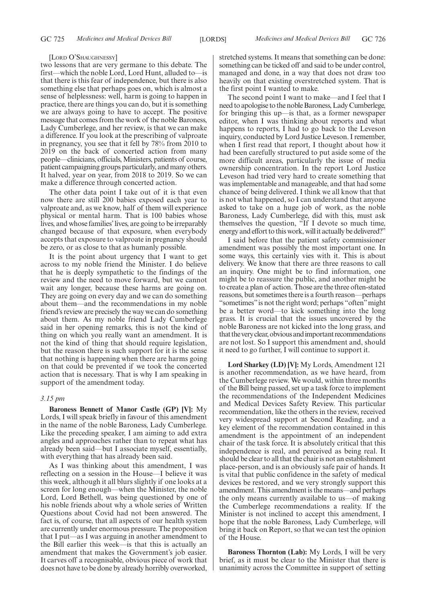### [LORD O'SHAUGHNESSY]

two lessons that are very germane to this debate. The first—which the noble Lord, Lord Hunt, alluded to—is that there is this fear of independence, but there is also something else that perhaps goes on, which is almost a sense of helplessness: well, harm is going to happen in practice, there are things you can do, but it is something we are always going to have to accept. The positive message that comes from the work of the noble Baroness, Lady Cumberlege, and her review, is that we can make a difference. If you look at the prescribing of valproate in pregnancy, you see that it fell by 78% from 2010 to 2019 on the back of concerted action from many people—clinicians, officials, Ministers, patients of course, patient campaigning groups particularly, and many others. It halved, year on year, from 2018 to 2019. So we can make a difference through concerted action.

The other data point I take out of it is that even now there are still 200 babies exposed each year to valproate and, as we know, half of them will experience physical or mental harm. That is 100 babies whose lives, and whose families'lives, are going to be irreparably changed because of that exposure, when everybody accepts that exposure to valproate in pregnancy should be zero, or as close to that as humanly possible.

It is the point about urgency that I want to get across to my noble friend the Minister. I do believe that he is deeply sympathetic to the findings of the review and the need to move forward, but we cannot wait any longer, because these harms are going on. They are going on every day and we can do something about them—and the recommendations in my noble friend's review are precisely the way we can do something about them. As my noble friend Lady Cumberlege said in her opening remarks, this is not the kind of thing on which you really want an amendment. It is not the kind of thing that should require legislation, but the reason there is such support for it is the sense that nothing is happening when there are harms going on that could be prevented if we took the concerted action that is necessary. That is why I am speaking in support of the amendment today.

### *3.15 pm*

**Baroness Bennett of Manor Castle (GP) [V]:** My Lords, I will speak briefly in favour of this amendment in the name of the noble Baroness, Lady Cumberlege. Like the preceding speaker, I am aiming to add extra angles and approaches rather than to repeat what has already been said—but I associate myself, essentially, with everything that has already been said.

As I was thinking about this amendment, I was reflecting on a session in the House—I believe it was this week, although it all blurs slightly if one looks at a screen for long enough—when the Minister, the noble Lord, Lord Bethell, was being questioned by one of his noble friends about why a whole series of Written Questions about Covid had not been answered. The fact is, of course, that all aspects of our health system are currently under enormous pressure. The proposition that I put—as I was arguing in another amendment to the Bill earlier this week—is that this is actually an amendment that makes the Government's job easier. It carves off a recognisable, obvious piece of work that does not have to be done by already horribly overworked,

stretched systems. It means that something can be done: something can be ticked off and said to be under control, managed and done, in a way that does not draw too heavily on that existing overstretched system. That is the first point I wanted to make.

The second point I want to make—and I feel that I need to apologise to the noble Baroness, Lady Cumberlege, for bringing this up—is that, as a former newspaper editor, when I was thinking about reports and what happens to reports, I had to go back to the Leveson inquiry, conducted by Lord Justice Leveson. I remember, when I first read that report, I thought about how it had been carefully structured to put aside some of the more difficult areas, particularly the issue of media ownership concentration. In the report Lord Justice Leveson had tried very hard to create something that was implementable and manageable, and that had some chance of being delivered. I think we all know that that is not what happened, so I can understand that anyone asked to take on a huge job of work, as the noble Baroness, Lady Cumberlege, did with this, must ask themselves the question, "If I devote so much time, energy and effort to this work, will it actually be delivered?"

I said before that the patient safety commissioner amendment was possibly the most important one. In some ways, this certainly vies with it. This is about delivery. We know that there are three reasons to call an inquiry. One might be to find information, one might be to reassure the public, and another might be to create a plan of action. Those are the three often-stated reasons, but sometimes there is a fourth reason—perhaps "sometimes"is not the right word; perhaps "often"might be a better word—to kick something into the long grass. It is crucial that the issues uncovered by the noble Baroness are not kicked into the long grass, and that the very clear, obvious and important recommendations are not lost. So I support this amendment and, should it need to go further, I will continue to support it.

**Lord Sharkey (LD) [V]:** My Lords, Amendment 121 is another recommendation, as we have heard, from the Cumberlege review. We would, within three months of the Bill being passed, set up a task force to implement the recommendations of the Independent Medicines and Medical Devices Safety Review. This particular recommendation, like the others in the review, received very widespread support at Second Reading, and a key element of the recommendation contained in this amendment is the appointment of an independent chair of the task force. It is absolutely critical that this independence is real, and perceived as being real. It should be clear to all that the chair is not an establishment place-person, and is an obviously safe pair of hands. It is vital that public confidence in the safety of medical devices be restored, and we very strongly support this amendment. This amendment is the means—and perhaps the only means currently available to us—of making the Cumberlege recommendations a reality. If the Minister is not inclined to accept this amendment, I hope that the noble Baroness, Lady Cumberlege, will bring it back on Report, so that we can test the opinion of the House.

**Baroness Thornton (Lab):** My Lords, I will be very brief, as it must be clear to the Minister that there is unanimity across the Committee in support of setting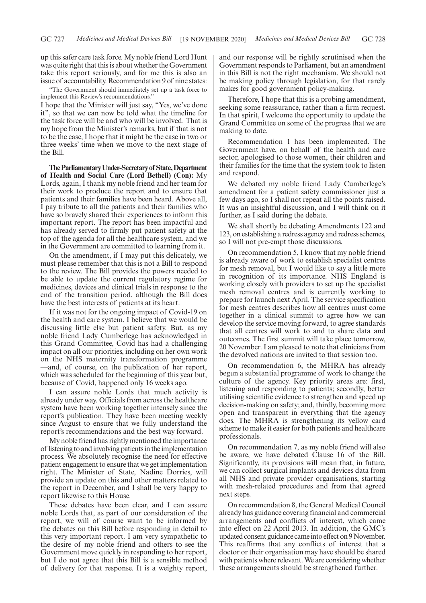up this safer care task force. My noble friend Lord Hunt was quite right that this is about whether the Government take this report seriously, and for me this is also an issue of accountability. Recommendation 9 of nine states:

"The Government should immediately set up a task force to implement this Review's recommendations.'

I hope that the Minister will just say, "Yes, we've done it", so that we can now be told what the timeline for the task force will be and who will be involved. That is my hope from the Minister's remarks, but if that is not to be the case, I hope that it might be the case in two or three weeks' time when we move to the next stage of the Bill.

**TheParliamentaryUnder-Secretaryof State,Department of Health and Social Care (Lord Bethell) (Con):** My Lords, again, I thank my noble friend and her team for their work to produce the report and to ensure that patients and their families have been heard. Above all, I pay tribute to all the patients and their families who have so bravely shared their experiences to inform this important report. The report has been impactful and has already served to firmly put patient safety at the top of the agenda for all the healthcare system, and we in the Government are committed to learning from it.

On the amendment, if I may put this delicately, we must please remember that this is not a Bill to respond to the review. The Bill provides the powers needed to be able to update the current regulatory regime for medicines, devices and clinical trials in response to the end of the transition period, although the Bill does have the best interests of patients at its heart.

If it was not for the ongoing impact of Covid-19 on the health and care system, I believe that we would be discussing little else but patient safety. But, as my noble friend Lady Cumberlege has acknowledged in this Grand Committee, Covid has had a challenging impact on all our priorities, including on her own work on the NHS maternity transformation programme —and, of course, on the publication of her report, which was scheduled for the beginning of this year but, because of Covid, happened only 16 weeks ago.

I can assure noble Lords that much activity is already under way. Officials from across the healthcare system have been working together intensely since the report's publication. They have been meeting weekly since August to ensure that we fully understand the report's recommendations and the best way forward.

My noble friend has rightly mentioned the importance of listening to and involving patients in the implementation process. We absolutely recognise the need for effective patient engagement to ensure that we get implementation right. The Minister of State, Nadine Dorries, will provide an update on this and other matters related to the report in December, and I shall be very happy to report likewise to this House.

These debates have been clear, and I can assure noble Lords that, as part of our consideration of the report, we will of course want to be informed by the debates on this Bill before responding in detail to this very important report. I am very sympathetic to the desire of my noble friend and others to see the Government move quickly in responding to her report, but I do not agree that this Bill is a sensible method of delivery for that response. It is a weighty report, and our response will be rightly scrutinised when the Government responds to Parliament, but an amendment in this Bill is not the right mechanism. We should not be making policy through legislation, for that rarely makes for good government policy-making.

Therefore, I hope that this is a probing amendment, seeking some reassurance, rather than a firm request. In that spirit, I welcome the opportunity to update the Grand Committee on some of the progress that we are making to date.

Recommendation 1 has been implemented. The Government have, on behalf of the health and care sector, apologised to those women, their children and their families for the time that the system took to listen and respond.

We debated my noble friend Lady Cumberlege's amendment for a patient safety commissioner just a few days ago, so I shall not repeat all the points raised. It was an insightful discussion, and I will think on it further, as I said during the debate.

We shall shortly be debating Amendments 122 and 123, on establishing a redress agency and redress schemes, so I will not pre-empt those discussions.

On recommendation 5, I know that my noble friend is already aware of work to establish specialist centres for mesh removal, but I would like to say a little more in recognition of its importance. NHS England is working closely with providers to set up the specialist mesh removal centres and is currently working to prepare for launch next April. The service specification for mesh centres describes how all centres must come together in a clinical summit to agree how we can develop the service moving forward, to agree standards that all centres will work to and to share data and outcomes. The first summit will take place tomorrow, 20 November. I am pleased to note that clinicians from the devolved nations are invited to that session too.

On recommendation 6, the MHRA has already begun a substantial programme of work to change the culture of the agency. Key priority areas are: first, listening and responding to patients; secondly, better utilising scientific evidence to strengthen and speed up decision-making on safety; and, thirdly, becoming more open and transparent in everything that the agency does. The MHRA is strengthening its yellow card scheme to make it easier for both patients and healthcare professionals.

On recommendation 7, as my noble friend will also be aware, we have debated Clause 16 of the Bill. Significantly, its provisions will mean that, in future, we can collect surgical implants and devices data from all NHS and private provider organisations, starting with mesh-related procedures and from that agreed next steps.

On recommendation 8, the General Medical Council already has guidance covering financial and commercial arrangements and conflicts of interest, which came into effect on 22 April 2013. In addition, the GMC's updated consent guidance came into effect on 9 November. This reaffirms that any conflicts of interest that a doctor or their organisation may have should be shared with patients where relevant. We are considering whether these arrangements should be strengthened further.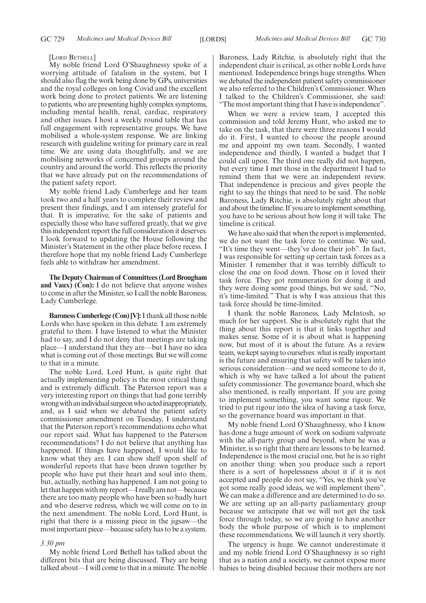### [LORD BETHELL]

My noble friend Lord O'Shaughnessy spoke of a worrying attitude of fatalism in the system, but I should also flag the work being done by GPs, universities and the royal colleges on long Covid and the excellent work being done to protect patients. We are listening to patients, who are presenting highly complex symptoms, including mental health, renal, cardiac, respiratory and other issues. I host a weekly round table that has full engagement with representative groups. We have mobilised a whole-system response. We are linking research with guideline writing for primary care in real time. We are using data thoughtfully, and we are mobilising networks of concerned groups around the country and around the world. This reflects the priority that we have already put on the recommendations of the patient safety report.

My noble friend Lady Cumberlege and her team took two and a half years to complete their review and present their findings, and I am intensely grateful for that. It is imperative, for the sake of patients and especially those who have suffered greatly, that we give this independent report the full consideration it deserves. I look forward to updating the House following the Minister's Statement in the other place before recess. I therefore hope that my noble friend Lady Cumberlege feels able to withdraw her amendment.

**The Deputy Chairman of Committees (Lord Brougham and Vaux) (Con):** I do not believe that anyone wishes to come in after the Minister, so I call the noble Baroness, Lady Cumberlege.

**Baroness Cumberlege (Con) [V]:**I thank all those noble Lords who have spoken in this debate. I am extremely grateful to them. I have listened to what the Minister had to say, and I do not deny that meetings are taking place—I understand that they are—but I have no idea what is coming out of those meetings. But we will come to that in a minute.

The noble Lord, Lord Hunt, is quite right that actually implementing policy is the most critical thing and is extremely difficult. The Paterson report was a very interesting report on things that had gone terribly wrongwithanindividualsurgeonwhoactedinappropriately, and, as I said when we debated the patient safety commissioner amendment on Tuesday, I understand that the Paterson report's recommendations echo what our report said. What has happened to the Paterson recommendations? I do not believe that anything has happened. If things have happened, I would like to know what they are. I can show shelf upon shelf of wonderful reports that have been drawn together by people who have put their heart and soul into them, but, actually, nothing has happened. I am not going to let that happen with my report—I really am not—because there are too many people who have been so badly hurt and who deserve redress, which we will come on to in the next amendment. The noble Lord, Lord Hunt, is right that there is a missing piece in the jigsaw—the most important piece—because safety has to be a system.

#### *3.30 pm*

My noble friend Lord Bethell has talked about the different bits that are being discussed. They are being talked about—I will come to that in a minute. The noble

Baroness, Lady Ritchie, is absolutely right that the independent chair is critical, as other noble Lords have mentioned. Independence brings huge strengths. When we debated the independent patient safety commissioner we also referred to the Children's Commissioner. When I talked to the Children's Commissioner, she said: "The most important thing that I have is independence".

When we were a review team, I accepted this commission and told Jeremy Hunt, who asked me to take on the task, that there were three reasons I would do it. First, I wanted to choose the people around me and appoint my own team. Secondly, I wanted independence and thirdly, I wanted a budget that I could call upon. The third one really did not happen, but every time I met those in the department I had to remind them that we were an independent review. That independence is precious and gives people the right to say the things that need to be said. The noble Baroness, Lady Ritchie, is absolutely right about that and about the timeline. If you are to implement something, you have to be serious about how long it will take. The timeline is critical.

We have also said that when the report is implemented, we do not want the task force to continue. We said, "It's time they went—they've done their job". In fact, I was responsible for setting up certain task forces as a Minister. I remember that it was terribly difficult to close the one on food down. Those on it loved their task force. They got remuneration for doing it and they were doing some good things, but we said, "No, it's time-limited." That is why I was anxious that this task force should be time-limited.

I thank the noble Baroness, Lady McIntosh, so much for her support. She is absolutely right that the thing about this report is that it links together and makes sense. Some of it is about what is happening now, but most of it is about the future. As a review team, we kept saying to ourselves: what is really important is the future and ensuring that safety will be taken into serious consideration—and we need someone to do it, which is why we have talked a lot about the patient safety commissioner. The governance board, which she also mentioned, is really important. If you are going to implement something, you want some rigour. We tried to put rigour into the idea of having a task force, so the governance board was important in that.

My noble friend Lord O'Shaughnessy, who I know has done a huge amount of work on sodium valproate with the all-party group and beyond, when he was a Minister, is so right that there are lessons to be learned. Independence is the most crucial one, but he is so right on another thing: when you produce such a report there is a sort of hopelessness about it if it is not accepted and people do not say, "Yes, we think you've got some really good ideas, we will implement them". We can make a difference and are determined to do so. We are setting up an all-party parliamentary group because we anticipate that we will not get the task force through today, so we are going to have another body the whole purpose of which is to implement these recommendations. We will launch it very shortly.

The urgency is huge. We cannot underestimate it and my noble friend Lord O'Shaughnessy is so right that as a nation and a society, we cannot expose more babies to being disabled because their mothers are not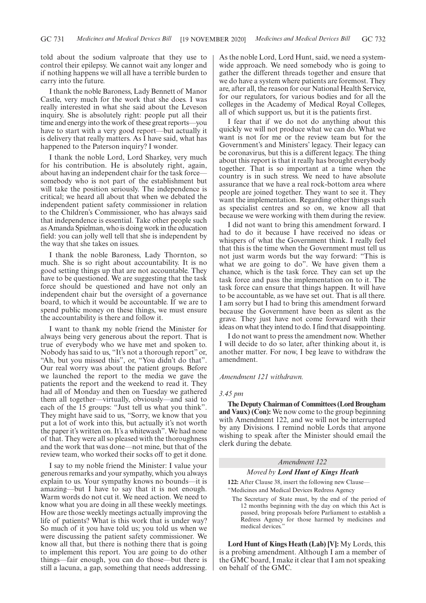told about the sodium valproate that they use to control their epilepsy. We cannot wait any longer and if nothing happens we will all have a terrible burden to carry into the future.

I thank the noble Baroness, Lady Bennett of Manor Castle, very much for the work that she does. I was really interested in what she said about the Leveson inquiry. She is absolutely right: people put all their time and energy into the work of these great reports—you have to start with a very good report—but actually it is delivery that really matters. As I have said, what has happened to the Paterson inquiry? I wonder.

I thank the noble Lord, Lord Sharkey, very much for his contribution. He is absolutely right, again, about having an independent chair for the task force somebody who is not part of the establishment but will take the position seriously. The independence is critical; we heard all about that when we debated the independent patient safety commissioner in relation to the Children's Commissioner, who has always said that independence is essential. Take other people such as Amanda Spielman, who is doing work in the education field: you can jolly well tell that she is independent by the way that she takes on issues.

I thank the noble Baroness, Lady Thornton, so much. She is so right about accountability. It is no good setting things up that are not accountable. They have to be questioned. We are suggesting that the task force should be questioned and have not only an independent chair but the oversight of a governance board, to which it would be accountable. If we are to spend public money on these things, we must ensure the accountability is there and follow it.

I want to thank my noble friend the Minister for always being very generous about the report. That is true of everybody who we have met and spoken to. Nobody has said to us, "It's not a thorough report" or, "Ah, but you missed this", or, "You didn't do that". Our real worry was about the patient groups. Before we launched the report to the media we gave the patients the report and the weekend to read it. They had all of Monday and then on Tuesday we gathered them all together—virtually, obviously—and said to each of the 15 groups: "Just tell us what you think". They might have said to us, "Sorry, we know that you put a lot of work into this, but actually it's not worth the paper it's written on. It's a whitewash". We had none of that. They were all so pleased with the thoroughness and the work that was done—not mine, but that of the review team, who worked their socks off to get it done.

I say to my noble friend the Minister: I value your generous remarks and your sympathy, which you always explain to us. Your sympathy knows no bounds—it is amazing—but I have to say that it is not enough. Warm words do not cut it. We need action. We need to know what you are doing in all these weekly meetings. How are those weekly meetings actually improving the life of patients? What is this work that is under way? So much of it you have told us; you told us when we were discussing the patient safety commissioner. We know all that, but there is nothing there that is going to implement this report. You are going to do other things—fair enough, you can do those—but there is still a lacuna, a gap, something that needs addressing. As the noble Lord, Lord Hunt, said, we need a systemwide approach. We need somebody who is going to gather the different threads together and ensure that we do have a system where patients are foremost. They are, after all, the reason for our National Health Service, for our regulators, for various bodies and for all the colleges in the Academy of Medical Royal Colleges, all of which support us, but it is the patients first.

I fear that if we do not do anything about this quickly we will not produce what we can do. What we want is not for me or the review team but for the Government's and Ministers' legacy. Their legacy can be coronavirus, but this is a different legacy. The thing about this report is that it really has brought everybody together. That is so important at a time when the country is in such stress. We need to have absolute assurance that we have a real rock-bottom area where people are joined together. They want to see it. They want the implementation. Regarding other things such as specialist centres and so on, we know all that because we were working with them during the review.

I did not want to bring this amendment forward. I had to do it because I have received no ideas or whispers of what the Government think. I really feel that this is the time when the Government must tell us not just warm words but the way forward: "This is what we are going to do". We have given them a chance, which is the task force. They can set up the task force and pass the implementation on to it. The task force can ensure that things happen. It will have to be accountable, as we have set out. That is all there. I am sorry but I had to bring this amendment forward because the Government have been as silent as the grave. They just have not come forward with their ideas on what they intend to do. I find that disappointing.

I do not want to press the amendment now. Whether I will decide to do so later, after thinking about it, is another matter. For now, I beg leave to withdraw the amendment.

### *Amendment 121 withdrawn.*

### *3.45 pm*

**The Deputy Chairman of Committees (Lord Brougham and Vaux) (Con):** We now come to the group beginning with Amendment 122, and we will not be interrupted by any Divisions. I remind noble Lords that anyone wishing to speak after the Minister should email the clerk during the debate.

### *Amendment 122*

#### *Moved by Lord Hunt of Kings Heath*

**122:** After Clause 38, insert the following new Clause— "Medicines and Medical Devices Redress Agency

The Secretary of State must, by the end of the period of 12 months beginning with the day on which this Act is passed, bring proposals before Parliament to establish a Redress Agency for those harmed by medicines and medical devices.'

**Lord Hunt of Kings Heath (Lab) [V]:** My Lords, this is a probing amendment. Although I am a member of the GMC board, I make it clear that I am not speaking on behalf of the GMC.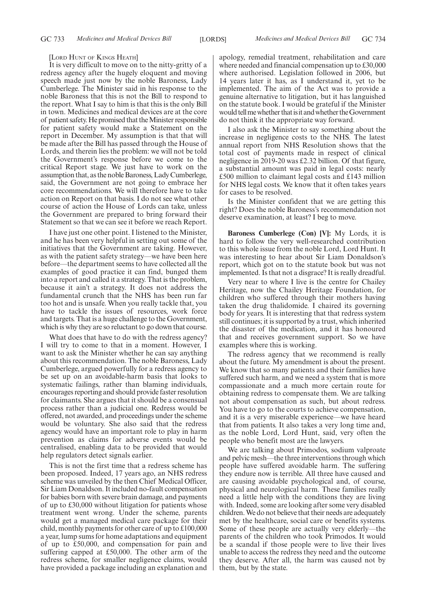#### [LORD HUNT OF KINGS HEATH]

It is very difficult to move on to the nitty-gritty of a redress agency after the hugely eloquent and moving speech made just now by the noble Baroness, Lady Cumberlege. The Minister said in his response to the noble Baroness that this is not the Bill to respond to the report. What I say to him is that this is the only Bill in town. Medicines and medical devices are at the core of patient safety. He promised that the Minister responsible for patient safety would make a Statement on the report in December. My assumption is that that will be made after the Bill has passed through the House of Lords, and therein lies the problem: we will not be told the Government's response before we come to the critical Report stage. We just have to work on the assumption that, as the noble Baroness, Lady Cumberlege, said, the Government are not going to embrace her core recommendations. We will therefore have to take action on Report on that basis. I do not see what other course of action the House of Lords can take, unless the Government are prepared to bring forward their Statement so that we can see it before we reach Report.

I have just one other point. I listened to the Minister, and he has been very helpful in setting out some of the initiatives that the Government are taking. However, as with the patient safety strategy—we have been here before—the department seems to have collected all the examples of good practice it can find, bunged them into a report and called it a strategy. That is the problem, because it ain't a strategy. It does not address the fundamental crunch that the NHS has been run far too hot and is unsafe. When you really tackle that, you have to tackle the issues of resources, work force and targets. That is a huge challenge to the Government, which is why they are so reluctant to go down that course.

What does that have to do with the redress agency? I will try to come to that in a moment. However, I want to ask the Minister whether he can say anything about this recommendation. The noble Baroness, Lady Cumberlege, argued powerfully for a redress agency to be set up on an avoidable-harm basis that looks to systematic failings, rather than blaming individuals, encourages reporting and should provide faster resolution for claimants. She argues that it should be a consensual process rather than a judicial one. Redress would be offered, not awarded, and proceedings under the scheme would be voluntary. She also said that the redress agency would have an important role to play in harm prevention as claims for adverse events would be centralised, enabling data to be provided that would help regulators detect signals earlier.

This is not the first time that a redress scheme has been proposed. Indeed, 17 years ago, an NHS redress scheme was unveiled by the then Chief Medical Officer, Sir Liam Donaldson. It included no-fault compensation for babies born with severe brain damage, and payments of up to £30,000 without litigation for patients whose treatment went wrong. Under the scheme, parents would get a managed medical care package for their child, monthly payments for other care of up to £100,000 a year, lump sums for home adaptations and equipment of up to £50,000, and compensation for pain and suffering capped at £50,000. The other arm of the redress scheme, for smaller negligence claims, would have provided a package including an explanation and apology, remedial treatment, rehabilitation and care where needed and financial compensation up to £30,000 where authorised. Legislation followed in 2006, but 14 years later it has, as I understand it, yet to be implemented. The aim of the Act was to provide a genuine alternative to litigation, but it has languished on the statute book. I would be grateful if the Minister would tell me whether that is it and whether the Government do not think it the appropriate way forward.

I also ask the Minister to say something about the increase in negligence costs to the NHS. The latest annual report from NHS Resolution shows that the total cost of payments made in respect of clinical negligence in 2019-20 was £2.32 billion. Of that figure, a substantial amount was paid in legal costs: nearly £500 million to claimant legal costs and £143 million for NHS legal costs. We know that it often takes years for cases to be resolved.

Is the Minister confident that we are getting this right? Does the noble Baroness's recommendation not deserve examination, at least? I beg to move.

**Baroness Cumberlege (Con) [V]:** My Lords, it is hard to follow the very well-researched contribution to this whole issue from the noble Lord, Lord Hunt. It was interesting to hear about Sir Liam Donaldson's report, which got on to the statute book but was not implemented. Is that not a disgrace? It is really dreadful.

Very near to where I live is the centre for Chailey Heritage, now the Chailey Heritage Foundation, for children who suffered through their mothers having taken the drug thalidomide. I chaired its governing body for years. It is interesting that that redress system still continues; it is supported by a trust, which inherited the disaster of the medication, and it has honoured that and receives government support. So we have examples where this is working.

The redress agency that we recommend is really about the future. My amendment is about the present. We know that so many patients and their families have suffered such harm, and we need a system that is more compassionate and a much more certain route for obtaining redress to compensate them. We are talking not about compensation as such, but about redress. You have to go to the courts to achieve compensation, and it is a very miserable experience—we have heard that from patients. It also takes a very long time and, as the noble Lord, Lord Hunt, said, very often the people who benefit most are the lawyers.

We are talking about Primodos, sodium valproate and pelvic mesh—the three interventions through which people have suffered avoidable harm. The suffering they endure now is terrible. All three have caused and are causing avoidable psychological and, of course, physical and neurological harm. These families really need a little help with the conditions they are living with. Indeed, some are looking after some very disabled children. We do not believe that their needs are adequately met by the healthcare, social care or benefits systems. Some of these people are actually very elderly—the parents of the children who took Primodos. It would be a scandal if those people were to live their lives unable to access the redress they need and the outcome they deserve. After all, the harm was caused not by them, but by the state.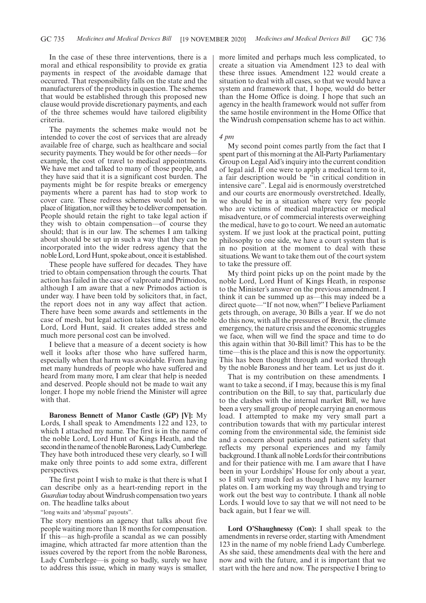In the case of these three interventions, there is a moral and ethical responsibility to provide ex gratia payments in respect of the avoidable damage that occurred. That responsibility falls on the state and the manufacturers of the products in question. The schemes that would be established through this proposed new clause would provide discretionary payments, and each of the three schemes would have tailored eligibility criteria.

The payments the schemes make would not be intended to cover the cost of services that are already available free of charge, such as healthcare and social security payments. They would be for other needs—for example, the cost of travel to medical appointments. We have met and talked to many of those people, and they have said that it is a significant cost burden. The payments might be for respite breaks or emergency payments where a parent has had to stop work to cover care. These redress schemes would not be in place of litigation, nor will they be to deliver compensation. People should retain the right to take legal action if they wish to obtain compensation—of course they should; that is in our law. The schemes I am talking about should be set up in such a way that they can be incorporated into the wider redress agency that the noble Lord, Lord Hunt, spoke about, once it is established.

These people have suffered for decades. They have tried to obtain compensation through the courts. That action has failed in the case of valproate and Primodos, although I am aware that a new Primodos action is under way. I have been told by solicitors that, in fact, the report does not in any way affect that action. There have been some awards and settlements in the case of mesh, but legal action takes time, as the noble Lord, Lord Hunt, said. It creates added stress and much more personal cost can be involved.

I believe that a measure of a decent society is how well it looks after those who have suffered harm, especially when that harm was avoidable. From having met many hundreds of people who have suffered and heard from many more, I am clear that help is needed and deserved. People should not be made to wait any longer. I hope my noble friend the Minister will agree with that.

**Baroness Bennett of Manor Castle (GP) [V]:** My Lords, I shall speak to Amendments 122 and 123, to which I attached my name. The first is in the name of the noble Lord, Lord Hunt of Kings Heath, and the second in the name of the noble Baroness, Lady Cumberlege. They have both introduced these very clearly, so I will make only three points to add some extra, different perspectives.

The first point I wish to make is that there is what I can describe only as a heart-rending report in the *Guardian* today about Windrush compensation two years on. The headline talks about

"long waits and 'abysmal' payouts".

The story mentions an agency that talks about five people waiting more than 18 months for compensation. If this—as high-profile a scandal as we can possibly imagine, which attracted far more attention than the issues covered by the report from the noble Baroness, Lady Cumberlege—is going so badly, surely we have to address this issue, which in many ways is smaller, more limited and perhaps much less complicated, to create a situation via Amendment 123 to deal with these three issues. Amendment 122 would create a situation to deal with all cases, so that we would have a system and framework that, I hope, would do better than the Home Office is doing. I hope that such an agency in the health framework would not suffer from the same hostile environment in the Home Office that the Windrush compensation scheme has to act within.

### *4 pm*

My second point comes partly from the fact that I spent part of this morning at the All-Party Parliamentary Group on Legal Aid's inquiry into the current condition of legal aid. If one were to apply a medical term to it, a fair description would be "in critical condition in intensive care". Legal aid is enormously overstretched and our courts are enormously overstretched. Ideally, we should be in a situation where very few people who are victims of medical malpractice or medical misadventure, or of commercial interests overweighing the medical, have to go to court. We need an automatic system. If we just look at the practical point, putting philosophy to one side, we have a court system that is in no position at the moment to deal with these situations. We want to take them out of the court system to take the pressure off.

My third point picks up on the point made by the noble Lord, Lord Hunt of Kings Heath, in response to the Minister's answer on the previous amendment. I think it can be summed up as—this may indeed be a direct quote—"If not now, when?" I believe Parliament gets through, on average, 30 Bills a year. If we do not do this now, with all the pressures of Brexit, the climate emergency, the nature crisis and the economic struggles we face, when will we find the space and time to do this again within that 30-Bill limit? This has to be the time—this is the place and this is now the opportunity. This has been thought through and worked through by the noble Baroness and her team. Let us just do it.

That is my contribution on these amendments. I want to take a second, if I may, because this is my final contribution on the Bill, to say that, particularly due to the clashes with the internal market Bill, we have been a very small group of people carrying an enormous load. I attempted to make my very small part a contribution towards that with my particular interest coming from the environmental side, the feminist side and a concern about patients and patient safety that reflects my personal experiences and my family background. I thank all noble Lords for their contributions and for their patience with me. I am aware that I have been in your Lordships' House for only about a year, so I still very much feel as though I have my learner plates on. I am working my way through and trying to work out the best way to contribute. I thank all noble Lords. I would love to say that we will not need to be back again, but I fear we will.

**Lord O'Shaughnessy (Con):** I shall speak to the amendments in reverse order, starting with Amendment 123 in the name of my noble friend Lady Cumberlege. As she said, these amendments deal with the here and now and with the future, and it is important that we start with the here and now. The perspective I bring to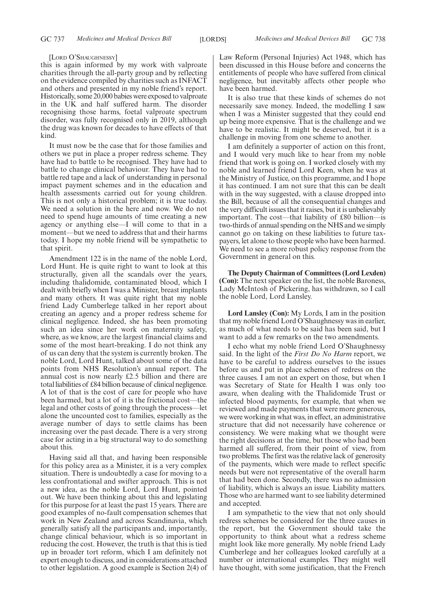#### [LORD O'SHAUGHNESSY]

this is again informed by my work with valproate charities through the all-party group and by reflecting on the evidence compiled by charities such as INFACT and others and presented in my noble friend's report. Historically, some 20,000 babies were exposed to valproate in the UK and half suffered harm. The disorder recognising those harms, foetal valproate spectrum disorder, was fully recognised only in 2019, although the drug was known for decades to have effects of that kind.

It must now be the case that for those families and others we put in place a proper redress scheme. They have had to battle to be recognised. They have had to battle to change clinical behaviour. They have had to battle red tape and a lack of understanding in personal impact payment schemes and in the education and health assessments carried out for young children. This is not only a historical problem; it is true today. We need a solution in the here and now. We do not need to spend huge amounts of time creating a new agency or anything else—I will come to that in a moment—but we need to address that and their harms today. I hope my noble friend will be sympathetic to that spirit.

Amendment 122 is in the name of the noble Lord, Lord Hunt. He is quite right to want to look at this structurally, given all the scandals over the years, including thalidomide, contaminated blood, which I dealt with briefly when I was a Minister, breast implants and many others. It was quite right that my noble friend Lady Cumberlege talked in her report about creating an agency and a proper redress scheme for clinical negligence. Indeed, she has been promoting such an idea since her work on maternity safety, where, as we know, are the largest financial claims and some of the most heart-breaking. I do not think any of us can deny that the system is currently broken. The noble Lord, Lord Hunt, talked about some of the data points from NHS Resolution's annual report. The annual cost is now nearly £2.5 billion and there are total liabilities of £84 billion because of clinical negligence. A lot of that is the cost of care for people who have been harmed, but a lot of it is the frictional cost—the legal and other costs of going through the process—let alone the uncounted cost to families, especially as the average number of days to settle claims has been increasing over the past decade. There is a very strong case for acting in a big structural way to do something about this.

Having said all that, and having been responsible for this policy area as a Minister, it is a very complex situation. There is undoubtedly a case for moving to a less confrontational and swifter approach. This is not a new idea, as the noble Lord, Lord Hunt, pointed out. We have been thinking about this and legislating for this purpose for at least the past 15 years. There are good examples of no-fault compensation schemes that work in New Zealand and across Scandinavia, which generally satisfy all the participants and, importantly, change clinical behaviour, which is so important in reducing the cost. However, the truth is that this is tied up in broader tort reform, which I am definitely not expert enough to discuss, and in considerations attached to other legislation. A good example is Section 2(4) of Law Reform (Personal Injuries) Act 1948, which has been discussed in this House before and concerns the entitlements of people who have suffered from clinical negligence, but inevitably affects other people who have been harmed.

It is also true that these kinds of schemes do not necessarily save money. Indeed, the modelling I saw when I was a Minister suggested that they could end up being more expensive. That is the challenge and we have to be realistic. It might be deserved, but it is a challenge in moving from one scheme to another.

I am definitely a supporter of action on this front, and I would very much like to hear from my noble friend that work is going on. I worked closely with my noble and learned friend Lord Keen, when he was at the Ministry of Justice, on this programme, and I hope it has continued. I am not sure that this can be dealt with in the way suggested, with a clause dropped into the Bill, because of all the consequential changes and the very difficult issues that it raises, but it is unbelievably important. The cost—that liability of £80 billion—is two-thirds of annual spending on the NHS and we simply cannot go on taking on these liabilities to future taxpayers, let alone to those people who have been harmed. We need to see a more robust policy response from the Government in general on this.

**The Deputy Chairman of Committees (Lord Lexden) (Con):** The next speaker on the list, the noble Baroness, Lady McIntosh of Pickering, has withdrawn, so I call the noble Lord, Lord Lansley.

**Lord Lansley (Con):** My Lords, I am in the position that my noble friend Lord O'Shaughnessy was in earlier, as much of what needs to be said has been said, but I want to add a few remarks on the two amendments.

I echo what my noble friend Lord O'Shaughnessy said. In the light of the *First Do No Harm* report, we have to be careful to address ourselves to the issues before us and put in place schemes of redress on the three causes. I am not an expert on those, but when I was Secretary of State for Health I was only too aware, when dealing with the Thalidomide Trust or infected blood payments, for example, that when we reviewed and made payments that were more generous, we were working in what was, in effect, an administrative structure that did not necessarily have coherence or consistency. We were making what we thought were the right decisions at the time, but those who had been harmed all suffered, from their point of view, from two problems. The first was the relative lack of generosity of the payments, which were made to reflect specific needs but were not representative of the overall harm that had been done. Secondly, there was no admission of liability, which is always an issue. Liability matters. Those who are harmed want to see liability determined and accepted.

I am sympathetic to the view that not only should redress schemes be considered for the three causes in the report, but the Government should take the opportunity to think about what a redress scheme might look like more generally. My noble friend Lady Cumberlege and her colleagues looked carefully at a number or international examples. They might well have thought, with some justification, that the French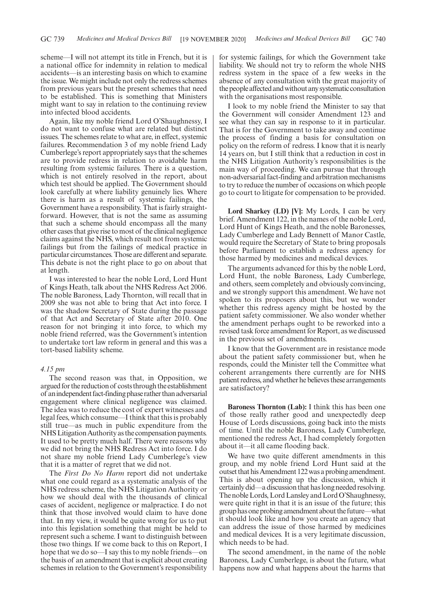scheme—I will not attempt its title in French, but it is a national office for indemnity in relation to medical accidents—is an interesting basis on which to examine the issue. We might include not only the redress schemes from previous years but the present schemes that need to be established. This is something that Ministers might want to say in relation to the continuing review into infected blood accidents.

Again, like my noble friend Lord O'Shaughnessy, I do not want to confuse what are related but distinct issues. The schemes relate to what are, in effect, systemic failures. Recommendation 3 of my noble friend Lady Cumberlege's report appropriately says that the schemes are to provide redress in relation to avoidable harm resulting from systemic failures. There is a question, which is not entirely resolved in the report, about which test should be applied. The Government should look carefully at where liability genuinely lies. Where there is harm as a result of systemic failings, the Government have a responsibility. That is fairly straightforward. However, that is not the same as assuming that such a scheme should encompass all the many other cases that give rise to most of the clinical negligence claims against the NHS, which result not from systemic failings but from the failings of medical practice in particular circumstances. Those are different and separate. This debate is not the right place to go on about that at length.

I was interested to hear the noble Lord, Lord Hunt of Kings Heath, talk about the NHS Redress Act 2006. The noble Baroness, Lady Thornton, will recall that in 2009 she was not able to bring that Act into force. I was the shadow Secretary of State during the passage of that Act and Secretary of State after 2010. One reason for not bringing it into force, to which my noble friend referred, was the Government's intention to undertake tort law reform in general and this was a tort-based liability scheme.

### *4.15 pm*

The second reason was that, in Opposition, we argued for the reduction of costs through the establishment of an independent fact-finding phase rather than adversarial engagement where clinical negligence was claimed. The idea was to reduce the cost of expert witnesses and legal fees, which consume—I think that this is probably still true—as much in public expenditure from the NHS Litigation Authority as the compensation payments. It used to be pretty much half. There were reasons why we did not bring the NHS Redress Act into force. I do not share my noble friend Lady Cumberlege's view that it is a matter of regret that we did not.

The *First Do No Harm* report did not undertake what one could regard as a systematic analysis of the NHS redress scheme, the NHS Litigation Authority or how we should deal with the thousands of clinical cases of accident, negligence or malpractice. I do not think that those involved would claim to have done that. In my view, it would be quite wrong for us to put into this legislation something that might be held to represent such a scheme. I want to distinguish between those two things. If we come back to this on Report, I hope that we do so—I say this to my noble friends—on the basis of an amendment that is explicit about creating schemes in relation to the Government's responsibility for systemic failings, for which the Government take liability. We should not try to reform the whole NHS redress system in the space of a few weeks in the absence of any consultation with the great majority of the people affected and without any systematic consultation with the organisations most responsible.

I look to my noble friend the Minister to say that the Government will consider Amendment 123 and see what they can say in response to it in particular. That is for the Government to take away and continue the process of finding a basis for consultation on policy on the reform of redress. I know that it is nearly 14 years on, but I still think that a reduction in cost in the NHS Litigation Authority's responsibilities is the main way of proceeding. We can pursue that through non-adversarial fact-finding and arbitration mechanisms to try to reduce the number of occasions on which people go to court to litigate for compensation to be provided.

**Lord Sharkey (LD) [V]:** My Lords, I can be very brief. Amendment 122, in the names of the noble Lord, Lord Hunt of Kings Heath, and the noble Baronesses, Lady Cumberlege and Lady Bennett of Manor Castle, would require the Secretary of State to bring proposals before Parliament to establish a redress agency for those harmed by medicines and medical devices.

The arguments advanced for this by the noble Lord, Lord Hunt, the noble Baroness, Lady Cumberlege, and others, seem completely and obviously convincing, and we strongly support this amendment. We have not spoken to its proposers about this, but we wonder whether this redress agency might be hosted by the patient safety commissioner. We also wonder whether the amendment perhaps ought to be reworked into a revised task force amendment for Report, as we discussed in the previous set of amendments.

I know that the Government are in resistance mode about the patient safety commissioner but, when he responds, could the Minister tell the Committee what coherent arrangements there currently are for NHS patient redress, and whether he believes these arrangements are satisfactory?

**Baroness Thornton (Lab):** I think this has been one of those really rather good and unexpectedly deep House of Lords discussions, going back into the mists of time. Until the noble Baroness, Lady Cumberlege, mentioned the redress Act, I had completely forgotten about it—it all came flooding back.

We have two quite different amendments in this group, and my noble friend Lord Hunt said at the outset that his Amendment 122 was a probing amendment. This is about opening up the discussion, which it certainly did—a discussion that has long needed resolving. The noble Lords, Lord Lansley and Lord O'Shaughnessy, were quite right in that it is an issue of the future; this group has one probing amendment about the future—what it should look like and how you create an agency that can address the issue of those harmed by medicines and medical devices. It is a very legitimate discussion, which needs to be had.

The second amendment, in the name of the noble Baroness, Lady Cumberlege, is about the future, what happens now and what happens about the harms that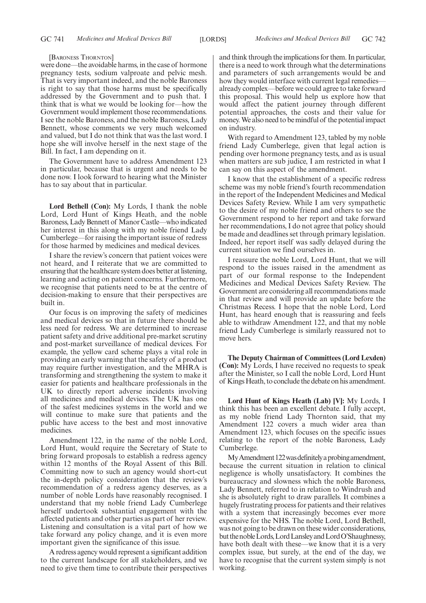#### [BARONESS THORNTON]

were done—the avoidable harms, in the case of hormone pregnancy tests, sodium valproate and pelvic mesh. That is very important indeed, and the noble Baroness is right to say that those harms must be specifically addressed by the Government and to push that. I think that is what we would be looking for—how the Government would implement those recommendations. I see the noble Baroness, and the noble Baroness, Lady Bennett, whose comments we very much welcomed and valued, but I do not think that was the last word. I hope she will involve herself in the next stage of the Bill. In fact, I am depending on it.

The Government have to address Amendment 123 in particular, because that is urgent and needs to be done now. I look forward to hearing what the Minister has to say about that in particular.

**Lord Bethell (Con):** My Lords, I thank the noble Lord, Lord Hunt of Kings Heath, and the noble Baroness, Lady Bennett of Manor Castle—who indicated her interest in this along with my noble friend Lady Cumberlege—for raising the important issue of redress for those harmed by medicines and medical devices.

I share the review's concern that patient voices were not heard, and I reiterate that we are committed to ensuring that the healthcare system does better at listening, learning and acting on patient concerns. Furthermore, we recognise that patients need to be at the centre of decision-making to ensure that their perspectives are built in.

Our focus is on improving the safety of medicines and medical devices so that in future there should be less need for redress. We are determined to increase patient safety and drive additional pre-market scrutiny and post-market surveillance of medical devices. For example, the yellow card scheme plays a vital role in providing an early warning that the safety of a product may require further investigation, and the MHRA is transforming and strengthening the system to make it easier for patients and healthcare professionals in the UK to directly report adverse incidents involving all medicines and medical devices. The UK has one of the safest medicines systems in the world and we will continue to make sure that patients and the public have access to the best and most innovative medicines.

Amendment 122, in the name of the noble Lord, Lord Hunt, would require the Secretary of State to bring forward proposals to establish a redress agency within 12 months of the Royal Assent of this Bill. Committing now to such an agency would short-cut the in-depth policy consideration that the review's recommendation of a redress agency deserves, as a number of noble Lords have reasonably recognised. I understand that my noble friend Lady Cumberlege herself undertook substantial engagement with the affected patients and other parties as part of her review. Listening and consultation is a vital part of how we take forward any policy change, and it is even more important given the significance of this issue.

A redress agency would represent a significant addition to the current landscape for all stakeholders, and we need to give them time to contribute their perspectives and think through the implications for them. In particular, there is a need to work through what the determinations and parameters of such arrangements would be and how they would interface with current legal remedies– already complex—before we could agree to take forward this proposal. This would help us explore how that would affect the patient journey through different potential approaches, the costs and their value for money. We also need to be mindful of the potential impact on industry.

With regard to Amendment 123, tabled by my noble friend Lady Cumberlege, given that legal action is pending over hormone pregnancy tests, and as is usual when matters are sub judice, I am restricted in what I can say on this aspect of the amendment.

I know that the establishment of a specific redress scheme was my noble friend's fourth recommendation in the report of the Independent Medicines and Medical Devices Safety Review. While I am very sympathetic to the desire of my noble friend and others to see the Government respond to her report and take forward her recommendations, I do not agree that policy should be made and deadlines set through primary legislation. Indeed, her report itself was sadly delayed during the current situation we find ourselves in.

I reassure the noble Lord, Lord Hunt, that we will respond to the issues raised in the amendment as part of our formal response to the Independent Medicines and Medical Devices Safety Review. The Government are considering all recommendations made in that review and will provide an update before the Christmas Recess. I hope that the noble Lord, Lord Hunt, has heard enough that is reassuring and feels able to withdraw Amendment 122, and that my noble friend Lady Cumberlege is similarly reassured not to move hers.

**The Deputy Chairman of Committees (Lord Lexden) (Con):** My Lords, I have received no requests to speak after the Minister, so I call the noble Lord, Lord Hunt of Kings Heath, to conclude the debate on his amendment.

**Lord Hunt of Kings Heath (Lab) [V]:** My Lords, I think this has been an excellent debate. I fully accept, as my noble friend Lady Thornton said, that my Amendment 122 covers a much wider area than Amendment 123, which focuses on the specific issues relating to the report of the noble Baroness, Lady Cumberlege.

My Amendment 122 was definitely a probing amendment, because the current situation in relation to clinical negligence is wholly unsatisfactory. It combines the bureaucracy and slowness which the noble Baroness, Lady Bennett, referred to in relation to Windrush and she is absolutely right to draw parallels. It combines a hugely frustrating process for patients and their relatives with a system that increasingly becomes ever more expensive for the NHS. The noble Lord, Lord Bethell, was not going to be drawn on these wider considerations, but the noble Lords, Lord Lansley and Lord O'Shaughnessy, have both dealt with these—we know that it is a very complex issue, but surely, at the end of the day, we have to recognise that the current system simply is not working.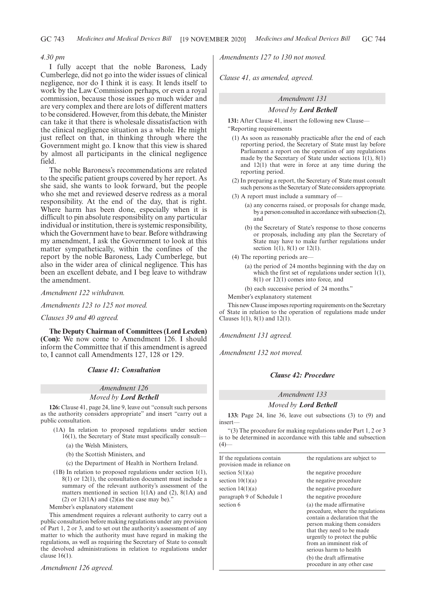### *4.30 pm*

I fully accept that the noble Baroness, Lady Cumberlege, did not go into the wider issues of clinical negligence, nor do I think it is easy. It lends itself to work by the Law Commission perhaps, or even a royal commission, because those issues go much wider and are very complex and there are lots of different matters to be considered. However, from this debate, the Minister can take it that there is wholesale dissatisfaction with the clinical negligence situation as a whole. He might just reflect on that, in thinking through where the Government might go. I know that this view is shared by almost all participants in the clinical negligence field.

The noble Baroness's recommendations are related to the specific patient groups covered by her report. As she said, she wants to look forward, but the people who she met and reviewed deserve redress as a moral responsibility. At the end of the day, that is right. Where harm has been done, especially when it is difficult to pin absolute responsibility on any particular individual or institution, there is systemic responsibility, which the Government have to bear. Before withdrawing my amendment, I ask the Government to look at this matter sympathetically, within the confines of the report by the noble Baroness, Lady Cumberlege, but also in the wider area of clinical negligence. This has been an excellent debate, and I beg leave to withdraw the amendment.

*Amendment 122 withdrawn.*

*Amendments 123 to 125 not moved.*

*Clauses 39 and 40 agreed.*

**The Deputy Chairman of Committees (Lord Lexden) (Con):** We now come to Amendment 126. I should inform the Committee that if this amendment is agreed to, I cannot call Amendments 127, 128 or 129.

### *Clause 41: Consultation*

### *Amendment 126*

### *Moved by Lord Bethell*

**126:** Clause 41, page 24, line 9, leave out "consult such persons as the authority considers appropriate" and insert "carry out a public consultation.

- (1A) In relation to proposed regulations under section 16(1), the Secretary of State must specifically consult—
	- (a) the Welsh Ministers,
	- (b) the Scottish Ministers, and
	- (c) the Department of Health in Northern Ireland.
- (1B) In relation to proposed regulations under section 1(1), 8(1) or 12(1), the consultation document must include a summary of the relevant authority's assessment of the matters mentioned in section 1(1A) and (2), 8(1A) and (2) or  $12(1A)$  and  $(2)$ (as the case may be)."

Member's explanatory statement

This amendment requires a relevant authority to carry out a public consultation before making regulations under any provision of Part 1, 2 or 3, and to set out the authority's assessment of any matter to which the authority must have regard in making the regulations, as well as requiring the Secretary of State to consult the devolved administrations in relation to regulations under clause 16(1).

*Amendment 126 agreed.*

*Amendments 127 to 130 not moved.*

*Clause 41, as amended, agreed.*

### *Amendment 131*

### *Moved by Lord Bethell*

**131:** After Clause 41, insert the following new Clause—

"Reporting requirements

- (1) As soon as reasonably practicable after the end of each reporting period, the Secretary of State must lay before Parliament a report on the operation of any regulations made by the Secretary of State under sections 1(1), 8(1) and 12(1) that were in force at any time during the reporting period.
- (2) In preparing a report, the Secretary of State must consult such persons as the Secretary of State considers appropriate.
- (3) A report must include a summary of—
	- (a) any concerns raised, or proposals for change made, by a person consulted in accordance with subsection (2), and
	- (b) the Secretary of State's response to those concerns or proposals, including any plan the Secretary of State may have to make further regulations under section 1(1), 8(1) or 12(1).

(4) The reporting periods are—

(a) the period of 24 months beginning with the day on which the first set of regulations under section 1(1), 8(1) or 12(1) comes into force, and

(b) each successive period of 24 months."

Member's explanatory statement

This new Clause imposes reporting requirements on the Secretary of State in relation to the operation of regulations made under Clauses 1(1), 8(1) and 12(1).

*Amendment 131 agreed.*

*Amendment 132 not moved.*

### *Clause 42: Procedure*

### *Amendment 133*

*Moved by Lord Bethell*

**133:** Page 24, line 36, leave out subsections (3) to (9) and insert—

"(3) The procedure for making regulations under Part 1, 2 or 3 is to be determined in accordance with this table and subsection  $(4)$ 

| If the regulations contain<br>provision made in reliance on | the regulations are subject to                                                                                                                                                                                                                      |
|-------------------------------------------------------------|-----------------------------------------------------------------------------------------------------------------------------------------------------------------------------------------------------------------------------------------------------|
| section $5(1)(a)$                                           | the negative procedure                                                                                                                                                                                                                              |
| section $10(1)(a)$                                          | the negative procedure                                                                                                                                                                                                                              |
| section $14(1)(a)$                                          | the negative procedure                                                                                                                                                                                                                              |
| paragraph 9 of Schedule 1                                   | the negative procedure                                                                                                                                                                                                                              |
| section 6                                                   | (a) the made affirmative<br>procedure, where the regulations<br>contain a declaration that the<br>person making them considers<br>that they need to be made<br>urgently to protect the public<br>from an imminent risk of<br>serious harm to health |
|                                                             | (b) the draft affirmative<br>procedure in any other case                                                                                                                                                                                            |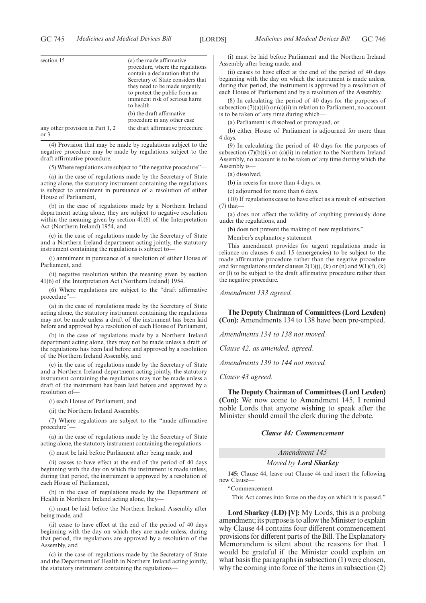| section 15                       | (a) the made affirmative<br>procedure, where the regulations<br>contain a declaration that the<br>Secretary of State considers that<br>they need to be made urgently<br>to protect the public from an<br>imminent risk of serious harm<br>to health<br>(b) the draft affirmative<br>procedure in any other case |
|----------------------------------|-----------------------------------------------------------------------------------------------------------------------------------------------------------------------------------------------------------------------------------------------------------------------------------------------------------------|
| any other provision in Part 1, 2 | the draft affirmative procedure                                                                                                                                                                                                                                                                                 |
| or 3                             |                                                                                                                                                                                                                                                                                                                 |

(4) Provision that may be made by regulations subject to the negative procedure may be made by regulations subject to the draft affirmative procedure.

(5) Where regulations are subject to "the negative procedure"—

(a) in the case of regulations made by the Secretary of State acting alone, the statutory instrument containing the regulations is subject to annulment in pursuance of a resolution of either House of Parliament,

(b) in the case of regulations made by a Northern Ireland department acting alone, they are subject to negative resolution within the meaning given by section 41(6) of the Interpretation Act (Northern Ireland) 1954, and

(c) in the case of regulations made by the Secretary of State and a Northern Ireland department acting jointly, the statutory instrument containing the regulations is subject to—

(i) annulment in pursuance of a resolution of either House of Parliament, and

(ii) negative resolution within the meaning given by section 41(6) of the Interpretation Act (Northern Ireland) 1954.

(6) Where regulations are subject to the "draft affirmative procedure"

(a) in the case of regulations made by the Secretary of State acting alone, the statutory instrument containing the regulations may not be made unless a draft of the instrument has been laid before and approved by a resolution of each House of Parliament,

(b) in the case of regulations made by a Northern Ireland department acting alone, they may not be made unless a draft of the regulations has been laid before and approved by a resolution of the Northern Ireland Assembly, and

(c) in the case of regulations made by the Secretary of State and a Northern Ireland department acting jointly, the statutory instrument containing the regulations may not be made unless a draft of the instrument has been laid before and approved by a resolution of—

(i) each House of Parliament, and

(ii) the Northern Ireland Assembly.

(7) Where regulations are subject to the "made affirmative procedure"—

(a) in the case of regulations made by the Secretary of State acting alone, the statutory instrument containing the regulations—

(i) must be laid before Parliament after being made, and

(ii) ceases to have effect at the end of the period of 40 days beginning with the day on which the instrument is made unless, during that period, the instrument is approved by a resolution of each House of Parliament,

(b) in the case of regulations made by the Department of Health in Northern Ireland acting alone, they—

(i) must be laid before the Northern Ireland Assembly after being made, and

(ii) cease to have effect at the end of the period of 40 days beginning with the day on which they are made unless, during that period, the regulations are approved by a resolution of the Assembly, and

(c) in the case of regulations made by the Secretary of State and the Department of Health in Northern Ireland acting jointly, the statutory instrument containing the regulations—

(i) must be laid before Parliament and the Northern Ireland Assembly after being made, and

(ii) ceases to have effect at the end of the period of 40 days beginning with the day on which the instrument is made unless, during that period, the instrument is approved by a resolution of each House of Parliament and by a resolution of the Assembly.

(8) In calculating the period of 40 days for the purposes of subsection  $(7)(a)(ii)$  or  $(c)(ii)$  in relation to Parliament, no account is to be taken of any time during which—

(a) Parliament is dissolved or prorogued, or

(b) either House of Parliament is adjourned for more than 4 days.

(9) In calculating the period of 40 days for the purposes of subsection  $(7)(b)(ii)$  or  $(c)(ii)$  in relation to the Northern Ireland Assembly, no account is to be taken of any time during which the Assembly is—

(a) dissolved,

(b) in recess for more than 4 days, or

(c) adjourned for more than 6 days.

(10) If regulations cease to have effect as a result of subsection (7) that—

(a) does not affect the validity of anything previously done under the regulations, and

(b) does not prevent the making of new regulations."

Member's explanatory statement

This amendment provides for urgent regulations made in reliance on clauses 6 and 15 (emergencies) to be subject to the made affirmative procedure rather than the negative procedure and for regulations under clauses  $2(1)(j)$ , (k) or (n) and  $9(1)(f)$ , (k) or (l) to be subject to the draft affirmative procedure rather than the negative procedure.

*Amendment 133 agreed.*

**The Deputy Chairman of Committees (Lord Lexden) (Con):** Amendments 134 to 138 have been pre-empted.

*Amendments 134 to 138 not moved.*

*Clause 42, as amended, agreed.*

*Amendments 139 to 144 not moved.*

*Clause 43 agreed.*

**The Deputy Chairman of Committees (Lord Lexden) (Con):** We now come to Amendment 145. I remind noble Lords that anyone wishing to speak after the Minister should email the clerk during the debate.

### *Clause 44: Commencement*

*Amendment 145*

*Moved by Lord Sharkey*

**145:** Clause 44, leave out Clause 44 and insert the following new Clause—

"Commencement

This Act comes into force on the day on which it is passed."

**Lord Sharkey (LD) [V]:** My Lords, this is a probing amendment; its purpose is to allow the Minister to explain why Clause 44 contains four different commencement provisions for different parts of the Bill. The Explanatory Memorandum is silent about the reasons for that. I would be grateful if the Minister could explain on what basis the paragraphs in subsection (1) were chosen, why the coming into force of the items in subsection (2)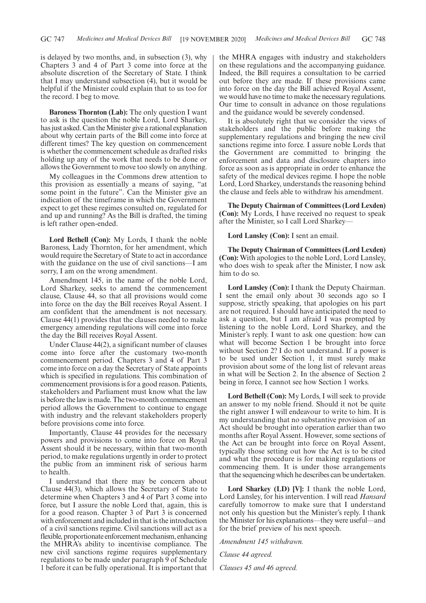is delayed by two months, and, in subsection (3), why Chapters 3 and 4 of Part 3 come into force at the absolute discretion of the Secretary of State. I think that I may understand subsection (4), but it would be helpful if the Minister could explain that to us too for the record. I beg to move.

**Baroness Thornton (Lab):** The only question I want to ask is the question the noble Lord, Lord Sharkey, has just asked. Can the Minister give a rational explanation about why certain parts of the Bill come into force at different times? The key question on commencement is whether the commencement schedule as drafted risks holding up any of the work that needs to be done or allows the Government to move too slowly on anything.

My colleagues in the Commons drew attention to this provision as essentially a means of saying, "at some point in the future". Can the Minister give an indication of the timeframe in which the Government expect to get these regimes consulted on, regulated for and up and running? As the Bill is drafted, the timing is left rather open-ended.

**Lord Bethell (Con):** My Lords, I thank the noble Baroness, Lady Thornton, for her amendment, which would require the Secretary of State to act in accordance with the guidance on the use of civil sanctions—I am sorry, I am on the wrong amendment.

Amendment 145, in the name of the noble Lord, Lord Sharkey, seeks to amend the commencement clause, Clause 44, so that all provisions would come into force on the day the Bill receives Royal Assent. I am confident that the amendment is not necessary. Clause 44(1) provides that the clauses needed to make emergency amending regulations will come into force the day the Bill receives Royal Assent.

Under Clause 44(2), a significant number of clauses come into force after the customary two-month commencement period. Chapters 3 and 4 of Part 3 come into force on a day the Secretary of State appoints which is specified in regulations. This combination of commencement provisions is for a good reason. Patients, stakeholders and Parliament must know what the law is before the law is made. The two-month commencement period allows the Government to continue to engage with industry and the relevant stakeholders properly before provisions come into force.

Importantly, Clause 44 provides for the necessary powers and provisions to come into force on Royal Assent should it be necessary, within that two-month period, to make regulations urgently in order to protect the public from an imminent risk of serious harm to health.

I understand that there may be concern about Clause 44(3), which allows the Secretary of State to determine when Chapters 3 and 4 of Part 3 come into force, but I assure the noble Lord that, again, this is for a good reason. Chapter 3 of Part 3 is concerned with enforcement and included in that is the introduction of a civil sanctions regime. Civil sanctions will act as a flexible, proportionate enforcement mechanism, enhancing the MHRA's ability to incentivise compliance. The new civil sanctions regime requires supplementary regulations to be made under paragraph 9 of Schedule 1 before it can be fully operational. It is important that the MHRA engages with industry and stakeholders on these regulations and the accompanying guidance. Indeed, the Bill requires a consultation to be carried out before they are made. If these provisions came into force on the day the Bill achieved Royal Assent, we would have no time to make the necessary regulations. Our time to consult in advance on those regulations and the guidance would be severely condensed.

It is absolutely right that we consider the views of stakeholders and the public before making the supplementary regulations and bringing the new civil sanctions regime into force. I assure noble Lords that the Government are committed to bringing the enforcement and data and disclosure chapters into force as soon as is appropriate in order to enhance the safety of the medical devices regime. I hope the noble Lord, Lord Sharkey, understands the reasoning behind the clause and feels able to withdraw his amendment.

**The Deputy Chairman of Committees (Lord Lexden) (Con):** My Lords, I have received no request to speak after the Minister, so I call Lord Sharkey—

**Lord Lansley (Con):** I sent an email.

**The Deputy Chairman of Committees (Lord Lexden) (Con):** With apologies to the noble Lord, Lord Lansley, who does wish to speak after the Minister, I now ask him to do so.

**Lord Lansley (Con):** I thank the Deputy Chairman. I sent the email only about 30 seconds ago so I suppose, strictly speaking, that apologies on his part are not required. I should have anticipated the need to ask a question, but I am afraid I was prompted by listening to the noble Lord, Lord Sharkey, and the Minister's reply. I want to ask one question: how can what will become Section 1 be brought into force without Section 2? I do not understand. If a power is to be used under Section 1, it must surely make provision about some of the long list of relevant areas in what will be Section 2. In the absence of Section 2 being in force, I cannot see how Section 1 works.

Lord Bethell (Con): My Lords, I will seek to provide an answer to my noble friend. Should it not be quite the right answer I will endeavour to write to him. It is my understanding that no substantive provision of an Act should be brought into operation earlier than two months after Royal Assent. However, some sections of the Act can be brought into force on Royal Assent, typically those setting out how the Act is to be cited and what the procedure is for making regulations or commencing them. It is under those arrangements that the sequencing which he describes can be undertaken.

**Lord Sharkey (LD) [V]:** I thank the noble Lord, Lord Lansley, for his intervention. I will read *Hansard* carefully tomorrow to make sure that I understand not only his question but the Minister's reply. I thank the Minister for his explanations—they were useful—and for the brief preview of his next speech.

*Amendment 145 withdrawn.*

*Clause 44 agreed.*

*Clauses 45 and 46 agreed.*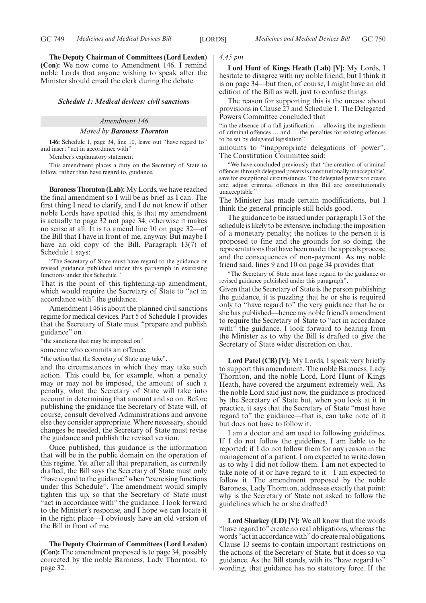**The Deputy Chairman of Committees (Lord Lexden) (Con):** We now come to Amendment 146. I remind noble Lords that anyone wishing to speak after the Minister should email the clerk during the debate.

### *Schedule 1: Medical devices: civil sanctions*

# *Amendment 146*

### *Moved by Baroness Thornton*

**146:** Schedule 1, page 34, line 10, leave out "have regard to" and insert "act in accordance with"

Member's explanatory statement

This amendment places a duty on the Secretary of State to follow, rather than have regard to, guidance.

**Baroness Thornton (Lab):** My Lords, we have reached the final amendment so I will be as brief as I can. The first thing I need to clarify, and I do not know if other noble Lords have spotted this, is that my amendment is actually to page 32 not page 34, otherwise it makes no sense at all. It is to amend line 10 on page 32—of the Bill that I have in front of me, anyway. But maybe I have an old copy of the Bill. Paragraph 13(7) of Schedule 1 says:

The Secretary of State must have regard to the guidance or revised guidance published under this paragraph in exercising functions under this Schedule."

That is the point of this tightening-up amendment, which would require the Secretary of State to "act in accordance with" the guidance.

Amendment 146 is about the planned civil sanctions regime for medical devices. Part 5 of Schedule 1 provides that the Secretary of State must "prepare and publish guidance" on

"the sanctions that may be imposed on"

someone who commits an offence,

"the action that the Secretary of State may take",

and the circumstances in which they may take such action. This could be, for example, when a penalty may or may not be imposed, the amount of such a penalty, what the Secretary of State will take into account in determining that amount and so on. Before publishing the guidance the Secretary of State will, of course, consult devolved Administrations and anyone else they consider appropriate. Where necessary, should changes be needed, the Secretary of State must revise the guidance and publish the revised version.

Once published, this guidance is the information that will be in the public domain on the operation of this regime. Yet after all that preparation, as currently drafted, the Bill says the Secretary of State must only "have regard to the guidance" when "exercising functions under this Schedule". The amendment would simply tighten this up, so that the Secretary of State must "act in accordance with" the guidance. I look forward to the Minister's response, and I hope we can locate it in the right place—I obviously have an old version of the Bill in front of me.

**The Deputy Chairman of Committees (Lord Lexden) (Con):** The amendment proposed is to page 34, possibly corrected by the noble Baroness, Lady Thornton, to page 32.

### *4.45 pm*

**Lord Hunt of Kings Heath (Lab) [V]:** My Lords, I hesitate to disagree with my noble friend, but I think it is on page 34—but then, of course, I might have an old edition of the Bill as well, just to confuse things.

The reason for supporting this is the unease about provisions in Clause 27 and Schedule 1. The Delegated Powers Committee concluded that

"in the absence of a full justification … allowing the ingredients of criminal offences … and … the penalties for existing offences to be set by delegated legislation"

amounts to "inappropriate delegations of power". The Constitution Committee said:

We have concluded previously that 'the creation of criminal offences through delegated powers is constitutionally unacceptable', save for exceptional circumstances. The delegated powers to create and adjust criminal offences in this Bill are constitutionally unacceptable."

The Minister has made certain modifications, but I think the general principle still holds good.

The guidance to be issued under paragraph 13 of the schedule is likely to be extensive, including: the imposition of a monetary penalty; the notices to the person it is proposed to fine and the grounds for so doing; the representations that have been made; the appeals process; and the consequences of non-payment. As my noble friend said, lines 9 and 10 on page 34 provides that

"The Secretary of State must have regard to the guidance or revised guidance published under this paragraph".

Given that the Secretary of State is the person publishing the guidance, it is puzzling that he or she is required only to "have regard to" the very guidance that he or she has published—hence my noble friend's amendment to require the Secretary of State to "act in accordance with" the guidance. I look forward to hearing from the Minister as to why the Bill is drafted to give the Secretary of State wider discretion on that.

**Lord Patel (CB) [V]:** My Lords, I speak very briefly to support this amendment. The noble Baroness, Lady Thornton, and the noble Lord, Lord Hunt of Kings Heath, have covered the argument extremely well. As the noble Lord said just now, the guidance is produced by the Secretary of State but, when you look at it in practice, it says that the Secretary of State "must have regard to" the guidance—that is, can take note of it but does not have to follow it.

I am a doctor and am used to following guidelines. If I do not follow the guidelines, I am liable to be reported; if I do not follow them for any reason in the management of a patient, I am expected to write down as to why I did not follow them. I am not expected to take note of it or have regard to it—I am expected to follow it. The amendment proposed by the noble Baroness, Lady Thornton, addresses exactly that point: why is the Secretary of State not asked to follow the guidelines which he or she drafted?

**Lord Sharkey (LD) [V]:** We all know that the words "have regard to" create no real obligations, whereas the words "act in accordance with"do create real obligations. Clause 13 seems to contain important restrictions on the actions of the Secretary of State, but it does so via guidance. As the Bill stands, with its "have regard to" wording, that guidance has no statutory force. If the